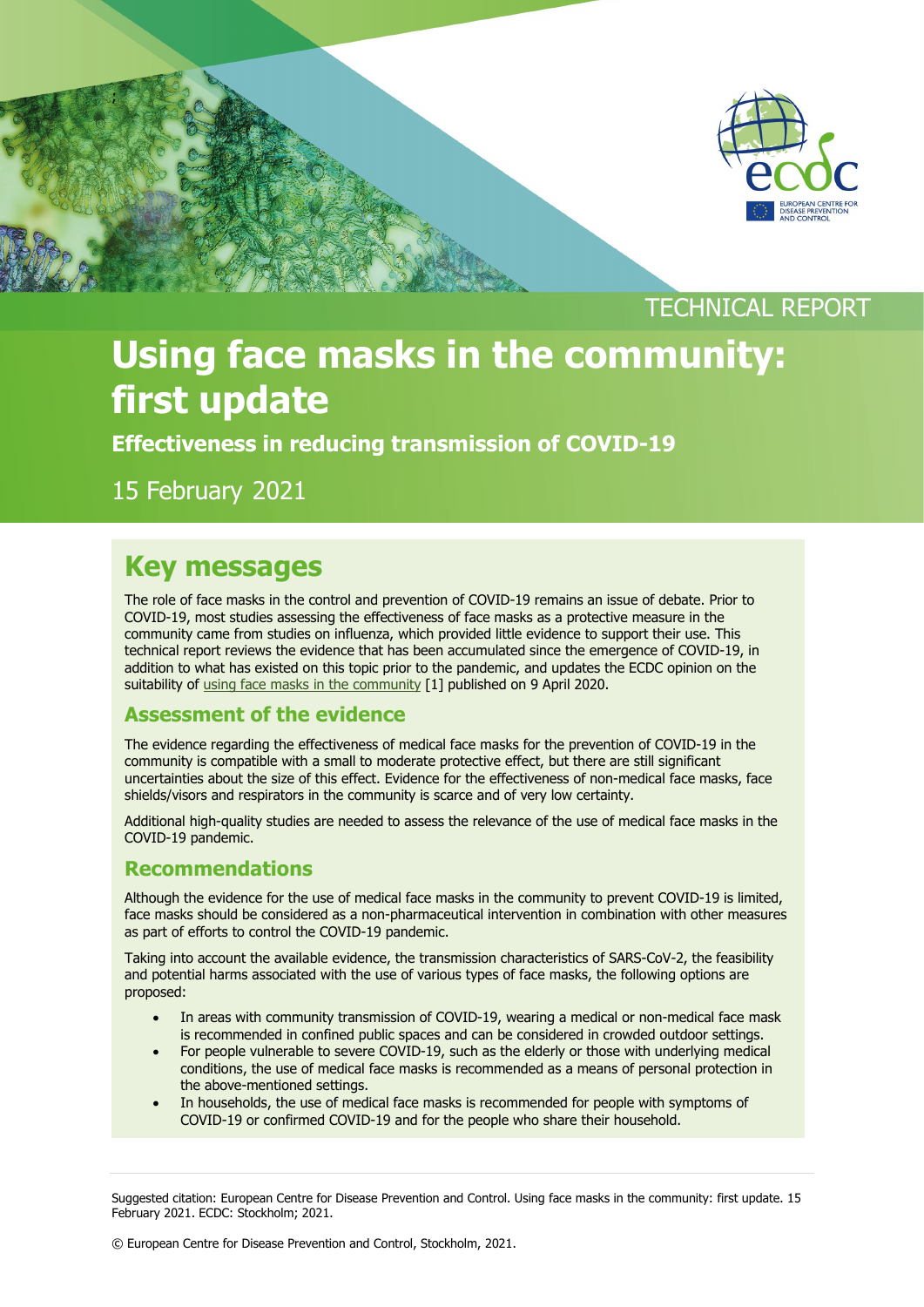

### TECHNICAL REPORT

# **Using face masks in the community: first update**

**Effectiveness in reducing transmission of COVID-19**

15 February 2021

;

### **Key messages**

The role of face masks in the control and prevention of COVID-19 remains an issue of debate. Prior to COVID-19, most studies assessing the effectiveness of face masks as a protective measure in the community came from studies on influenza, which provided little evidence to support their use. This technical report reviews the evidence that has been accumulated since the emergence of COVID-19, in addition to what has existed on this topic prior to the pandemic, and updates the ECDC opinion on the suitability of [using face masks in the community](https://www.ecdc.europa.eu/en/publications-data/using-face-masks-community-reducing-covid-19-transmission) [1] published on 9 April 2020.

#### **Assessment of the evidence**

The evidence regarding the effectiveness of medical face masks for the prevention of COVID-19 in the community is compatible with a small to moderate protective effect, but there are still significant uncertainties about the size of this effect. Evidence for the effectiveness of non-medical face masks, face shields/visors and respirators in the community is scarce and of very low certainty.

Additional high-quality studies are needed to assess the relevance of the use of medical face masks in the COVID-19 pandemic.

#### **Recommendations**

Although the evidence for the use of medical face masks in the community to prevent COVID-19 is limited, face masks should be considered as a non-pharmaceutical intervention in combination with other measures as part of efforts to control the COVID-19 pandemic.

Taking into account the available evidence, the transmission characteristics of SARS-CoV-2, the feasibility and potential harms associated with the use of various types of face masks, the following options are proposed:

- In areas with community transmission of COVID-19, wearing a medical or non-medical face mask is recommended in confined public spaces and can be considered in crowded outdoor settings.
- For people vulnerable to severe COVID-19, such as the elderly or those with underlying medical conditions, the use of medical face masks is recommended as a means of personal protection in the above-mentioned settings.
- In households, the use of medical face masks is recommended for people with symptoms of COVID-19 or confirmed COVID-19 and for the people who share their household.

Suggested citation: European Centre for Disease Prevention and Control. Using face masks in the community: first update. 15 February 2021. ECDC: Stockholm; 2021.

© European Centre for Disease Prevention and Control, Stockholm, 2021.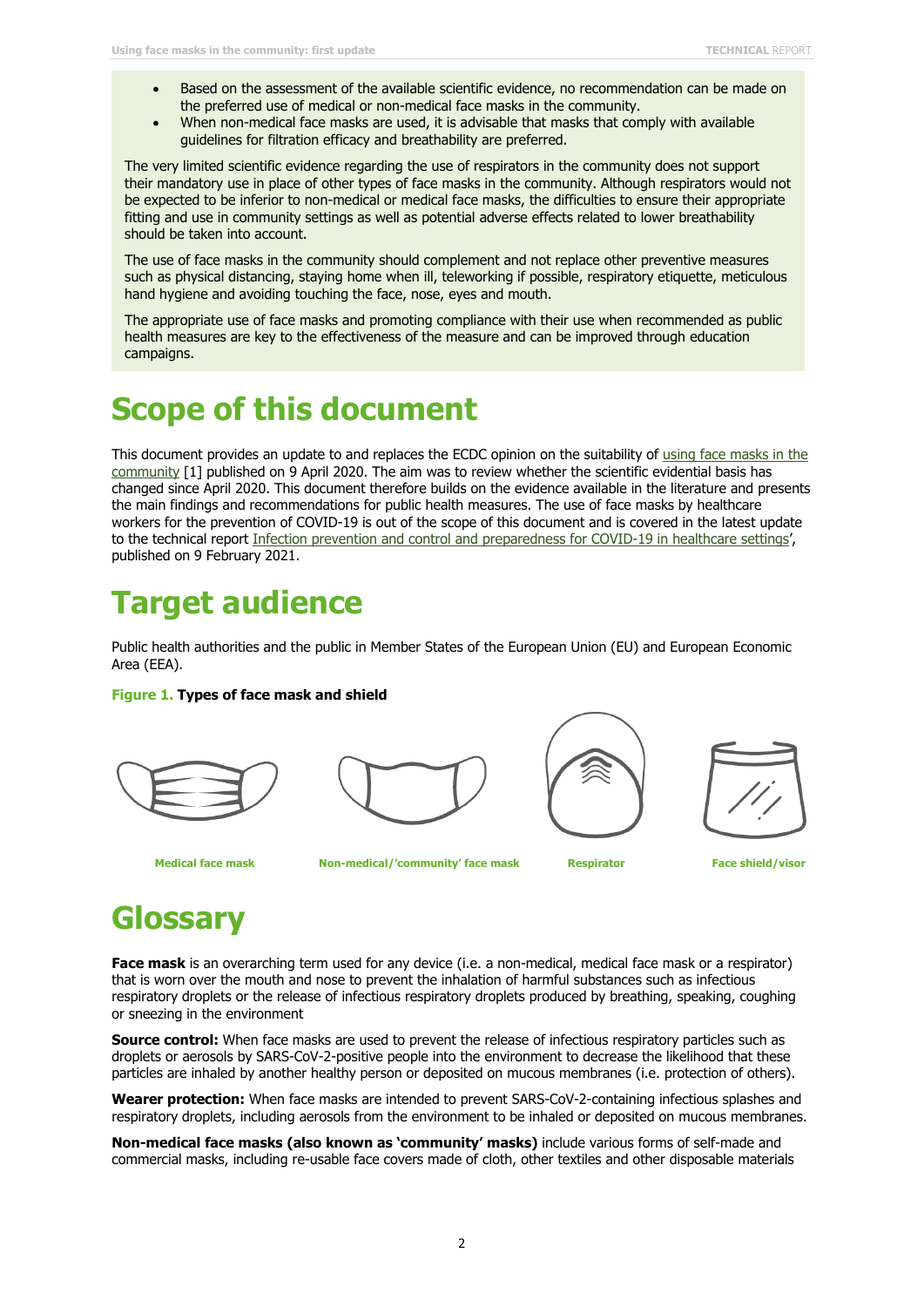- Based on the assessment of the available scientific evidence, no recommendation can be made on the preferred use of medical or non-medical face masks in the community.
- When non-medical face masks are used, it is advisable that masks that comply with available guidelines for filtration efficacy and breathability are preferred.

The very limited scientific evidence regarding the use of respirators in the community does not support their mandatory use in place of other types of face masks in the community. Although respirators would not be expected to be inferior to non-medical or medical face masks, the difficulties to ensure their appropriate fitting and use in community settings as well as potential adverse effects related to lower breathability should be taken into account.

The use of face masks in the community should complement and not replace other preventive measures such as physical distancing, staying home when ill, teleworking if possible, respiratory etiquette, meticulous hand hygiene and avoiding touching the face, nose, eyes and mouth.

The appropriate use of face masks and promoting compliance with their use when recommended as public health measures are key to the effectiveness of the measure and can be improved through education campaigns.

# **Scope of this document**

This document provides an update to and replaces the ECDC opinion on the suitability of using [face masks in the](https://www.ecdc.europa.eu/en/publications-data/using-face-masks-community-reducing-covid-19-transmission)  [community](https://www.ecdc.europa.eu/en/publications-data/using-face-masks-community-reducing-covid-19-transmission) [1] published on 9 April 2020. The aim was to review whether the scientific evidential basis has changed since April 2020. This document therefore builds on the evidence available in the literature and presents the main findings and recommendations for public health measures. The use of face masks by healthcare workers for the prevention of COVID-19 is out of the scope of this document and is covered in the latest update to the technical report [Infection prevention and control and preparedness for COVID-19 in healthcare settings',](https://www.ecdc.europa.eu/en/publications-data/infection-prevention-and-control-and-preparedness-covid-19-healthcare-settings) published on 9 February 2021.

# **Target audience**

Public health authorities and the public in Member States of the European Union (EU) and European Economic Area (EEA).

#### **Figure 1. Types of face mask and shield**









**Medical face mask https://www.medical/'community' face mask Respirator Respirator Face shield/visor <b>Respirator** 

# **Glossary**

**Face mask** is an overarching term used for any device (i.e. a non-medical, medical face mask or a respirator) that is worn over the mouth and nose to prevent the inhalation of harmful substances such as infectious respiratory droplets or the release of infectious respiratory droplets produced by breathing, speaking, coughing or sneezing in the environment

**Source control:** When face masks are used to prevent the release of infectious respiratory particles such as droplets or aerosols by SARS-CoV-2-positive people into the environment to decrease the likelihood that these particles are inhaled by another healthy person or deposited on mucous membranes (i.e. protection of others).

**Wearer protection:** When face masks are intended to prevent SARS-CoV-2-containing infectious splashes and respiratory droplets, including aerosols from the environment to be inhaled or deposited on mucous membranes.

**Non-medical face masks (also known as 'community' masks)** include various forms of self-made and commercial masks, including re-usable face covers made of cloth, other textiles and other disposable materials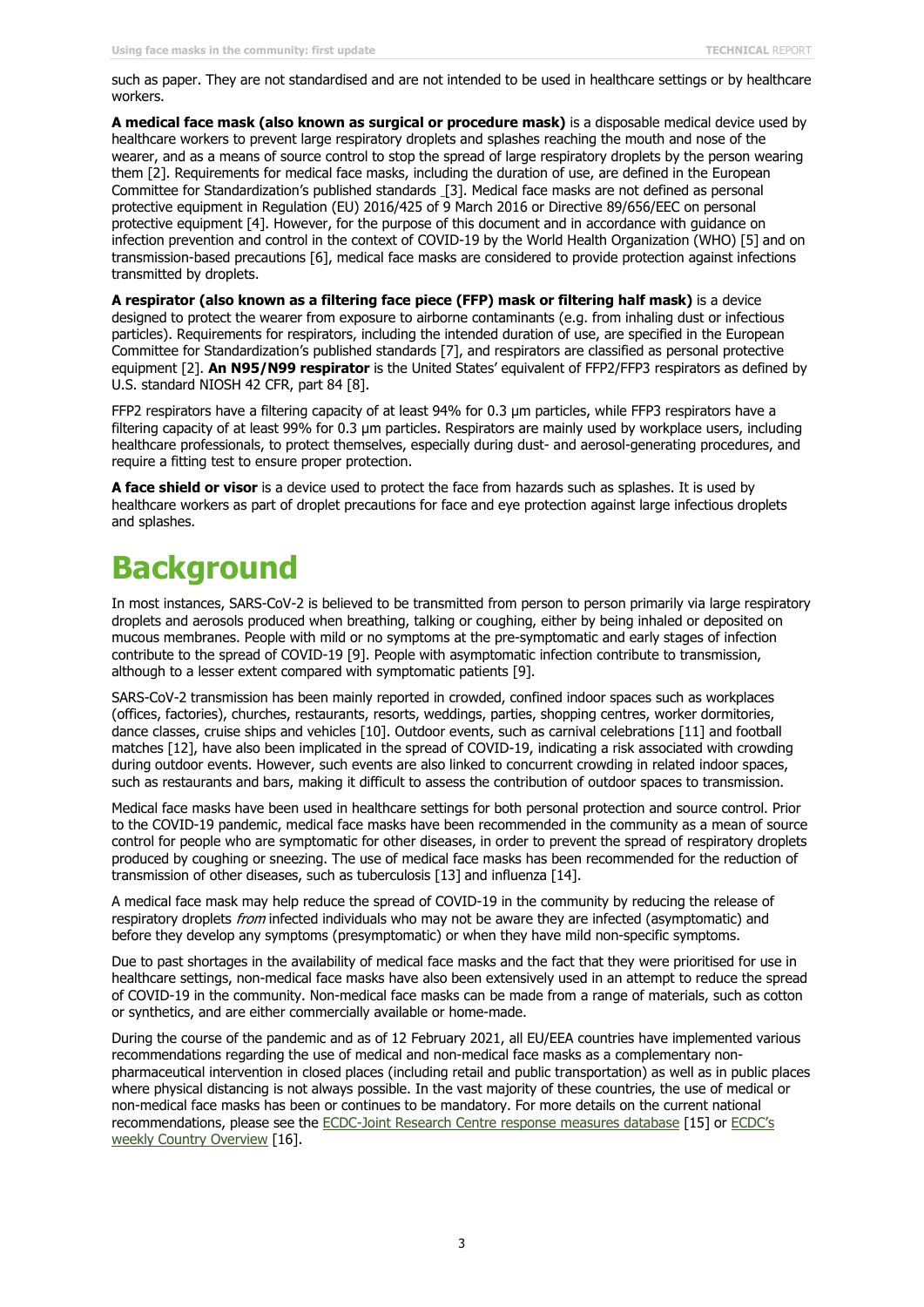such as paper. They are not standardised and are not intended to be used in healthcare settings or by healthcare workers.

**A medical face mask (also known as surgical or procedure mask)** is a disposable medical device used by healthcare workers to prevent large respiratory droplets and splashes reaching the mouth and nose of the wearer, and as a means of source control to stop the spread of large respiratory droplets by the person wearing them [2]. Requirements for medical face masks, including the duration of use, are defined in the European Committee for Standardization's published standards [3]. Medical face masks are not defined as personal protective equipment in [Regulation \(EU\) 2016/425 of 9 March 2016](https://eur-lex.europa.eu/legal-content/EN/TXT/?uri=CELEX:32016R0425) or Directive 89/656/EEC on personal protective equipment [4]. However, for the purpose of this document and in accordance with guidance on infection prevention and control in the context of COVID-19 by the World Health Organization (WHO) [5] and on transmission-based precautions [6], medical face masks are considered to provide protection against infections transmitted by droplets.

**A respirator (also known as a filtering face piece (FFP) mask or filtering half mask)** is a device designed to protect the wearer from exposure to airborne contaminants (e.g. from inhaling dust or infectious particles). Requirements for respirators, including the intended duration of use, are specified in the European Committee for Standardization's published standards [7], and respirators are classified as personal protective equipment [2]. **An N95/N99 respirator** is the United States' equivalent of FFP2/FFP3 respirators as defined by U.S. standard NIOSH 42 CFR, part 84 [8].

FFP2 respirators have a filtering capacity of at least 94% for 0.3 μm particles, while FFP3 respirators have a filtering capacity of at least 99% for 0.3 μm particles. Respirators are mainly used by workplace users, including healthcare professionals, to protect themselves, especially during dust- and aerosol-generating procedures, and require a fitting test to ensure proper protection.

**A face shield or visor** is a device used to protect the face from hazards such as splashes. It is used by healthcare workers as part of droplet precautions for face and eye protection against large infectious droplets and splashes.

# **Background**

In most instances, SARS-CoV-2 is believed to be transmitted from person to person primarily via large respiratory droplets and aerosols produced when breathing, talking or coughing, either by being inhaled or deposited on mucous membranes. People with mild or no symptoms at the pre-symptomatic and early stages of infection contribute to the spread of COVID-19 [9]. People with asymptomatic infection contribute to transmission, although to a lesser extent compared with symptomatic patients [9].

SARS-CoV-2 transmission has been mainly reported in crowded, confined indoor spaces such as workplaces (offices, factories), churches, restaurants, resorts, weddings, parties, shopping centres, worker dormitories, dance classes, cruise ships and vehicles [10]. Outdoor events, such as carnival celebrations [11] and football matches [12], have also been implicated in the spread of COVID-19, indicating a risk associated with crowding during outdoor events. However, such events are also linked to concurrent crowding in related indoor spaces, such as restaurants and bars, making it difficult to assess the contribution of outdoor spaces to transmission.

Medical face masks have been used in healthcare settings for both personal protection and source control. Prior to the COVID-19 pandemic, medical face masks have been recommended in the community as a mean of source control for people who are symptomatic for other diseases, in order to prevent the spread of respiratory droplets produced by coughing or sneezing. The use of medical face masks has been recommended for the reduction of transmission of other diseases, such as tuberculosis [13] and influenza [14].

A medical face mask may help reduce the spread of COVID-19 in the community by reducing the release of respiratory droplets from infected individuals who may not be aware they are infected (asymptomatic) and before they develop any symptoms (presymptomatic) or when they have mild non-specific symptoms.

Due to past shortages in the availability of medical face masks and the fact that they were prioritised for use in healthcare settings, non-medical face masks have also been extensively used in an attempt to reduce the spread of COVID-19 in the community. Non-medical face masks can be made from a range of materials, such as cotton or synthetics, and are either commercially available or home-made.

During the course of the pandemic and as of 12 February 2021, all EU/EEA countries have implemented various recommendations regarding the use of medical and non-medical face masks as a complementary nonpharmaceutical intervention in closed places (including retail and public transportation) as well as in public places where physical distancing is not always possible. In the vast majority of these countries, the use of medical or non-medical face masks has been or continues to be mandatory. For more details on the current national recommendations, please see the [ECDC-Joint Research Centre response measures database](https://covid-statistics.jrc.ec.europa.eu/RMeasures) [15] or [ECDC's](https://www.ecdc.europa.eu/en/covid-19/country-overviews)  [weekly Country Overview](https://www.ecdc.europa.eu/en/covid-19/country-overviews) [16].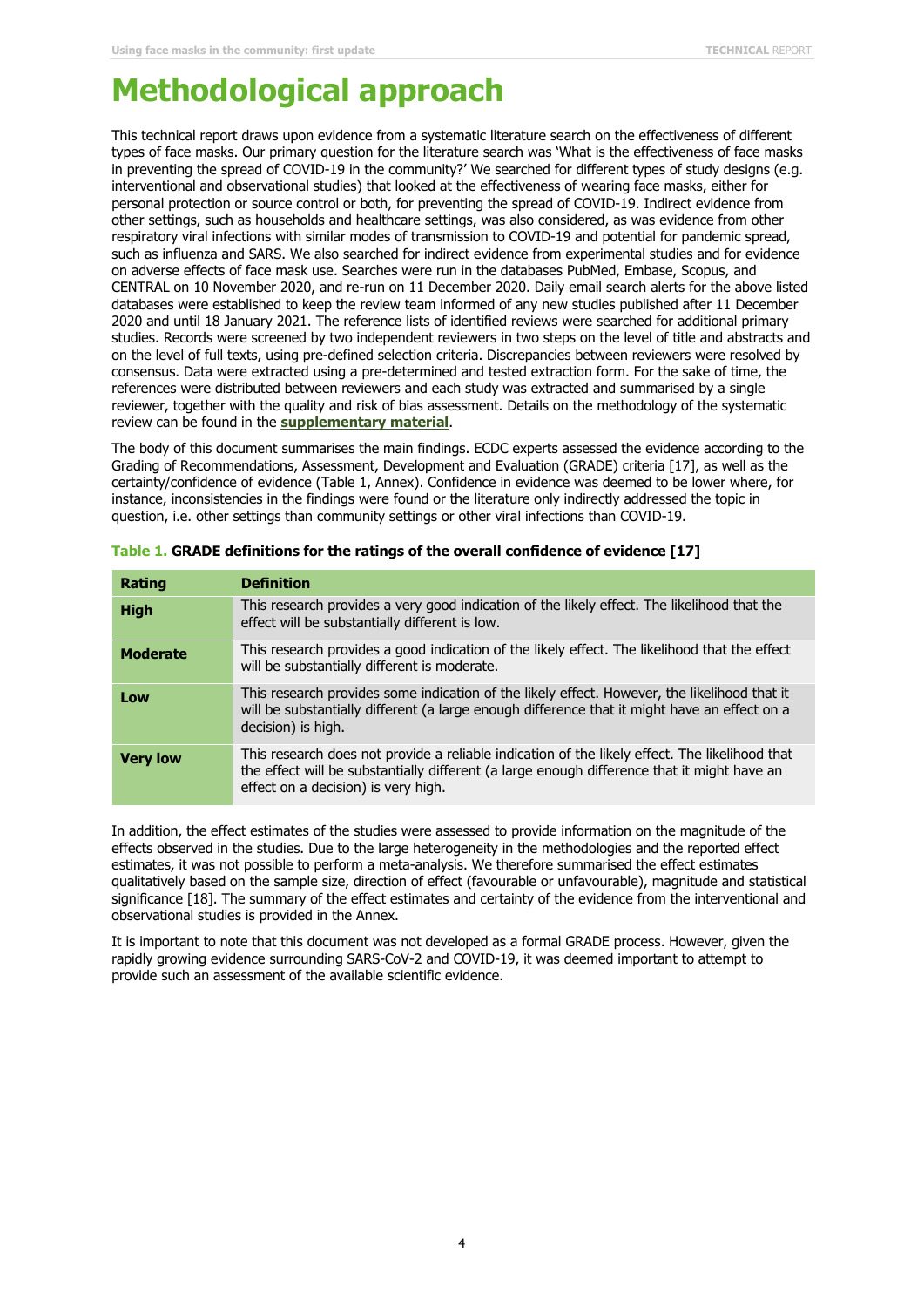## **Methodological approach**

This technical report draws upon evidence from a systematic literature search on the effectiveness of different types of face masks. Our primary question for the literature search was 'What is the effectiveness of face masks in preventing the spread of COVID-19 in the community?' We searched for different types of study designs (e.g. interventional and observational studies) that looked at the effectiveness of wearing face masks, either for personal protection or source control or both, for preventing the spread of COVID-19. Indirect evidence from other settings, such as households and healthcare settings, was also considered, as was evidence from other respiratory viral infections with similar modes of transmission to COVID-19 and potential for pandemic spread, such as influenza and SARS. We also searched for indirect evidence from experimental studies and for evidence on adverse effects of face mask use. Searches were run in the databases PubMed, Embase, Scopus, and CENTRAL on 10 November 2020, and re-run on 11 December 2020. Daily email search alerts for the above listed databases were established to keep the review team informed of any new studies published after 11 December 2020 and until 18 January 2021. The reference lists of identified reviews were searched for additional primary studies. Records were screened by two independent reviewers in two steps on the level of title and abstracts and on the level of full texts, using pre-defined selection criteria. Discrepancies between reviewers were resolved by consensus. Data were extracted using a pre-determined and tested extraction form. For the sake of time, the references were distributed between reviewers and each study was extracted and summarised by a single reviewer, together with the quality and risk of bias assessment. Details on the methodology of the systematic review can be found in the **[supplementary material](https://www.ecdc.europa.eu/sites/default/files/documents/covid-19-supplementary-material-face-masks-in-community.pdf)**.

The body of this document summarises the main findings. ECDC experts assessed the evidence according to the Grading of Recommendations, Assessment, Development and Evaluation (GRADE) criteria [17], as well as the certainty/confidence of evidence (Table 1, Annex). Confidence in evidence was deemed to be lower where, for instance, inconsistencies in the findings were found or the literature only indirectly addressed the topic in question, i.e. other settings than community settings or other viral infections than COVID-19.

| <b>Rating</b>   | <b>Definition</b>                                                                                                                                                                                                                    |
|-----------------|--------------------------------------------------------------------------------------------------------------------------------------------------------------------------------------------------------------------------------------|
| <b>High</b>     | This research provides a very good indication of the likely effect. The likelihood that the<br>effect will be substantially different is low.                                                                                        |
| <b>Moderate</b> | This research provides a good indication of the likely effect. The likelihood that the effect<br>will be substantially different is moderate.                                                                                        |
| Low             | This research provides some indication of the likely effect. However, the likelihood that it<br>will be substantially different (a large enough difference that it might have an effect on a<br>decision) is high.                   |
| <b>Very low</b> | This research does not provide a reliable indication of the likely effect. The likelihood that<br>the effect will be substantially different (a large enough difference that it might have an<br>effect on a decision) is very high. |

| Table 1. GRADE definitions for the ratings of the overall confidence of evidence [17] |  |  |  |  |  |  |  |  |
|---------------------------------------------------------------------------------------|--|--|--|--|--|--|--|--|
|---------------------------------------------------------------------------------------|--|--|--|--|--|--|--|--|

In addition, the effect estimates of the studies were assessed to provide information on the magnitude of the effects observed in the studies. Due to the large heterogeneity in the methodologies and the reported effect estimates, it was not possible to perform a meta-analysis. We therefore summarised the effect estimates qualitatively based on the sample size, direction of effect (favourable or unfavourable), magnitude and statistical significance [18]. The summary of the effect estimates and certainty of the evidence from the interventional and observational studies is provided in the Annex.

It is important to note that this document was not developed as a formal GRADE process. However, given the rapidly growing evidence surrounding SARS-CoV-2 and COVID-19, it was deemed important to attempt to provide such an assessment of the available scientific evidence.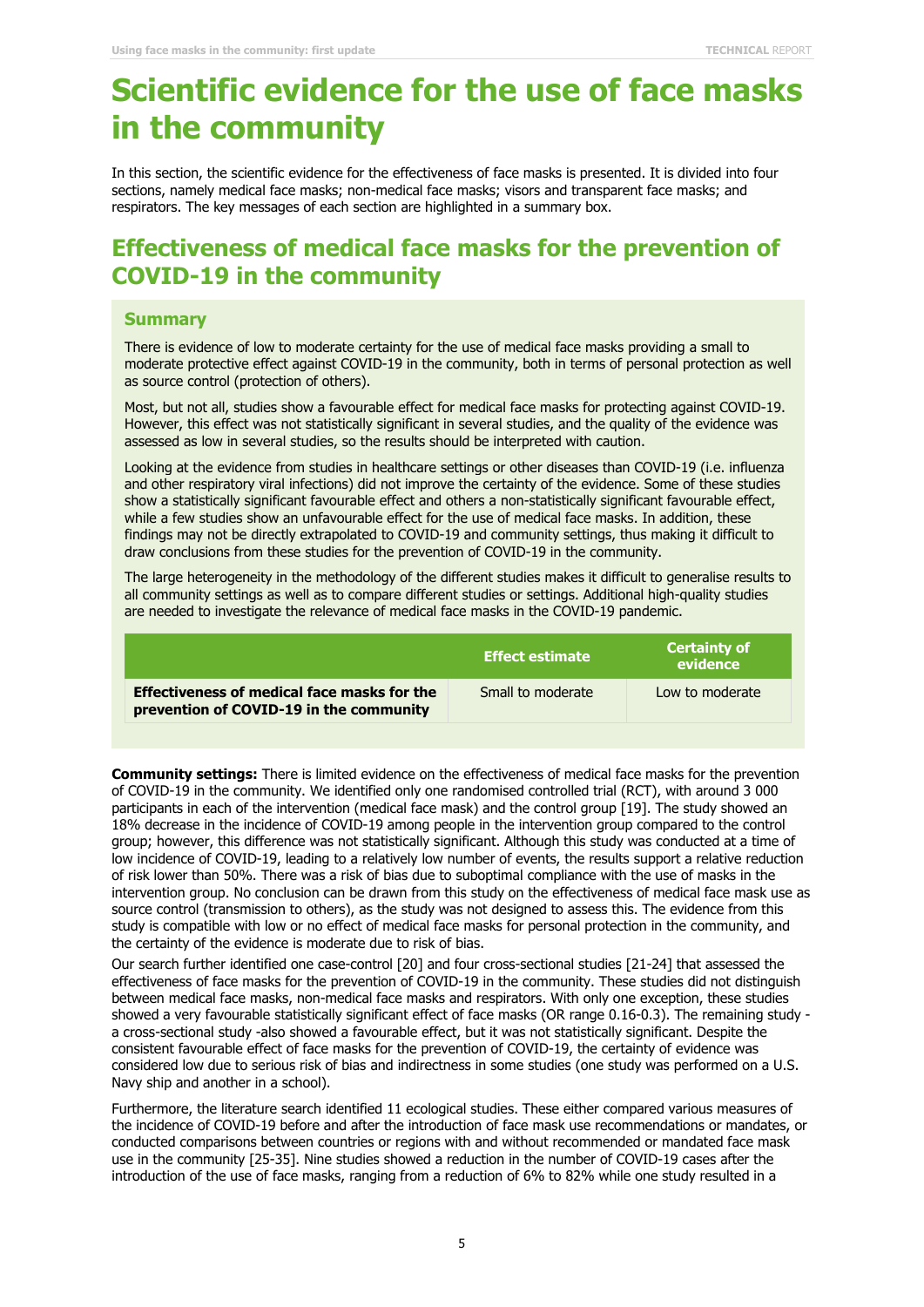## **Scientific evidence for the use of face masks in the community**

In this section, the scientific evidence for the effectiveness of face masks is presented. It is divided into four sections, namely medical face masks; non-medical face masks; visors and transparent face masks; and respirators. The key messages of each section are highlighted in a summary box.

### **Effectiveness of medical face masks for the prevention of COVID-19 in the community**

#### **Summary**

There is evidence of low to moderate certainty for the use of medical face masks providing a small to moderate protective effect against COVID-19 in the community, both in terms of personal protection as well as source control (protection of others).

Most, but not all, studies show a favourable effect for medical face masks for protecting against COVID-19. However, this effect was not statistically significant in several studies, and the quality of the evidence was assessed as low in several studies, so the results should be interpreted with caution.

Looking at the evidence from studies in healthcare settings or other diseases than COVID-19 (i.e. influenza and other respiratory viral infections) did not improve the certainty of the evidence. Some of these studies show a statistically significant favourable effect and others a non-statistically significant favourable effect, while a few studies show an unfavourable effect for the use of medical face masks. In addition, these findings may not be directly extrapolated to COVID-19 and community settings, thus making it difficult to draw conclusions from these studies for the prevention of COVID-19 in the community.

The large heterogeneity in the methodology of the different studies makes it difficult to generalise results to all community settings as well as to compare different studies or settings. Additional high-quality studies are needed to investigate the relevance of medical face masks in the COVID-19 pandemic.

|                                                                                               | l Effect estimate ' | <b>Certainty of</b><br>evidence |
|-----------------------------------------------------------------------------------------------|---------------------|---------------------------------|
| <b>Effectiveness of medical face masks for the</b><br>prevention of COVID-19 in the community | Small to moderate   | Low to moderate                 |

**Community settings:** There is limited evidence on the effectiveness of medical face masks for the prevention of COVID-19 in the community. We identified only one randomised controlled trial (RCT), with around 3 000 participants in each of the intervention (medical face mask) and the control group [19]. The study showed an 18% decrease in the incidence of COVID-19 among people in the intervention group compared to the control group; however, this difference was not statistically significant. Although this study was conducted at a time of low incidence of COVID-19, leading to a relatively low number of events, the results support a relative reduction of risk lower than 50%. There was a risk of bias due to suboptimal compliance with the use of masks in the intervention group. No conclusion can be drawn from this study on the effectiveness of medical face mask use as source control (transmission to others), as the study was not designed to assess this. The evidence from this study is compatible with low or no effect of medical face masks for personal protection in the community, and the certainty of the evidence is moderate due to risk of bias.

Our search further identified one case-control [20] and four cross-sectional studies [21-24] that assessed the effectiveness of face masks for the prevention of COVID-19 in the community. These studies did not distinguish between medical face masks, non-medical face masks and respirators. With only one exception, these studies showed a very favourable statistically significant effect of face masks (OR range 0.16-0.3). The remaining study a cross-sectional study -also showed a favourable effect, but it was not statistically significant. Despite the consistent favourable effect of face masks for the prevention of COVID-19, the certainty of evidence was considered low due to serious risk of bias and indirectness in some studies (one study was performed on a U.S. Navy ship and another in a school).

Furthermore, the literature search identified 11 ecological studies. These either compared various measures of the incidence of COVID-19 before and after the introduction of face mask use recommendations or mandates, or conducted comparisons between countries or regions with and without recommended or mandated face mask use in the community [25-35]. Nine studies showed a reduction in the number of COVID-19 cases after the introduction of the use of face masks, ranging from a reduction of 6% to 82% while one study resulted in a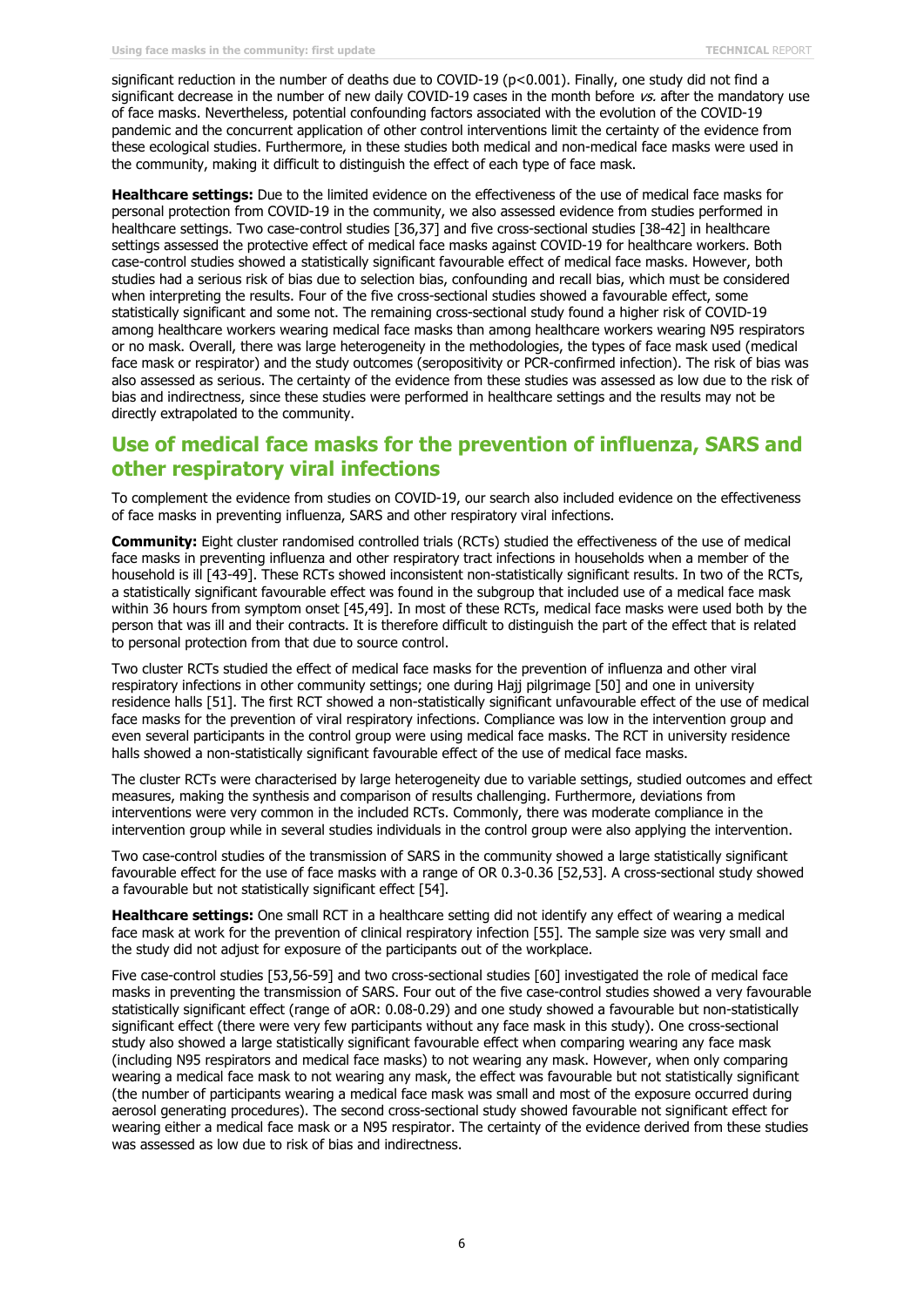significant reduction in the number of deaths due to COVID-19 (p<0.001). Finally, one study did not find a significant decrease in the number of new daily COVID-19 cases in the month before  $\kappa s$ , after the mandatory use of face masks. Nevertheless, potential confounding factors associated with the evolution of the COVID-19 pandemic and the concurrent application of other control interventions limit the certainty of the evidence from these ecological studies. Furthermore, in these studies both medical and non-medical face masks were used in the community, making it difficult to distinguish the effect of each type of face mask.

**Healthcare settings:** Due to the limited evidence on the effectiveness of the use of medical face masks for personal protection from COVID-19 in the community, we also assessed evidence from studies performed in healthcare settings. Two case-control studies [36,37] and five cross-sectional studies [38-42] in healthcare settings assessed the protective effect of medical face masks against COVID-19 for healthcare workers. Both case-control studies showed a statistically significant favourable effect of medical face masks. However, both studies had a serious risk of bias due to selection bias, confounding and recall bias, which must be considered when interpreting the results. Four of the five cross-sectional studies showed a favourable effect, some statistically significant and some not. The remaining cross-sectional study found a higher risk of COVID-19 among healthcare workers wearing medical face masks than among healthcare workers wearing N95 respirators or no mask. Overall, there was large heterogeneity in the methodologies, the types of face mask used (medical face mask or respirator) and the study outcomes (seropositivity or PCR-confirmed infection). The risk of bias was also assessed as serious. The certainty of the evidence from these studies was assessed as low due to the risk of bias and indirectness, since these studies were performed in healthcare settings and the results may not be directly extrapolated to the community.

### **Use of medical face masks for the prevention of influenza, SARS and other respiratory viral infections**

To complement the evidence from studies on COVID-19, our search also included evidence on the effectiveness of face masks in preventing influenza, SARS and other respiratory viral infections.

**Community:** Eight cluster randomised controlled trials (RCTs) studied the effectiveness of the use of medical face masks in preventing influenza and other respiratory tract infections in households when a member of the household is ill [43-49]. These RCTs showed inconsistent non-statistically significant results. In two of the RCTs, a statistically significant favourable effect was found in the subgroup that included use of a medical face mask within 36 hours from symptom onset [45,49]. In most of these RCTs, medical face masks were used both by the person that was ill and their contracts. It is therefore difficult to distinguish the part of the effect that is related to personal protection from that due to source control.

Two cluster RCTs studied the effect of medical face masks for the prevention of influenza and other viral respiratory infections in other community settings; one during Hajj pilgrimage [50] and one in university residence halls [51]. The first RCT showed a non-statistically significant unfavourable effect of the use of medical face masks for the prevention of viral respiratory infections. Compliance was low in the intervention group and even several participants in the control group were using medical face masks. The RCT in university residence halls showed a non-statistically significant favourable effect of the use of medical face masks.

The cluster RCTs were characterised by large heterogeneity due to variable settings, studied outcomes and effect measures, making the synthesis and comparison of results challenging. Furthermore, deviations from interventions were very common in the included RCTs. Commonly, there was moderate compliance in the intervention group while in several studies individuals in the control group were also applying the intervention.

Two case-control studies of the transmission of SARS in the community showed a large statistically significant favourable effect for the use of face masks with a range of OR 0.3-0.36 [52,53]. A cross-sectional study showed a favourable but not statistically significant effect [54].

**Healthcare settings:** One small RCT in a healthcare setting did not identify any effect of wearing a medical face mask at work for the prevention of clinical respiratory infection [55]. The sample size was very small and the study did not adjust for exposure of the participants out of the workplace.

Five case-control studies [53,56-59] and two cross-sectional studies [60] investigated the role of medical face masks in preventing the transmission of SARS. Four out of the five case-control studies showed a very favourable statistically significant effect (range of aOR: 0.08-0.29) and one study showed a favourable but non-statistically significant effect (there were very few participants without any face mask in this study). One cross-sectional study also showed a large statistically significant favourable effect when comparing wearing any face mask (including N95 respirators and medical face masks) to not wearing any mask. However, when only comparing wearing a medical face mask to not wearing any mask, the effect was favourable but not statistically significant (the number of participants wearing a medical face mask was small and most of the exposure occurred during aerosol generating procedures). The second cross-sectional study showed favourable not significant effect for wearing either a medical face mask or a N95 respirator. The certainty of the evidence derived from these studies was assessed as low due to risk of bias and indirectness.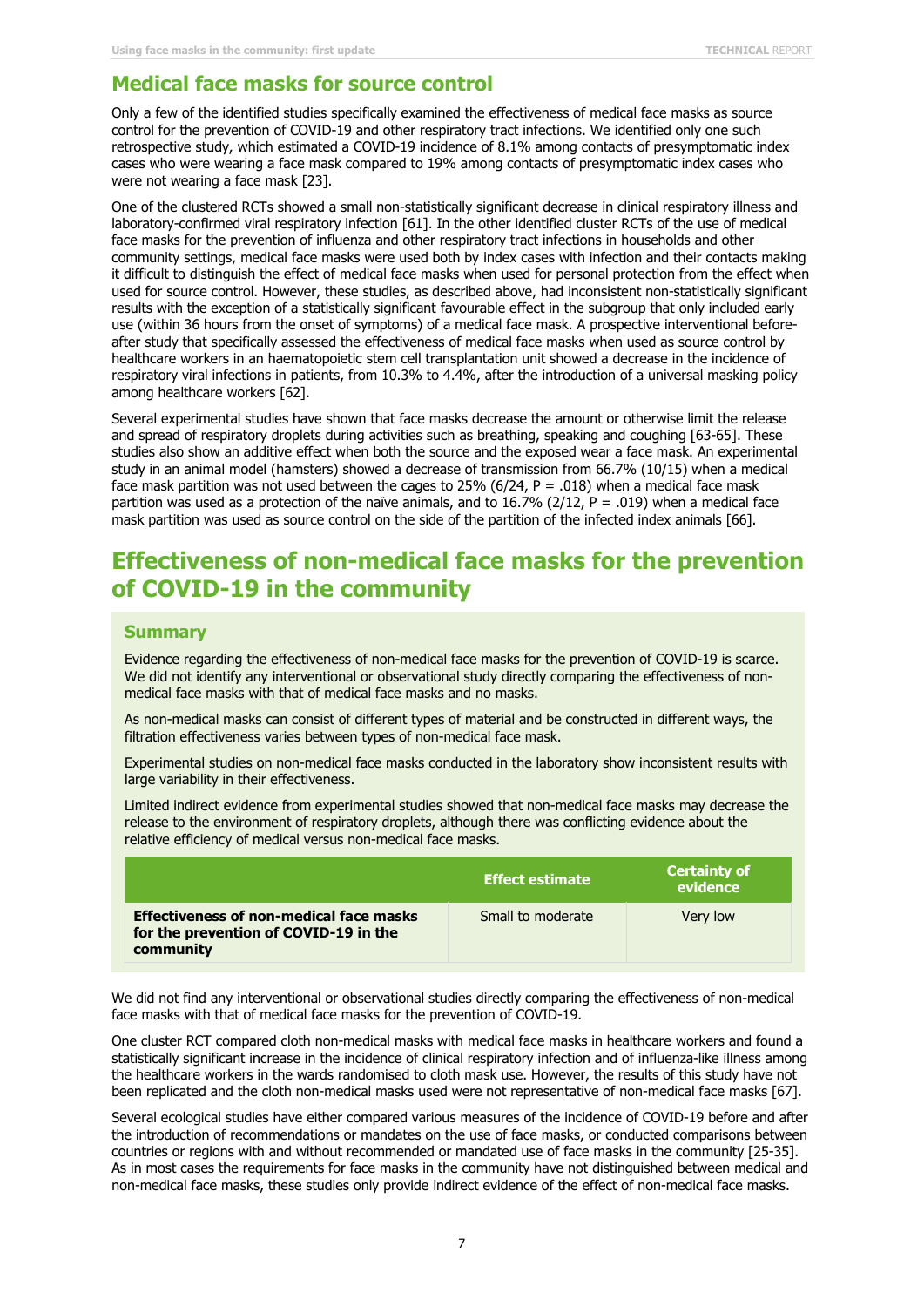#### **Medical face masks for source control**

Only a few of the identified studies specifically examined the effectiveness of medical face masks as source control for the prevention of COVID-19 and other respiratory tract infections. We identified only one such retrospective study, which estimated a COVID-19 incidence of 8.1% among contacts of presymptomatic index cases who were wearing a face mask compared to 19% among contacts of presymptomatic index cases who were not wearing a face mask [23].

One of the clustered RCTs showed a small non-statistically significant decrease in clinical respiratory illness and laboratory-confirmed viral respiratory infection [61]. In the other identified cluster RCTs of the use of medical face masks for the prevention of influenza and other respiratory tract infections in households and other community settings, medical face masks were used both by index cases with infection and their contacts making it difficult to distinguish the effect of medical face masks when used for personal protection from the effect when used for source control. However, these studies, as described above, had inconsistent non-statistically significant results with the exception of a statistically significant favourable effect in the subgroup that only included early use (within 36 hours from the onset of symptoms) of a medical face mask. A prospective interventional beforeafter study that specifically assessed the effectiveness of medical face masks when used as source control by healthcare workers in an haematopoietic stem cell transplantation unit showed a decrease in the incidence of respiratory viral infections in patients, from 10.3% to 4.4%, after the introduction of a universal masking policy among healthcare workers [62].

Several experimental studies have shown that face masks decrease the amount or otherwise limit the release and spread of respiratory droplets during activities such as breathing, speaking and coughing [63-65]. These studies also show an additive effect when both the source and the exposed wear a face mask. An experimental study in an animal model (hamsters) showed a decrease of transmission from 66.7% (10/15) when a medical face mask partition was not used between the cages to 25% (6/24, P = .018) when a medical face mask partition was used as a protection of the naïve animals, and to 16.7% (2/12,  $P = .019$ ) when a medical face mask partition was used as source control on the side of the partition of the infected index animals [66].

### **Effectiveness of non-medical face masks for the prevention of COVID-19 in the community**

#### **Summary**

Evidence regarding the effectiveness of non-medical face masks for the prevention of COVID-19 is scarce. We did not identify any interventional or observational study directly comparing the effectiveness of nonmedical face masks with that of medical face masks and no masks.

As non-medical masks can consist of different types of material and be constructed in different ways, the filtration effectiveness varies between types of non-medical face mask.

Experimental studies on non-medical face masks conducted in the laboratory show inconsistent results with large variability in their effectiveness.

Limited indirect evidence from experimental studies showed that non-medical face masks may decrease the release to the environment of respiratory droplets, although there was conflicting evidence about the relative efficiency of medical versus non-medical face masks.

|                                                                                                      | <b>Effect estimate</b> | <b>Certainty of</b><br>evidence |
|------------------------------------------------------------------------------------------------------|------------------------|---------------------------------|
| <b>Effectiveness of non-medical face masks</b><br>for the prevention of COVID-19 in the<br>community | Small to moderate      | Very low                        |

We did not find any interventional or observational studies directly comparing the effectiveness of non-medical face masks with that of medical face masks for the prevention of COVID-19.

One cluster RCT compared cloth non-medical masks with medical face masks in healthcare workers and found a statistically significant increase in the incidence of clinical respiratory infection and of influenza-like illness among the healthcare workers in the wards randomised to cloth mask use. However, the results of this study have not been replicated and the cloth non-medical masks used were not representative of non-medical face masks [67].

Several ecological studies have either compared various measures of the incidence of COVID-19 before and after the introduction of recommendations or mandates on the use of face masks, or conducted comparisons between countries or regions with and without recommended or mandated use of face masks in the community [25-35]. As in most cases the requirements for face masks in the community have not distinguished between medical and non-medical face masks, these studies only provide indirect evidence of the effect of non-medical face masks.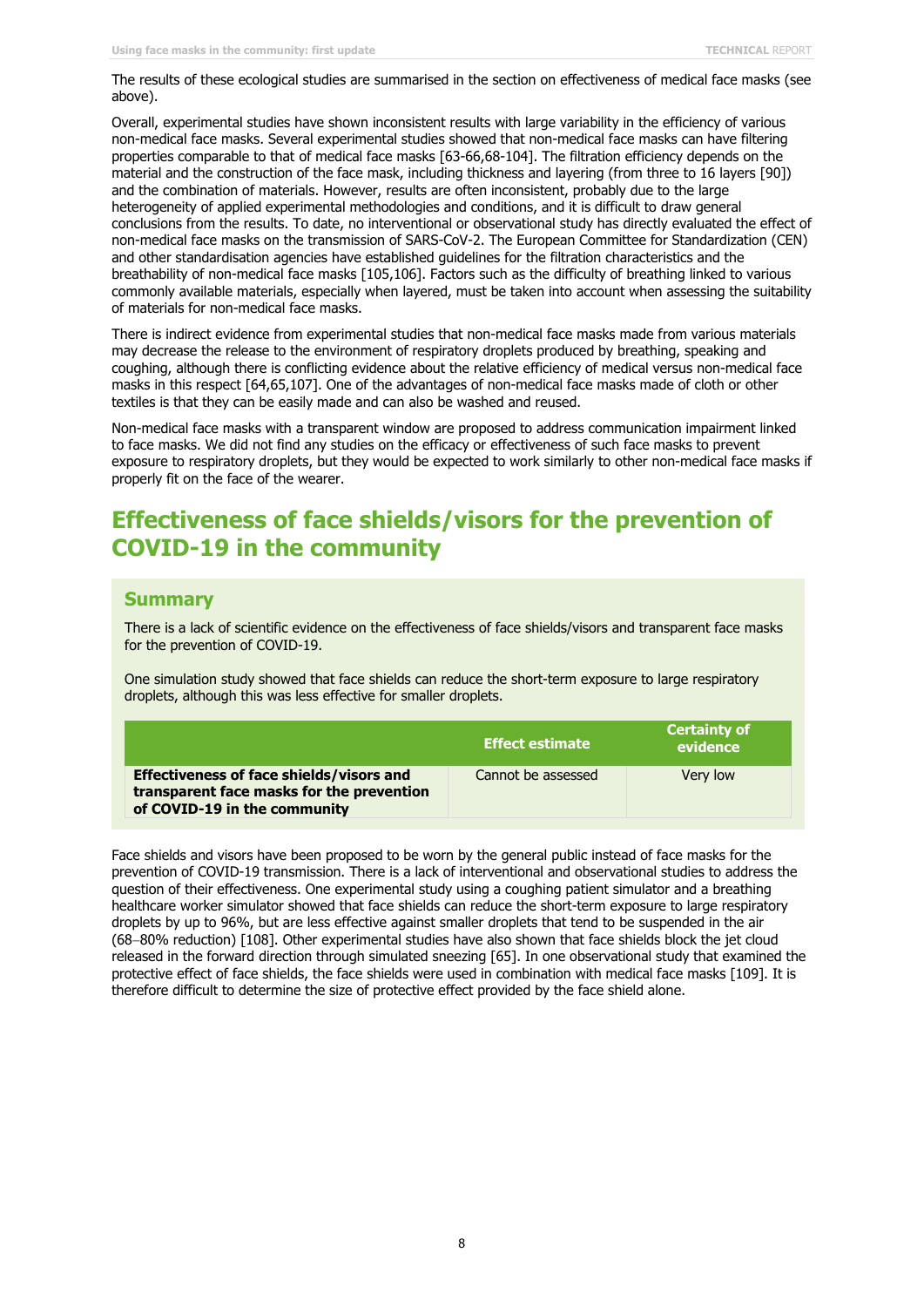The results of these ecological studies are summarised in the section on effectiveness of medical face masks (see above).

Overall, experimental studies have shown inconsistent results with large variability in the efficiency of various non-medical face masks. Several experimental studies showed that non-medical face masks can have filtering properties comparable to that of medical face masks [63-66,68-104]. The filtration efficiency depends on the material and the construction of the face mask, including thickness and layering (from three to 16 layers [90]) and the combination of materials. However, results are often inconsistent, probably due to the large heterogeneity of applied experimental methodologies and conditions, and it is difficult to draw general conclusions from the results. To date, no interventional or observational study has directly evaluated the effect of non-medical face masks on the transmission of SARS-CoV-2. The European Committee for Standardization (CEN) and other standardisation agencies have established guidelines for the filtration characteristics and the breathability of non-medical face masks [105,106]. Factors such as the difficulty of breathing linked to various commonly available materials, especially when layered, must be taken into account when assessing the suitability of materials for non-medical face masks.

There is indirect evidence from experimental studies that non-medical face masks made from various materials may decrease the release to the environment of respiratory droplets produced by breathing, speaking and coughing, although there is conflicting evidence about the relative efficiency of medical versus non-medical face masks in this respect [64,65,107]. One of the advantages of non-medical face masks made of cloth or other textiles is that they can be easily made and can also be washed and reused.

Non-medical face masks with a transparent window are proposed to address communication impairment linked to face masks. We did not find any studies on the efficacy or effectiveness of such face masks to prevent exposure to respiratory droplets, but they would be expected to work similarly to other non-medical face masks if properly fit on the face of the wearer.

### **Effectiveness of face shields/visors for the prevention of COVID-19 in the community**

#### **Summary**

There is a lack of scientific evidence on the effectiveness of face shields/visors and transparent face masks for the prevention of COVID-19.

One simulation study showed that face shields can reduce the short-term exposure to large respiratory droplets, although this was less effective for smaller droplets.

|                                                                                                                              | <b>Effect estimate</b> | <b>Certainty of</b><br>evidence |
|------------------------------------------------------------------------------------------------------------------------------|------------------------|---------------------------------|
| <b>Effectiveness of face shields/visors and</b><br>transparent face masks for the prevention<br>of COVID-19 in the community | Cannot be assessed     | Very low                        |

Face shields and visors have been proposed to be worn by the general public instead of face masks for the prevention of COVID-19 transmission. There is a lack of interventional and observational studies to address the question of their effectiveness. One experimental study using a coughing patient simulator and a breathing healthcare worker simulator showed that face shields can reduce the short-term exposure to large respiratory droplets by up to 96%, but are less effective against smaller droplets that tend to be suspended in the air (68−80% reduction) [108]. Other experimental studies have also shown that face shields block the jet cloud released in the forward direction through simulated sneezing [65]. In one observational study that examined the protective effect of face shields, the face shields were used in combination with medical face masks [109]. It is therefore difficult to determine the size of protective effect provided by the face shield alone.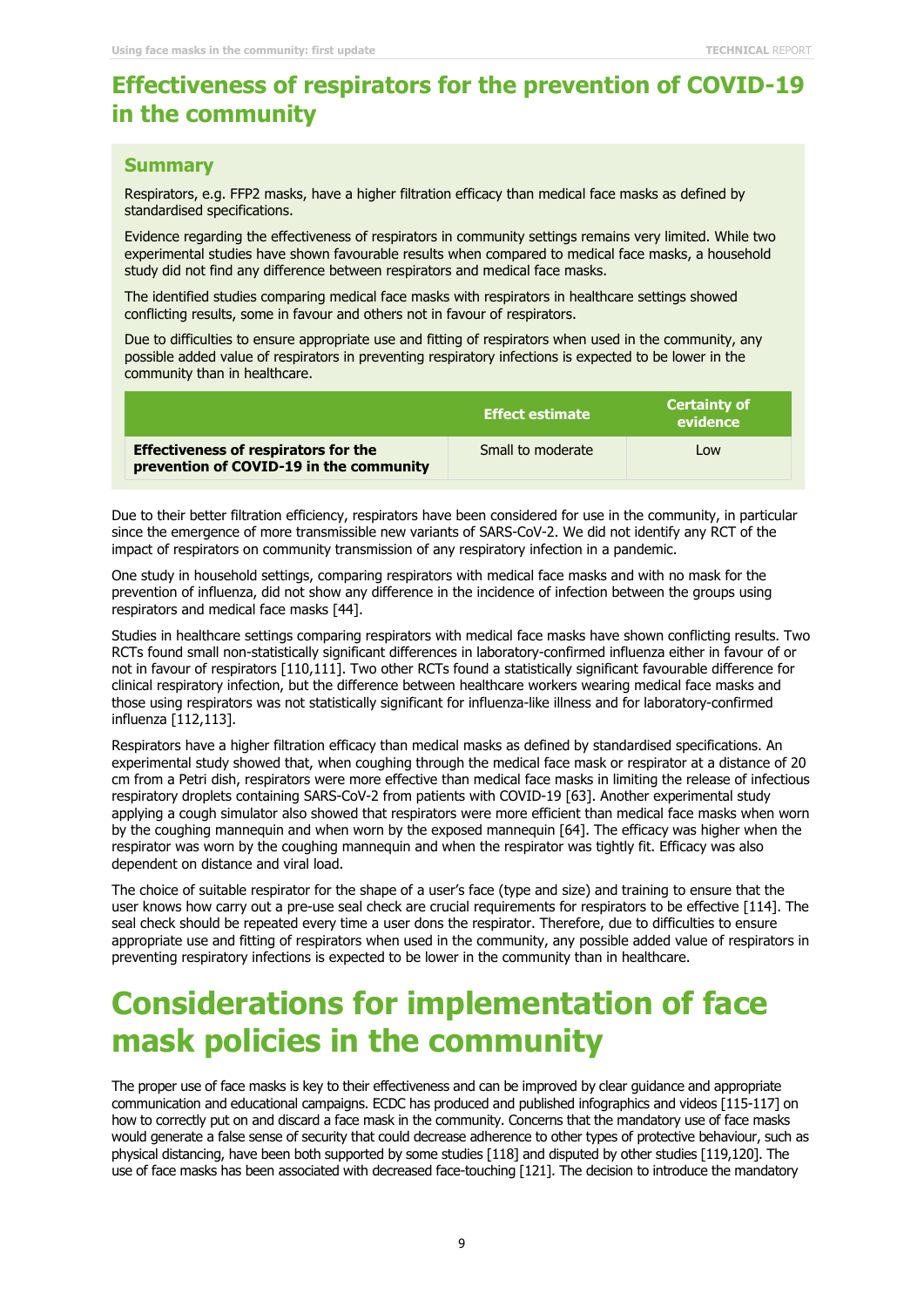### **Effectiveness of respirators for the prevention of COVID-19 in the community**

#### **Summary**

Respirators, e.g. FFP2 masks, have a higher filtration efficacy than medical face masks as defined by standardised specifications.

Evidence regarding the effectiveness of respirators in community settings remains very limited. While two experimental studies have shown favourable results when compared to medical face masks, a household study did not find any difference between respirators and medical face masks.

The identified studies comparing medical face masks with respirators in healthcare settings showed conflicting results, some in favour and others not in favour of respirators.

Due to difficulties to ensure appropriate use and fitting of respirators when used in the community, any possible added value of respirators in preventing respiratory infections is expected to be lower in the community than in healthcare.

|                                                                                        | <b>Effect estimate</b> | <b>Certainty of</b><br>evidence |
|----------------------------------------------------------------------------------------|------------------------|---------------------------------|
| <b>Effectiveness of respirators for the</b><br>prevention of COVID-19 in the community | Small to moderate      | Low                             |

Due to their better filtration efficiency, respirators have been considered for use in the community, in particular since the emergence of more transmissible new variants of SARS-CoV-2. We did not identify any RCT of the impact of respirators on community transmission of any respiratory infection in a pandemic.

One study in household settings, comparing respirators with medical face masks and with no mask for the prevention of influenza, did not show any difference in the incidence of infection between the groups using respirators and medical face masks [44].

Studies in healthcare settings comparing respirators with medical face masks have shown conflicting results. Two RCTs found small non-statistically significant differences in laboratory-confirmed influenza either in favour of or not in favour of respirators [110,111]. Two other RCTs found a statistically significant favourable difference for clinical respiratory infection, but the difference between healthcare workers wearing medical face masks and those using respirators was not statistically significant for influenza-like illness and for laboratory-confirmed influenza [112,113].

Respirators have a higher filtration efficacy than medical masks as defined by standardised specifications. An experimental study showed that, when coughing through the medical face mask or respirator at a distance of 20 cm from a Petri dish, respirators were more effective than medical face masks in limiting the release of infectious respiratory droplets containing SARS-CoV-2 from patients with COVID-19 [63]. Another experimental study applying a cough simulator also showed that respirators were more efficient than medical face masks when worn by the coughing mannequin and when worn by the exposed mannequin [64]. The efficacy was higher when the respirator was worn by the coughing mannequin and when the respirator was tightly fit. Efficacy was also dependent on distance and viral load.

The choice of suitable respirator for the shape of a user's face (type and size) and training to ensure that the user knows how carry out a pre-use seal check are crucial requirements for respirators to be effective [114]. The seal check should be repeated every time a user dons the respirator. Therefore, due to difficulties to ensure appropriate use and fitting of respirators when used in the community, any possible added value of respirators in preventing respiratory infections is expected to be lower in the community than in healthcare.

## **Considerations for implementation of face mask policies in the community**

The proper use of face masks is key to their effectiveness and can be improved by clear guidance and appropriate communication and educational campaigns. ECDC has produced and published infographics and videos [115-117] on how to correctly put on and discard a face mask in the community. Concerns that the mandatory use of face masks would generate a false sense of security that could decrease adherence to other types of protective behaviour, such as physical distancing, have been both supported by some studies [118] and disputed by other studies [119,120]. The use of face masks has been associated with decreased face-touching [121]. The decision to introduce the mandatory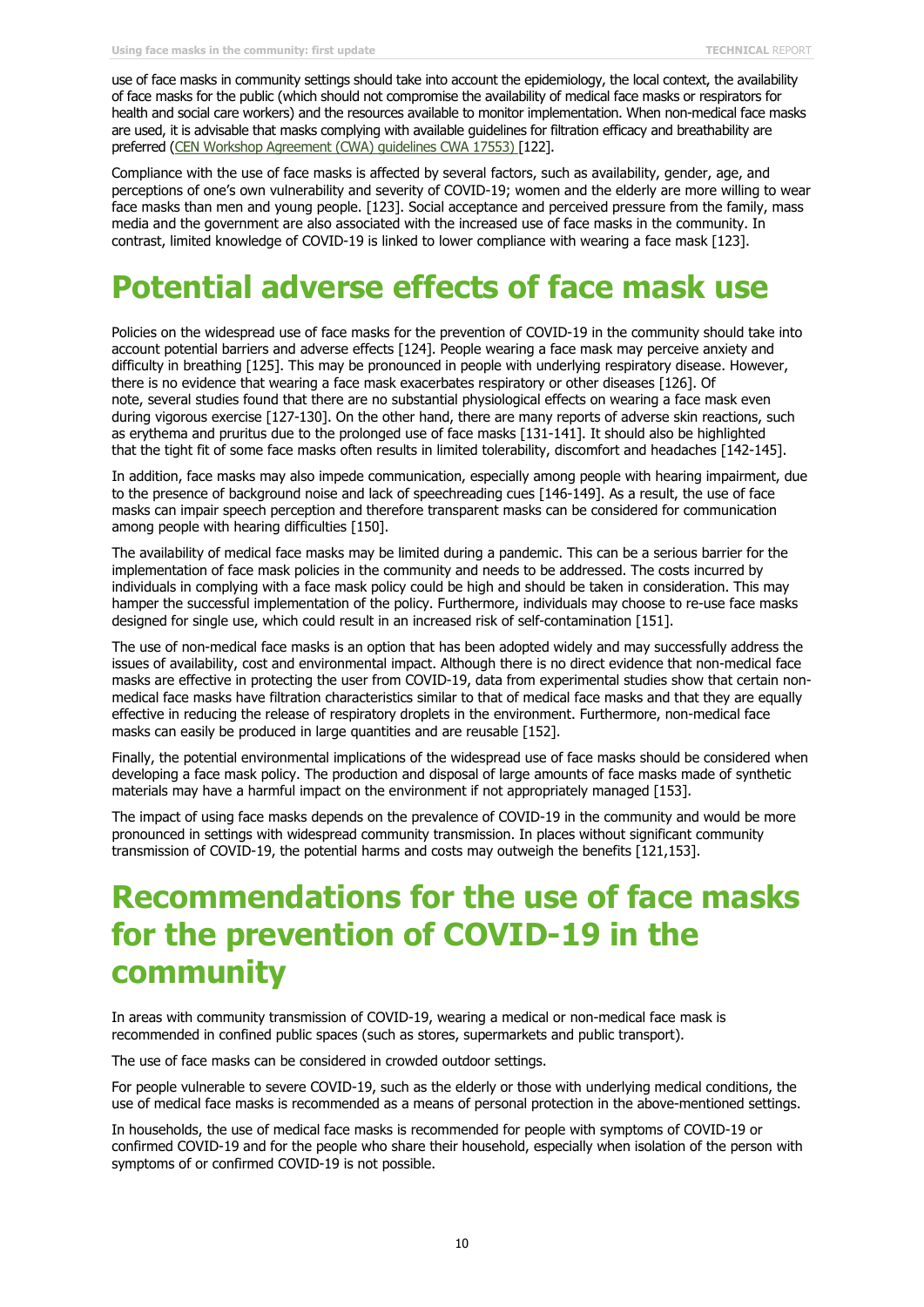use of face masks in community settings should take into account the epidemiology, the local context, the availability of face masks for the public (which should not compromise the availability of medical face masks or respirators for health and social care workers) and the resources available to monitor implementation. When non-medical face masks are used, it is advisable that masks complying with available guidelines for filtration efficacy and breathability are preferred (CEN Workshop Agreement (CWA) guidelines CWA 17553) [122].

Compliance with the use of face masks is affected by several factors, such as availability, gender, age, and perceptions of one's own vulnerability and severity of COVID-19; women and the elderly are more willing to wear face masks than men and young people. [123]. Social acceptance and perceived pressure from the family, mass media and the government are also associated with the increased use of face masks in the community. In contrast, limited knowledge of COVID-19 is linked to lower compliance with wearing a face mask [123].

## **Potential adverse effects of face mask use**

Policies on the widespread use of face masks for the prevention of COVID-19 in the community should take into account potential barriers and adverse effects [124]. People wearing a face mask may perceive anxiety and difficulty in breathing [125]. This may be pronounced in people with underlying respiratory disease. However, there is no evidence that wearing a face mask exacerbates respiratory or other diseases [126]. Of note, several studies found that there are no substantial physiological effects on wearing a face mask even during vigorous exercise [127-130]. On the other hand, there are many reports of adverse skin reactions, such as erythema and pruritus due to the prolonged use of face masks [131-141]. It should also be highlighted that the tight fit of some face masks often results in limited tolerability, discomfort and headaches [142-145].

In addition, face masks may also impede communication, especially among people with hearing impairment, due to the presence of background noise and lack of speechreading cues [146-149]. As a result, the use of face masks can impair speech perception and therefore transparent masks can be considered for communication among people with hearing difficulties [150].

The availability of medical face masks may be limited during a pandemic. This can be a serious barrier for the implementation of face mask policies in the community and needs to be addressed. The costs incurred by individuals in complying with a face mask policy could be high and should be taken in consideration. This may hamper the successful implementation of the policy. Furthermore, individuals may choose to re-use face masks designed for single use, which could result in an increased risk of self-contamination [151].

The use of non-medical face masks is an option that has been adopted widely and may successfully address the issues of availability, cost and environmental impact. Although there is no direct evidence that non-medical face masks are effective in protecting the user from COVID-19, data from experimental studies show that certain nonmedical face masks have filtration characteristics similar to that of medical face masks and that they are equally effective in reducing the release of respiratory droplets in the environment. Furthermore, non-medical face masks can easily be produced in large quantities and are reusable [152].

Finally, the potential environmental implications of the widespread use of face masks should be considered when developing a face mask policy. The production and disposal of large amounts of face masks made of synthetic materials may have a harmful impact on the environment if not appropriately managed [153].

The impact of using face masks depends on the prevalence of COVID-19 in the community and would be more pronounced in settings with widespread community transmission. In places without significant community transmission of COVID-19, the potential harms and costs may outweigh the benefits [121,153].

## **Recommendations for the use of face masks for the prevention of COVID-19 in the community**

In areas with community transmission of COVID-19, wearing a medical or non-medical face mask is recommended in confined public spaces (such as stores, supermarkets and public transport).

The use of face masks can be considered in crowded outdoor settings.

For people vulnerable to severe COVID-19, such as the elderly or those with underlying medical conditions, the use of medical face masks is recommended as a means of personal protection in the above-mentioned settings.

In households, the use of medical face masks is recommended for people with symptoms of COVID-19 or confirmed COVID-19 and for the people who share their household, especially when isolation of the person with symptoms of or confirmed COVID-19 is not possible.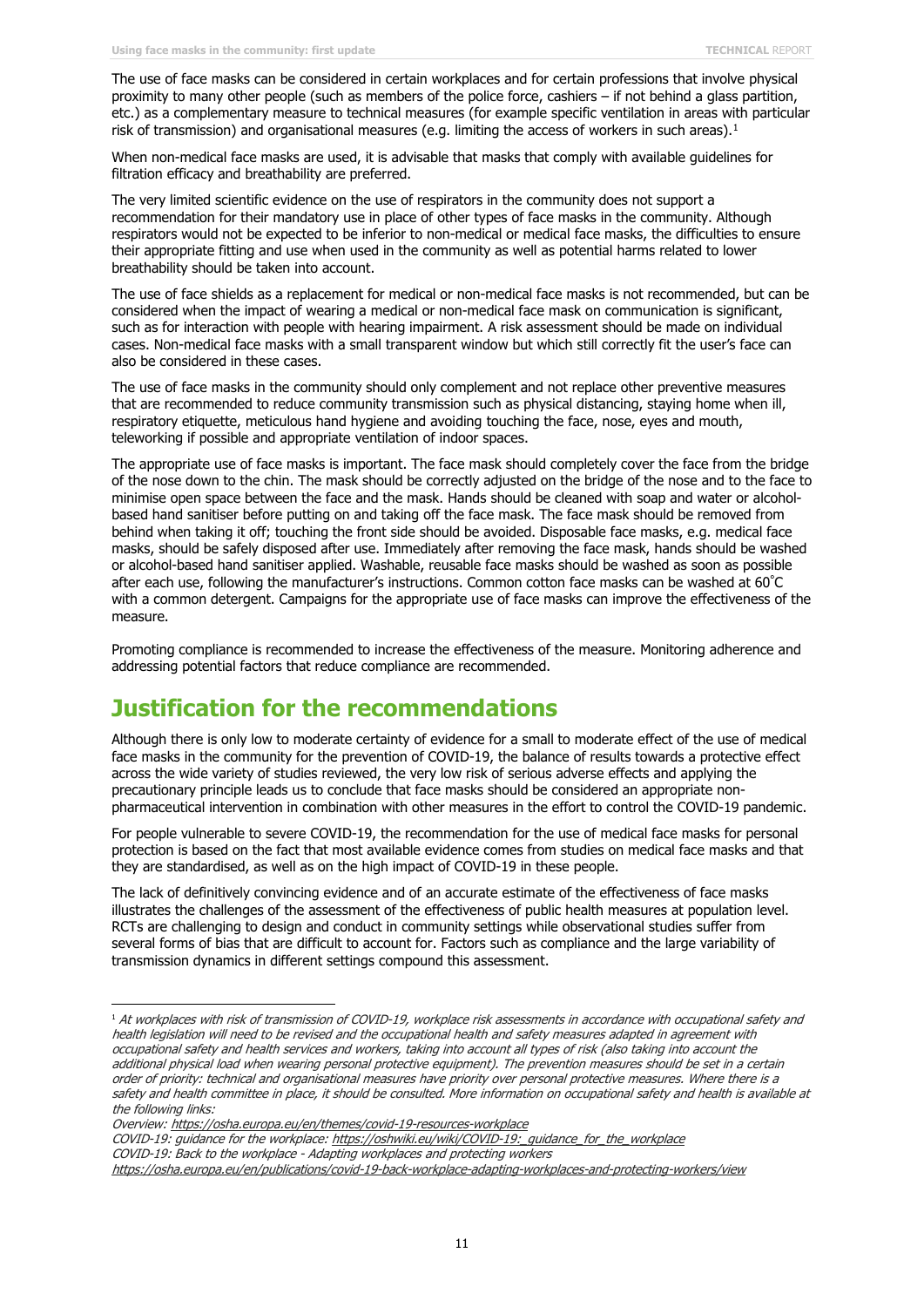The use of face masks can be considered in certain workplaces and for certain professions that involve physical proximity to many other people (such as members of the police force, cashiers – if not behind a glass partition, etc.) as a complementary measure to technical measures (for example specific ventilation in areas with particular risk of transmission) and organisational measures (e.g. limiting the access of workers in such areas).<sup>[1](#page-10-0)</sup>

When non-medical face masks are used, it is advisable that masks that comply with available guidelines for filtration efficacy and breathability are preferred.

The very limited scientific evidence on the use of respirators in the community does not support a recommendation for their mandatory use in place of other types of face masks in the community. Although respirators would not be expected to be inferior to non-medical or medical face masks, the difficulties to ensure their appropriate fitting and use when used in the community as well as potential harms related to lower breathability should be taken into account.

The use of face shields as a replacement for medical or non-medical face masks is not recommended, but can be considered when the impact of wearing a medical or non-medical face mask on communication is significant, such as for interaction with people with hearing impairment. A risk assessment should be made on individual cases. Non-medical face masks with a small transparent window but which still correctly fit the user's face can also be considered in these cases.

The use of face masks in the community should only complement and not replace other preventive measures that are recommended to reduce community transmission such as physical distancing, staying home when ill, respiratory etiquette, meticulous hand hygiene and avoiding touching the face, nose, eyes and mouth, teleworking if possible and appropriate ventilation of indoor spaces.

The appropriate use of face masks is important. The face mask should completely cover the face from the bridge of the nose down to the chin. The mask should be correctly adjusted on the bridge of the nose and to the face to minimise open space between the face and the mask. Hands should be cleaned with soap and water or alcoholbased hand sanitiser before putting on and taking off the face mask. The face mask should be removed from behind when taking it off; touching the front side should be avoided. Disposable face masks, e.g. medical face masks, should be safely disposed after use. Immediately after removing the face mask, hands should be washed or alcohol-based hand sanitiser applied. Washable, reusable face masks should be washed as soon as possible after each use, following the manufacturer's instructions. Common cotton face masks can be washed at 60° C with a common detergent. Campaigns for the appropriate use of face masks can improve the effectiveness of the measure.

Promoting compliance is recommended to increase the effectiveness of the measure. Monitoring adherence and addressing potential factors that reduce compliance are recommended.

### **Justification for the recommendations**

Although there is only low to moderate certainty of evidence for a small to moderate effect of the use of medical face masks in the community for the prevention of COVID-19, the balance of results towards a protective effect across the wide variety of studies reviewed, the very low risk of serious adverse effects and applying the precautionary principle leads us to conclude that face masks should be considered an appropriate nonpharmaceutical intervention in combination with other measures in the effort to control the COVID-19 pandemic.

For people vulnerable to severe COVID-19, the recommendation for the use of medical face masks for personal protection is based on the fact that most available evidence comes from studies on medical face masks and that they are standardised, as well as on the high impact of COVID-19 in these people.

The lack of definitively convincing evidence and of an accurate estimate of the effectiveness of face masks illustrates the challenges of the assessment of the effectiveness of public health measures at population level. RCTs are challenging to design and conduct in community settings while observational studies suffer from several forms of bias that are difficult to account for. Factors such as compliance and the large variability of transmission dynamics in different settings compound this assessment.

COVID-19: guidance for the workplace: [https://oshwiki.eu/wiki/COVID-19:\\_guidance\\_for\\_the\\_workplace](https://oshwiki.eu/wiki/COVID-19:_guidance_for_the_workplace)

COVID-19: Back to the workplace - Adapting workplaces and protecting workers <https://osha.europa.eu/en/publications/covid-19-back-workplace-adapting-workplaces-and-protecting-workers/view>

<span id="page-10-0"></span><sup>1</sup> At workplaces with risk of transmission of COVID-19, workplace risk assessments in accordance with occupational safety and health legislation will need to be revised and the occupational health and safety measures adapted in agreement with occupational safety and health services and workers, taking into account all types of risk (also taking into account the additional physical load when wearing personal protective equipment). The prevention measures should be set in a certain order of priority: technical and organisational measures have priority over personal protective measures. Where there is a safety and health committee in place, it should be consulted. More information on occupational safety and health is available at the following links:

Overview:<https://osha.europa.eu/en/themes/covid-19-resources-workplace>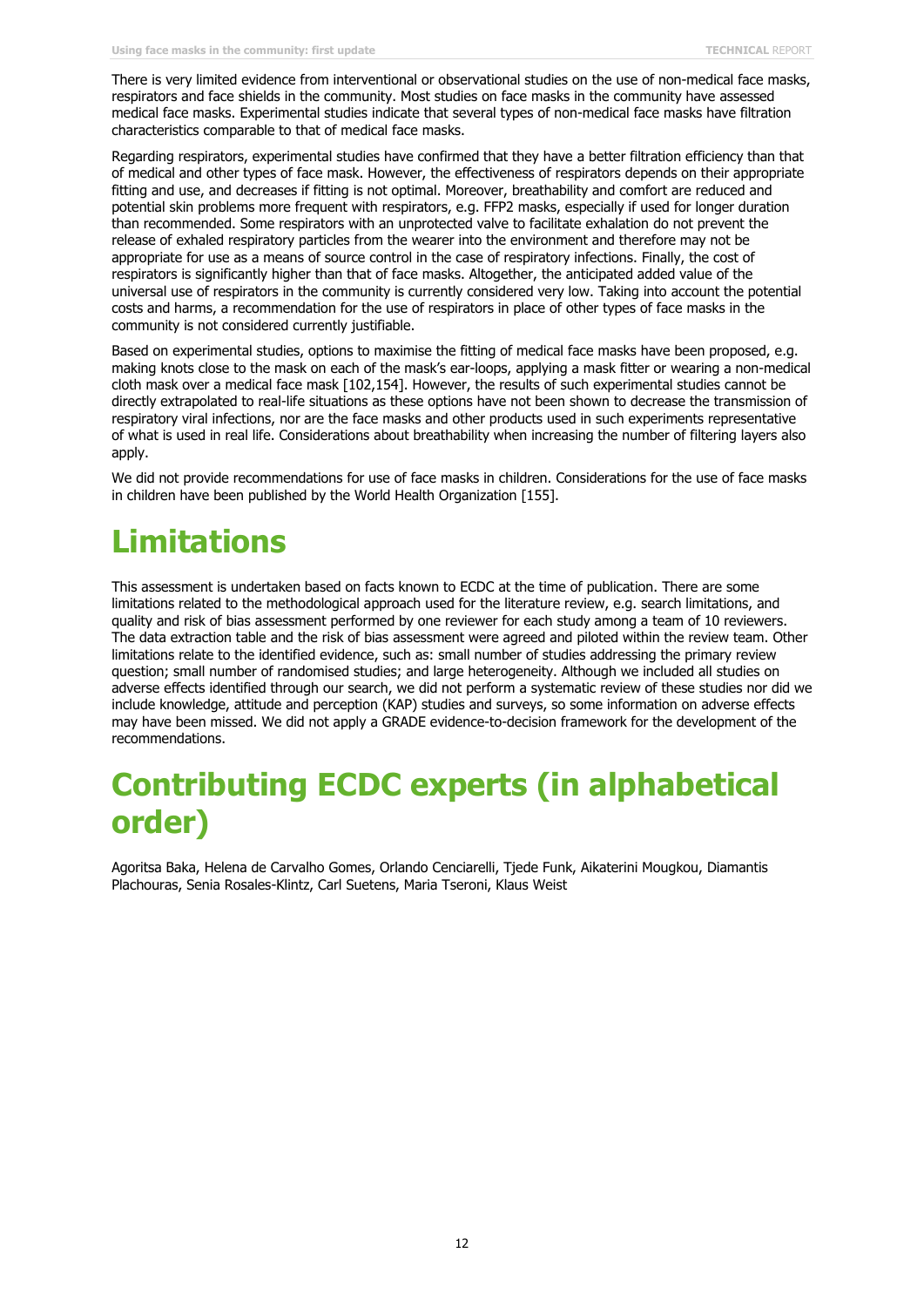There is very limited evidence from interventional or observational studies on the use of non-medical face masks, respirators and face shields in the community. Most studies on face masks in the community have assessed medical face masks. Experimental studies indicate that several types of non-medical face masks have filtration characteristics comparable to that of medical face masks.

Regarding respirators, experimental studies have confirmed that they have a better filtration efficiency than that of medical and other types of face mask. However, the effectiveness of respirators depends on their appropriate fitting and use, and decreases if fitting is not optimal. Moreover, breathability and comfort are reduced and potential skin problems more frequent with respirators, e.g. FFP2 masks, especially if used for longer duration than recommended. Some respirators with an unprotected valve to facilitate exhalation do not prevent the release of exhaled respiratory particles from the wearer into the environment and therefore may not be appropriate for use as a means of source control in the case of respiratory infections. Finally, the cost of respirators is significantly higher than that of face masks. Altogether, the anticipated added value of the universal use of respirators in the community is currently considered very low. Taking into account the potential costs and harms, a recommendation for the use of respirators in place of other types of face masks in the community is not considered currently justifiable.

Based on experimental studies, options to maximise the fitting of medical face masks have been proposed, e.g. making knots close to the mask on each of the mask's ear-loops, applying a mask fitter or wearing a non-medical cloth mask over a medical face mask [102,154]. However, the results of such experimental studies cannot be directly extrapolated to real-life situations as these options have not been shown to decrease the transmission of respiratory viral infections, nor are the face masks and other products used in such experiments representative of what is used in real life. Considerations about breathability when increasing the number of filtering layers also apply.

We did not provide recommendations for use of face masks in children. Considerations for the use of face masks in children have been published by the World Health Organization [155].

# **Limitations**

This assessment is undertaken based on facts known to ECDC at the time of publication. There are some limitations related to the methodological approach used for the literature review, e.g. search limitations, and quality and risk of bias assessment performed by one reviewer for each study among a team of 10 reviewers. The data extraction table and the risk of bias assessment were agreed and piloted within the review team. Other limitations relate to the identified evidence, such as: small number of studies addressing the primary review question; small number of randomised studies; and large heterogeneity. Although we included all studies on adverse effects identified through our search, we did not perform a systematic review of these studies nor did we include knowledge, attitude and perception (KAP) studies and surveys, so some information on adverse effects may have been missed. We did not apply a GRADE evidence-to-decision framework for the development of the recommendations.

## **Contributing ECDC experts (in alphabetical order)**

Agoritsa Baka, Helena de Carvalho Gomes, Orlando Cenciarelli, Tjede Funk, Aikaterini Mougkou, Diamantis Plachouras, Senia Rosales-Klintz, Carl Suetens, Maria Tseroni, Klaus Weist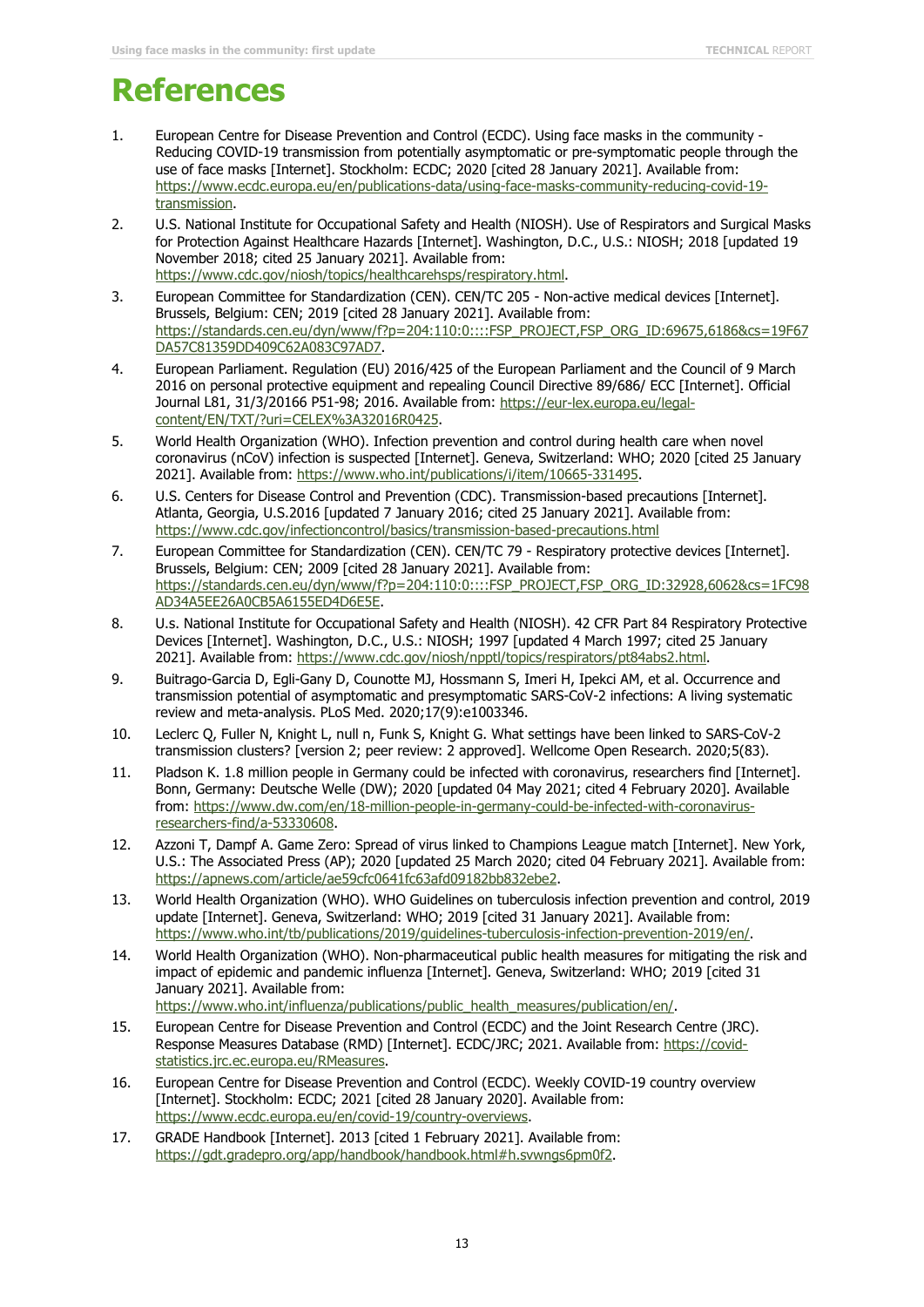## **References**

- 1. European Centre for Disease Prevention and Control (ECDC). Using face masks in the community Reducing COVID-19 transmission from potentially asymptomatic or pre-symptomatic people through the use of face masks [Internet]. Stockholm: ECDC; 2020 [cited 28 January 2021]. Available from: [https://www.ecdc.europa.eu/en/publications-data/using-face-masks-community-reducing-covid-19](https://www.ecdc.europa.eu/en/publications-data/using-face-masks-community-reducing-covid-19-transmission) [transmission.](https://www.ecdc.europa.eu/en/publications-data/using-face-masks-community-reducing-covid-19-transmission)
- 2. U.S. National Institute for Occupational Safety and Health (NIOSH). Use of Respirators and Surgical Masks for Protection Against Healthcare Hazards [Internet]. Washington, D.C., U.S.: NIOSH; 2018 [updated 19 November 2018; cited 25 January 2021]. Available from: [https://www.cdc.gov/niosh/topics/healthcarehsps/respiratory.html.](https://www.cdc.gov/niosh/topics/healthcarehsps/respiratory.html)
- 3. European Committee for Standardization (CEN). CEN/TC 205 Non-active medical devices [Internet]. Brussels, Belgium: CEN; 2019 [cited 28 January 2021]. Available from: [https://standards.cen.eu/dyn/www/f?p=204:110:0::::FSP\\_PROJECT,FSP\\_ORG\\_ID:69675,6186&cs=19F67](https://standards.cen.eu/dyn/www/f?p=204:110:0::::FSP_PROJECT,FSP_ORG_ID:69675,6186&cs=19F67DA57C81359DD409C62A083C97AD7) [DA57C81359DD409C62A083C97AD7.](https://standards.cen.eu/dyn/www/f?p=204:110:0::::FSP_PROJECT,FSP_ORG_ID:69675,6186&cs=19F67DA57C81359DD409C62A083C97AD7)
- 4. European Parliament. Regulation (EU) 2016/425 of the European Parliament and the Council of 9 March 2016 on personal protective equipment and repealing Council Directive 89/686/ ECC [Internet]. Official Journal L81, 31/3/20166 P51-98; 2016. Available from: [https://eur-lex.europa.eu/legal](https://eur-lex.europa.eu/legal-content/EN/TXT/?uri=CELEX%3A32016R0425)[content/EN/TXT/?uri=CELEX%3A32016R0425.](https://eur-lex.europa.eu/legal-content/EN/TXT/?uri=CELEX%3A32016R0425)
- 5. World Health Organization (WHO). Infection prevention and control during health care when novel coronavirus (nCoV) infection is suspected [Internet]. Geneva, Switzerland: WHO; 2020 [cited 25 January 2021]. Available from: [https://www.who.int/publications/i/item/10665-331495.](https://www.who.int/publications/i/item/10665-331495)
- 6. U.S. Centers for Disease Control and Prevention (CDC). Transmission-based precautions [Internet]. Atlanta, Georgia, U.S.2016 [updated 7 January 2016; cited 25 January 2021]. Available from: <https://www.cdc.gov/infectioncontrol/basics/transmission-based-precautions.html>
- 7. European Committee for Standardization (CEN). CEN/TC 79 Respiratory protective devices [Internet]. Brussels, Belgium: CEN; 2009 [cited 28 January 2021]. Available from: [https://standards.cen.eu/dyn/www/f?p=204:110:0::::FSP\\_PROJECT,FSP\\_ORG\\_ID:32928,6062&cs=1FC98](https://standards.cen.eu/dyn/www/f?p=204:110:0::::FSP_PROJECT,FSP_ORG_ID:32928,6062&cs=1FC98AD34A5EE26A0CB5A6155ED4D6E5E) [AD34A5EE26A0CB5A6155ED4D6E5E.](https://standards.cen.eu/dyn/www/f?p=204:110:0::::FSP_PROJECT,FSP_ORG_ID:32928,6062&cs=1FC98AD34A5EE26A0CB5A6155ED4D6E5E)
- 8. U.s. National Institute for Occupational Safety and Health (NIOSH). 42 CFR Part 84 Respiratory Protective Devices [Internet]. Washington, D.C., U.S.: NIOSH; 1997 [updated 4 March 1997; cited 25 January 2021]. Available from: [https://www.cdc.gov/niosh/npptl/topics/respirators/pt84abs2.html.](https://www.cdc.gov/niosh/npptl/topics/respirators/pt84abs2.html)
- 9. Buitrago-Garcia D, Egli-Gany D, Counotte MJ, Hossmann S, Imeri H, Ipekci AM, et al. Occurrence and transmission potential of asymptomatic and presymptomatic SARS-CoV-2 infections: A living systematic review and meta-analysis. PLoS Med. 2020;17(9):e1003346.
- 10. Leclerc Q, Fuller N, Knight L, null n, Funk S, Knight G. What settings have been linked to SARS-CoV-2 transmission clusters? [version 2; peer review: 2 approved]. Wellcome Open Research. 2020;5(83).
- 11. Pladson K. 1.8 million people in Germany could be infected with coronavirus, researchers find [Internet]. Bonn, Germany: Deutsche Welle (DW); 2020 [updated 04 May 2021; cited 4 February 2020]. Available from: [https://www.dw.com/en/18-million-people-in-germany-could-be-infected-with-coronavirus](https://www.dw.com/en/18-million-people-in-germany-could-be-infected-with-coronavirus-researchers-find/a-53330608)[researchers-find/a-53330608.](https://www.dw.com/en/18-million-people-in-germany-could-be-infected-with-coronavirus-researchers-find/a-53330608)
- 12. Azzoni T, Dampf A. Game Zero: Spread of virus linked to Champions League match [Internet]. New York, U.S.: The Associated Press (AP); 2020 [updated 25 March 2020; cited 04 February 2021]. Available from: [https://apnews.com/article/ae59cfc0641fc63afd09182bb832ebe2.](https://apnews.com/article/ae59cfc0641fc63afd09182bb832ebe2)
- 13. World Health Organization (WHO). WHO Guidelines on tuberculosis infection prevention and control, 2019 update [Internet]. Geneva, Switzerland: WHO; 2019 [cited 31 January 2021]. Available from: [https://www.who.int/tb/publications/2019/guidelines-tuberculosis-infection-prevention-2019/en/.](https://www.who.int/tb/publications/2019/guidelines-tuberculosis-infection-prevention-2019/en/)
- 14. World Health Organization (WHO). Non-pharmaceutical public health measures for mitigating the risk and impact of epidemic and pandemic influenza [Internet]. Geneva, Switzerland: WHO; 2019 [cited 31 January 2021]. Available from: [https://www.who.int/influenza/publications/public\\_health\\_measures/publication/en/.](https://www.who.int/influenza/publications/public_health_measures/publication/en/)
- 15. European Centre for Disease Prevention and Control (ECDC) and the Joint Research Centre (JRC). Response Measures Database (RMD) [Internet]. ECDC/JRC; 2021. Available from: [https://covid-](https://covid-statistics.jrc.ec.europa.eu/RMeasures)
- [statistics.jrc.ec.europa.eu/RMeasures.](https://covid-statistics.jrc.ec.europa.eu/RMeasures) 16. European Centre for Disease Prevention and Control (ECDC). Weekly COVID-19 country overview [Internet]. Stockholm: ECDC; 2021 [cited 28 January 2020]. Available from: [https://www.ecdc.europa.eu/en/covid-19/country-overviews.](https://www.ecdc.europa.eu/en/covid-19/country-overviews)
- 17. GRADE Handbook [Internet]. 2013 [cited 1 February 2021]. Available from: [https://gdt.gradepro.org/app/handbook/handbook.html#h.svwngs6pm0f2.](https://gdt.gradepro.org/app/handbook/handbook.html#h.svwngs6pm0f2)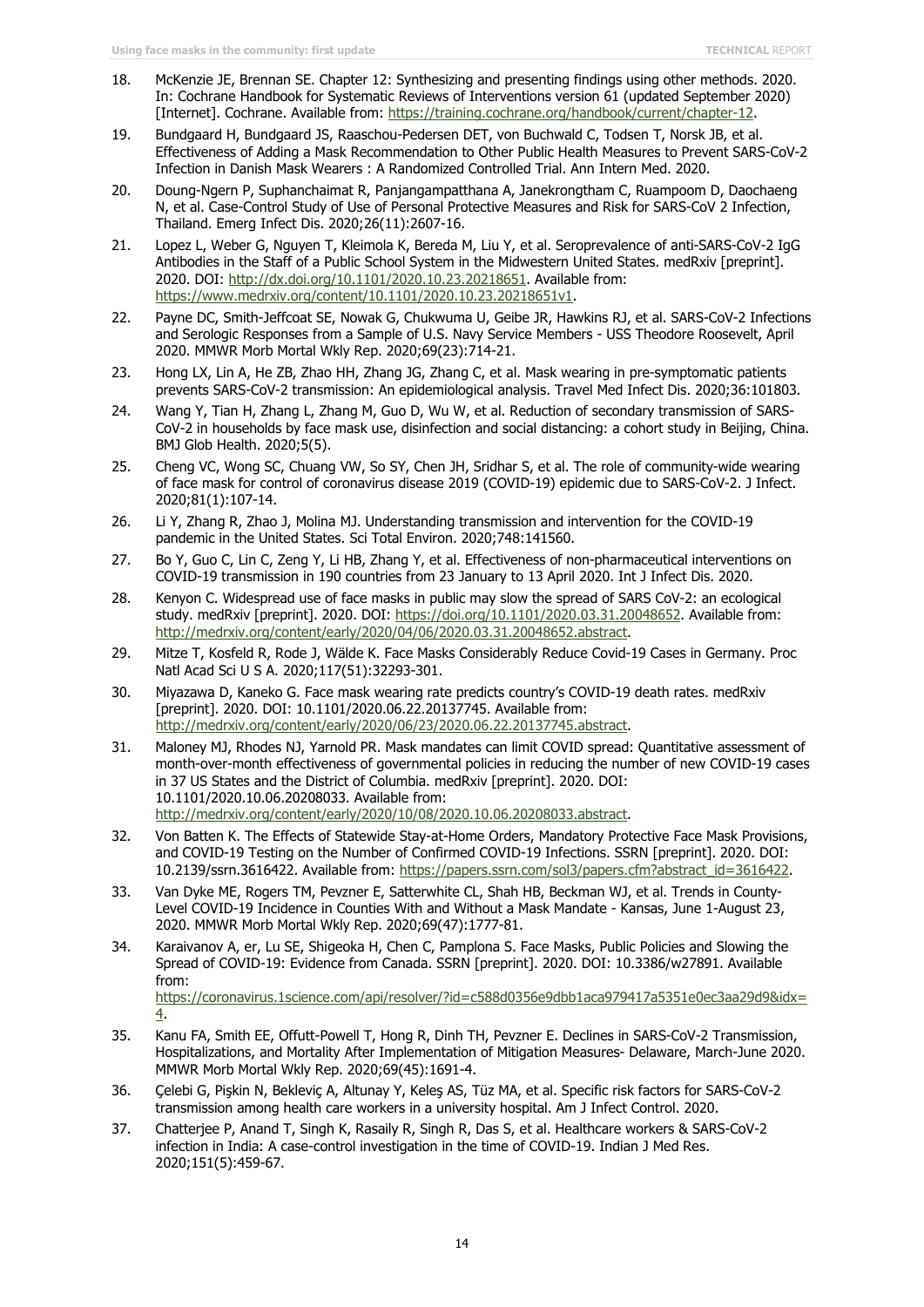- 18. McKenzie JE, Brennan SE. Chapter 12: Synthesizing and presenting findings using other methods. 2020. In: Cochrane Handbook for Systematic Reviews of Interventions version 61 (updated September 2020) [Internet]. Cochrane. Available from: [https://training.cochrane.org/handbook/current/chapter-12.](https://training.cochrane.org/handbook/current/chapter-12)
- 19. Bundgaard H, Bundgaard JS, Raaschou-Pedersen DET, von Buchwald C, Todsen T, Norsk JB, et al. Effectiveness of Adding a Mask Recommendation to Other Public Health Measures to Prevent SARS-CoV-2 Infection in Danish Mask Wearers : A Randomized Controlled Trial. Ann Intern Med. 2020.
- 20. Doung-Ngern P, Suphanchaimat R, Panjangampatthana A, Janekrongtham C, Ruampoom D, Daochaeng N, et al. Case-Control Study of Use of Personal Protective Measures and Risk for SARS-CoV 2 Infection, Thailand. Emerg Infect Dis. 2020;26(11):2607-16.
- 21. Lopez L, Weber G, Nguyen T, Kleimola K, Bereda M, Liu Y, et al. Seroprevalence of anti-SARS-CoV-2 IgG Antibodies in the Staff of a Public School System in the Midwestern United States. medRxiv [preprint]. 2020. DOI: [http://dx.doi.org/10.1101/2020.10.23.20218651.](http://dx.doi.org/10.1101/2020.10.23.20218651) Available from: [https://www.medrxiv.org/content/10.1101/2020.10.23.20218651v1.](https://www.medrxiv.org/content/10.1101/2020.10.23.20218651v1)
- 22. Payne DC, Smith-Jeffcoat SE, Nowak G, Chukwuma U, Geibe JR, Hawkins RJ, et al. SARS-CoV-2 Infections and Serologic Responses from a Sample of U.S. Navy Service Members - USS Theodore Roosevelt, April 2020. MMWR Morb Mortal Wkly Rep. 2020;69(23):714-21.
- 23. Hong LX, Lin A, He ZB, Zhao HH, Zhang JG, Zhang C, et al. Mask wearing in pre-symptomatic patients prevents SARS-CoV-2 transmission: An epidemiological analysis. Travel Med Infect Dis. 2020;36:101803.
- 24. Wang Y, Tian H, Zhang L, Zhang M, Guo D, Wu W, et al. Reduction of secondary transmission of SARS-CoV-2 in households by face mask use, disinfection and social distancing: a cohort study in Beijing, China. BMJ Glob Health. 2020;5(5).
- 25. Cheng VC, Wong SC, Chuang VW, So SY, Chen JH, Sridhar S, et al. The role of community-wide wearing of face mask for control of coronavirus disease 2019 (COVID-19) epidemic due to SARS-CoV-2. J Infect. 2020;81(1):107-14.
- 26. Li Y, Zhang R, Zhao J, Molina MJ. Understanding transmission and intervention for the COVID-19 pandemic in the United States. Sci Total Environ. 2020;748:141560.
- 27. Bo Y, Guo C, Lin C, Zeng Y, Li HB, Zhang Y, et al. Effectiveness of non-pharmaceutical interventions on COVID-19 transmission in 190 countries from 23 January to 13 April 2020. Int J Infect Dis. 2020.
- 28. Kenyon C. Widespread use of face masks in public may slow the spread of SARS CoV-2: an ecological study. medRxiv [preprint]. 2020. DOI: [https://doi.org/10.1101/2020.03.31.20048652.](https://doi.org/10.1101/2020.03.31.20048652) Available from: [http://medrxiv.org/content/early/2020/04/06/2020.03.31.20048652.abstract.](http://medrxiv.org/content/early/2020/04/06/2020.03.31.20048652.abstract)
- 29. Mitze T, Kosfeld R, Rode J, Wälde K. Face Masks Considerably Reduce Covid-19 Cases in Germany. Proc Natl Acad Sci U S A. 2020;117(51):32293-301.
- 30. Miyazawa D, Kaneko G. Face mask wearing rate predicts country's COVID-19 death rates. medRxiv [preprint]. 2020. DOI: 10.1101/2020.06.22.20137745. Available from: [http://medrxiv.org/content/early/2020/06/23/2020.06.22.20137745.abstract.](http://medrxiv.org/content/early/2020/06/23/2020.06.22.20137745.abstract)
- 31. Maloney MJ, Rhodes NJ, Yarnold PR. Mask mandates can limit COVID spread: Quantitative assessment of month-over-month effectiveness of governmental policies in reducing the number of new COVID-19 cases in 37 US States and the District of Columbia. medRxiv [preprint]. 2020. DOI: 10.1101/2020.10.06.20208033. Available from: [http://medrxiv.org/content/early/2020/10/08/2020.10.06.20208033.abstract.](http://medrxiv.org/content/early/2020/10/08/2020.10.06.20208033.abstract)
- 32. Von Batten K. The Effects of Statewide Stay-at-Home Orders, Mandatory Protective Face Mask Provisions, and COVID-19 Testing on the Number of Confirmed COVID-19 Infections. SSRN [preprint]. 2020. DOI: 10.2139/ssrn.3616422. Available from: [https://papers.ssrn.com/sol3/papers.cfm?abstract\\_id=3616422.](https://papers.ssrn.com/sol3/papers.cfm?abstract_id=3616422)
- 33. Van Dyke ME, Rogers TM, Pevzner E, Satterwhite CL, Shah HB, Beckman WJ, et al. Trends in County-Level COVID-19 Incidence in Counties With and Without a Mask Mandate - Kansas, June 1-August 23, 2020. MMWR Morb Mortal Wkly Rep. 2020;69(47):1777-81.
- 34. Karaivanov A, er, Lu SE, Shigeoka H, Chen C, Pamplona S. Face Masks, Public Policies and Slowing the Spread of COVID-19: Evidence from Canada. SSRN [preprint]. 2020. DOI: 10.3386/w27891. Available from:

[https://coronavirus.1science.com/api/resolver/?id=c588d0356e9dbb1aca979417a5351e0ec3aa29d9&idx=](https://coronavirus.1science.com/api/resolver/?id=c588d0356e9dbb1aca979417a5351e0ec3aa29d9&idx=4) [4.](https://coronavirus.1science.com/api/resolver/?id=c588d0356e9dbb1aca979417a5351e0ec3aa29d9&idx=4)

- 35. Kanu FA, Smith EE, Offutt-Powell T, Hong R, Dinh TH, Pevzner E. Declines in SARS-CoV-2 Transmission, Hospitalizations, and Mortality After Implementation of Mitigation Measures- Delaware, March-June 2020. MMWR Morb Mortal Wkly Rep. 2020;69(45):1691-4.
- 36. Çelebi G, Pişkin N, Bekleviç A, Altunay Y, Keleş AS, Tüz MA, et al. Specific risk factors for SARS-CoV-2 transmission among health care workers in a university hospital. Am J Infect Control. 2020.
- 37. Chatterjee P, Anand T, Singh K, Rasaily R, Singh R, Das S, et al. Healthcare workers & SARS-CoV-2 infection in India: A case-control investigation in the time of COVID-19. Indian J Med Res. 2020;151(5):459-67.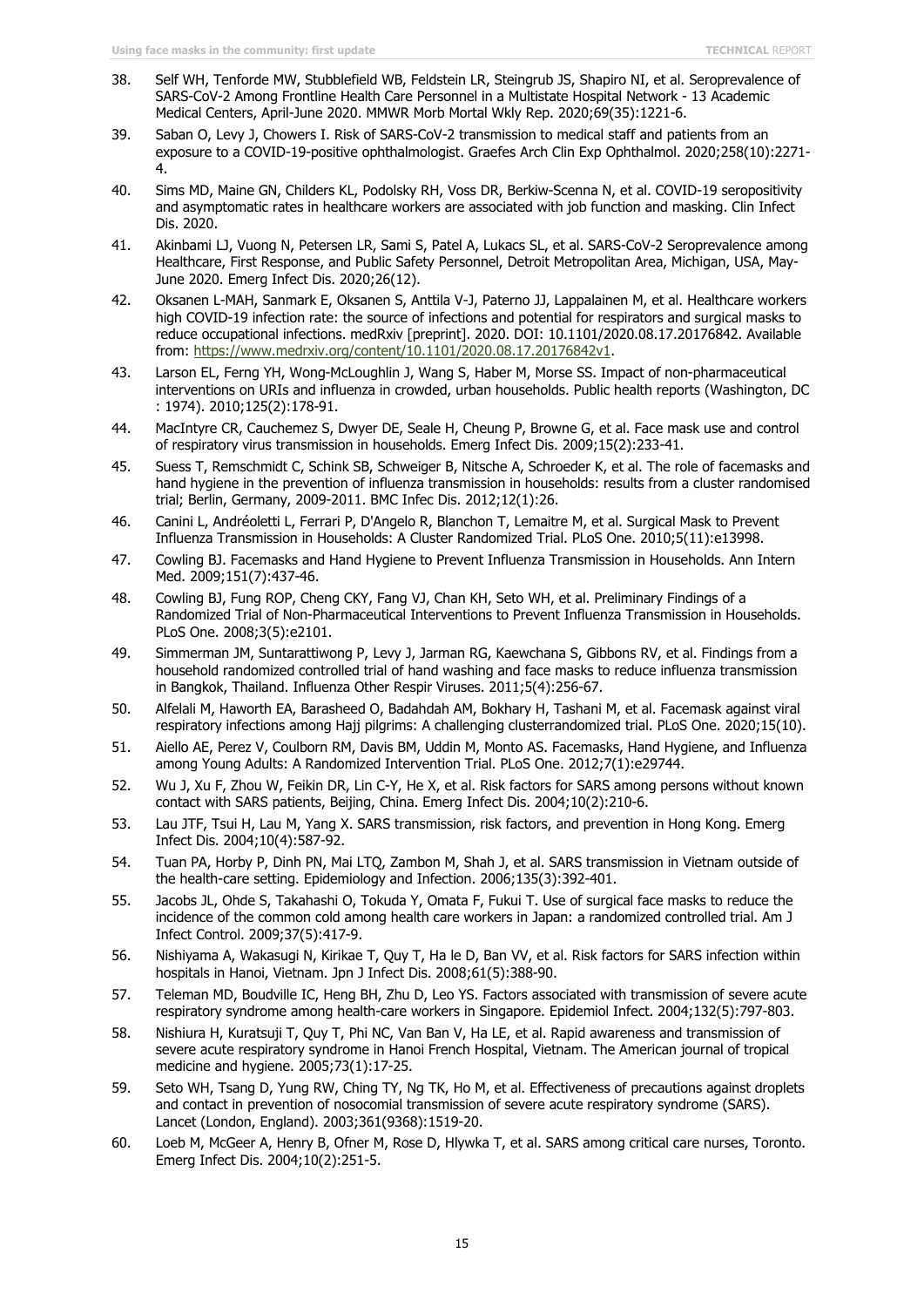- 38. Self WH, Tenforde MW, Stubblefield WB, Feldstein LR, Steingrub JS, Shapiro NI, et al. Seroprevalence of SARS-CoV-2 Among Frontline Health Care Personnel in a Multistate Hospital Network - 13 Academic Medical Centers, April-June 2020. MMWR Morb Mortal Wkly Rep. 2020;69(35):1221-6.
- 39. Saban O, Levy J, Chowers I. Risk of SARS-CoV-2 transmission to medical staff and patients from an exposure to a COVID-19-positive ophthalmologist. Graefes Arch Clin Exp Ophthalmol. 2020;258(10):2271- 4.
- 40. Sims MD, Maine GN, Childers KL, Podolsky RH, Voss DR, Berkiw-Scenna N, et al. COVID-19 seropositivity and asymptomatic rates in healthcare workers are associated with job function and masking. Clin Infect Dis. 2020.
- 41. Akinbami LJ, Vuong N, Petersen LR, Sami S, Patel A, Lukacs SL, et al. SARS-CoV-2 Seroprevalence among Healthcare, First Response, and Public Safety Personnel, Detroit Metropolitan Area, Michigan, USA, May-June 2020. Emerg Infect Dis. 2020;26(12).
- 42. Oksanen L-MAH, Sanmark E, Oksanen S, Anttila V-J, Paterno JJ, Lappalainen M, et al. Healthcare workers high COVID-19 infection rate: the source of infections and potential for respirators and surgical masks to reduce occupational infections. medRxiv [preprint]. 2020. DOI: 10.1101/2020.08.17.20176842. Available from: [https://www.medrxiv.org/content/10.1101/2020.08.17.20176842v1.](https://www.medrxiv.org/content/10.1101/2020.08.17.20176842v1)
- 43. Larson EL, Ferng YH, Wong-McLoughlin J, Wang S, Haber M, Morse SS. Impact of non-pharmaceutical interventions on URIs and influenza in crowded, urban households. Public health reports (Washington, DC : 1974). 2010;125(2):178-91.
- 44. MacIntyre CR, Cauchemez S, Dwyer DE, Seale H, Cheung P, Browne G, et al. Face mask use and control of respiratory virus transmission in households. Emerg Infect Dis. 2009;15(2):233-41.
- 45. Suess T, Remschmidt C, Schink SB, Schweiger B, Nitsche A, Schroeder K, et al. The role of facemasks and hand hygiene in the prevention of influenza transmission in households: results from a cluster randomised trial; Berlin, Germany, 2009-2011. BMC Infec Dis. 2012;12(1):26.
- 46. Canini L, Andréoletti L, Ferrari P, D'Angelo R, Blanchon T, Lemaitre M, et al. Surgical Mask to Prevent Influenza Transmission in Households: A Cluster Randomized Trial. PLoS One. 2010;5(11):e13998.
- 47. Cowling BJ. Facemasks and Hand Hygiene to Prevent Influenza Transmission in Households. Ann Intern Med. 2009;151(7):437-46.
- 48. Cowling BJ, Fung ROP, Cheng CKY, Fang VJ, Chan KH, Seto WH, et al. Preliminary Findings of a Randomized Trial of Non-Pharmaceutical Interventions to Prevent Influenza Transmission in Households. PLoS One. 2008;3(5):e2101.
- 49. Simmerman JM, Suntarattiwong P, Levy J, Jarman RG, Kaewchana S, Gibbons RV, et al. Findings from a household randomized controlled trial of hand washing and face masks to reduce influenza transmission in Bangkok, Thailand. Influenza Other Respir Viruses. 2011;5(4):256-67.
- 50. Alfelali M, Haworth EA, Barasheed O, Badahdah AM, Bokhary H, Tashani M, et al. Facemask against viral respiratory infections among Hajj pilgrims: A challenging clusterrandomized trial. PLoS One. 2020;15(10).
- 51. Aiello AE, Perez V, Coulborn RM, Davis BM, Uddin M, Monto AS. Facemasks, Hand Hygiene, and Influenza among Young Adults: A Randomized Intervention Trial. PLoS One. 2012;7(1):e29744.
- 52. Wu J, Xu F, Zhou W, Feikin DR, Lin C-Y, He X, et al. Risk factors for SARS among persons without known contact with SARS patients, Beijing, China. Emerg Infect Dis. 2004;10(2):210-6.
- 53. Lau JTF, Tsui H, Lau M, Yang X. SARS transmission, risk factors, and prevention in Hong Kong. Emerg Infect Dis. 2004;10(4):587-92.
- 54. Tuan PA, Horby P, Dinh PN, Mai LTQ, Zambon M, Shah J, et al. SARS transmission in Vietnam outside of the health-care setting. Epidemiology and Infection. 2006;135(3):392-401.
- 55. Jacobs JL, Ohde S, Takahashi O, Tokuda Y, Omata F, Fukui T. Use of surgical face masks to reduce the incidence of the common cold among health care workers in Japan: a randomized controlled trial. Am J Infect Control. 2009;37(5):417-9.
- 56. Nishiyama A, Wakasugi N, Kirikae T, Quy T, Ha le D, Ban VV, et al. Risk factors for SARS infection within hospitals in Hanoi, Vietnam. Jpn J Infect Dis. 2008;61(5):388-90.
- 57. Teleman MD, Boudville IC, Heng BH, Zhu D, Leo YS. Factors associated with transmission of severe acute respiratory syndrome among health-care workers in Singapore. Epidemiol Infect. 2004;132(5):797-803.
- 58. Nishiura H, Kuratsuji T, Quy T, Phi NC, Van Ban V, Ha LE, et al. Rapid awareness and transmission of severe acute respiratory syndrome in Hanoi French Hospital, Vietnam. The American journal of tropical medicine and hygiene. 2005;73(1):17-25.
- 59. Seto WH, Tsang D, Yung RW, Ching TY, Ng TK, Ho M, et al. Effectiveness of precautions against droplets and contact in prevention of nosocomial transmission of severe acute respiratory syndrome (SARS). Lancet (London, England). 2003;361(9368):1519-20.
- 60. Loeb M, McGeer A, Henry B, Ofner M, Rose D, Hlywka T, et al. SARS among critical care nurses, Toronto. Emerg Infect Dis. 2004;10(2):251-5.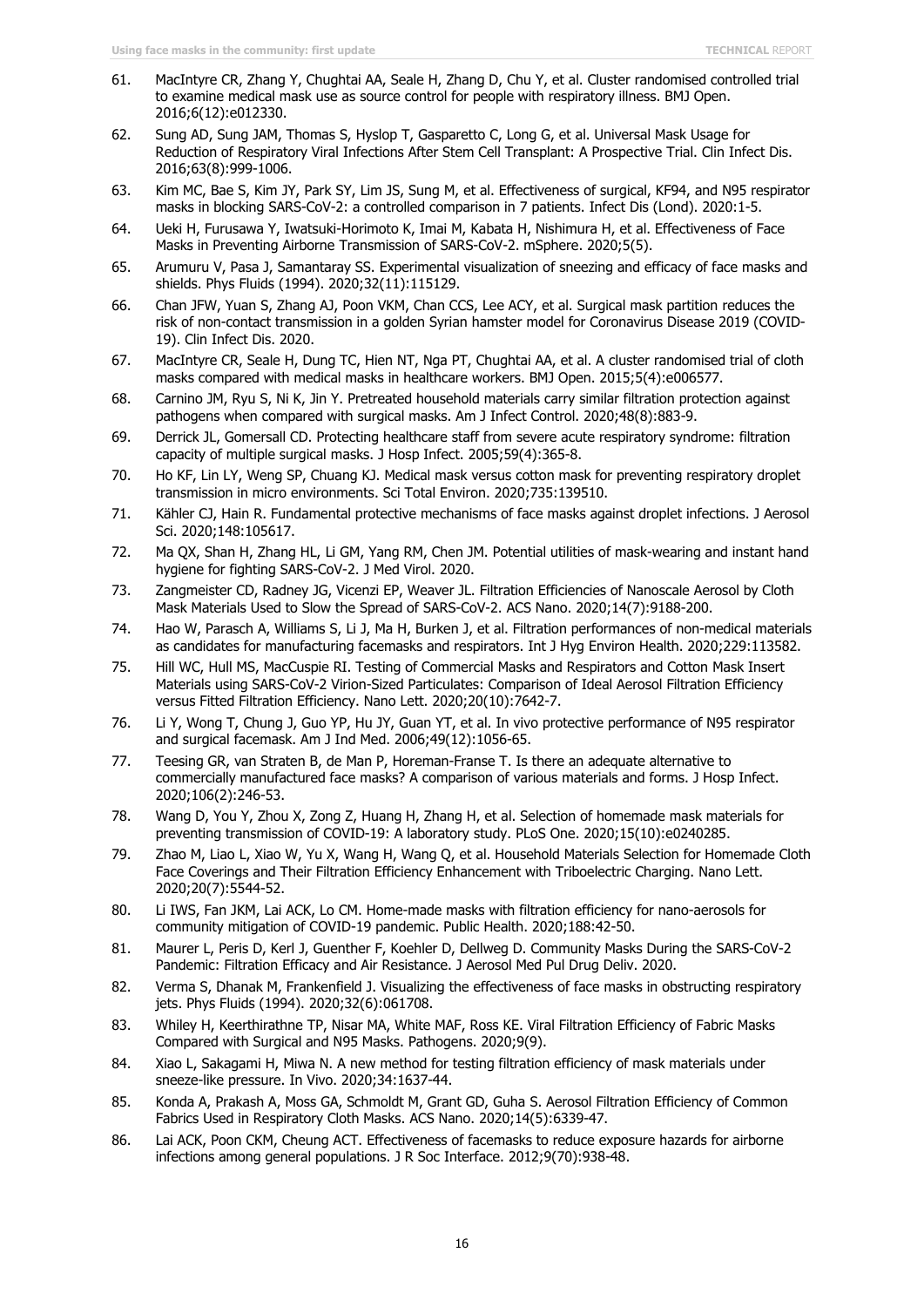- 61. MacIntyre CR, Zhang Y, Chughtai AA, Seale H, Zhang D, Chu Y, et al. Cluster randomised controlled trial to examine medical mask use as source control for people with respiratory illness. BMJ Open. 2016;6(12):e012330.
- 62. Sung AD, Sung JAM, Thomas S, Hyslop T, Gasparetto C, Long G, et al. Universal Mask Usage for Reduction of Respiratory Viral Infections After Stem Cell Transplant: A Prospective Trial. Clin Infect Dis. 2016;63(8):999-1006.
- 63. Kim MC, Bae S, Kim JY, Park SY, Lim JS, Sung M, et al. Effectiveness of surgical, KF94, and N95 respirator masks in blocking SARS-CoV-2: a controlled comparison in 7 patients. Infect Dis (Lond). 2020:1-5.
- 64. Ueki H, Furusawa Y, Iwatsuki-Horimoto K, Imai M, Kabata H, Nishimura H, et al. Effectiveness of Face Masks in Preventing Airborne Transmission of SARS-CoV-2. mSphere. 2020;5(5).
- 65. Arumuru V, Pasa J, Samantaray SS. Experimental visualization of sneezing and efficacy of face masks and shields. Phys Fluids (1994). 2020;32(11):115129.
- 66. Chan JFW, Yuan S, Zhang AJ, Poon VKM, Chan CCS, Lee ACY, et al. Surgical mask partition reduces the risk of non-contact transmission in a golden Syrian hamster model for Coronavirus Disease 2019 (COVID-19). Clin Infect Dis. 2020.
- 67. MacIntyre CR, Seale H, Dung TC, Hien NT, Nga PT, Chughtai AA, et al. A cluster randomised trial of cloth masks compared with medical masks in healthcare workers. BMJ Open. 2015;5(4):e006577.
- 68. Carnino JM, Ryu S, Ni K, Jin Y. Pretreated household materials carry similar filtration protection against pathogens when compared with surgical masks. Am J Infect Control. 2020;48(8):883-9.
- 69. Derrick JL, Gomersall CD. Protecting healthcare staff from severe acute respiratory syndrome: filtration capacity of multiple surgical masks. J Hosp Infect. 2005;59(4):365-8.
- 70. Ho KF, Lin LY, Weng SP, Chuang KJ. Medical mask versus cotton mask for preventing respiratory droplet transmission in micro environments. Sci Total Environ. 2020;735:139510.
- 71. Kähler CJ, Hain R. Fundamental protective mechanisms of face masks against droplet infections. J Aerosol Sci. 2020;148:105617.
- 72. Ma QX, Shan H, Zhang HL, Li GM, Yang RM, Chen JM. Potential utilities of mask-wearing and instant hand hygiene for fighting SARS-CoV-2. J Med Virol. 2020.
- 73. Zangmeister CD, Radney JG, Vicenzi EP, Weaver JL. Filtration Efficiencies of Nanoscale Aerosol by Cloth Mask Materials Used to Slow the Spread of SARS-CoV-2. ACS Nano. 2020;14(7):9188-200.
- 74. Hao W, Parasch A, Williams S, Li J, Ma H, Burken J, et al. Filtration performances of non-medical materials as candidates for manufacturing facemasks and respirators. Int J Hyg Environ Health. 2020;229:113582.
- 75. Hill WC, Hull MS, MacCuspie RI. Testing of Commercial Masks and Respirators and Cotton Mask Insert Materials using SARS-CoV-2 Virion-Sized Particulates: Comparison of Ideal Aerosol Filtration Efficiency versus Fitted Filtration Efficiency. Nano Lett. 2020;20(10):7642-7.
- 76. Li Y, Wong T, Chung J, Guo YP, Hu JY, Guan YT, et al. In vivo protective performance of N95 respirator and surgical facemask. Am J Ind Med. 2006;49(12):1056-65.
- 77. Teesing GR, van Straten B, de Man P, Horeman-Franse T. Is there an adequate alternative to commercially manufactured face masks? A comparison of various materials and forms. J Hosp Infect. 2020;106(2):246-53.
- 78. Wang D, You Y, Zhou X, Zong Z, Huang H, Zhang H, et al. Selection of homemade mask materials for preventing transmission of COVID-19: A laboratory study. PLoS One. 2020;15(10):e0240285.
- 79. Zhao M, Liao L, Xiao W, Yu X, Wang H, Wang Q, et al. Household Materials Selection for Homemade Cloth Face Coverings and Their Filtration Efficiency Enhancement with Triboelectric Charging. Nano Lett. 2020;20(7):5544-52.
- 80. Li IWS, Fan JKM, Lai ACK, Lo CM. Home-made masks with filtration efficiency for nano-aerosols for community mitigation of COVID-19 pandemic. Public Health. 2020;188:42-50.
- 81. Maurer L, Peris D, Kerl J, Guenther F, Koehler D, Dellweg D. Community Masks During the SARS-CoV-2 Pandemic: Filtration Efficacy and Air Resistance. J Aerosol Med Pul Drug Deliv. 2020.
- 82. Verma S, Dhanak M, Frankenfield J. Visualizing the effectiveness of face masks in obstructing respiratory jets. Phys Fluids (1994). 2020;32(6):061708.
- 83. Whiley H, Keerthirathne TP, Nisar MA, White MAF, Ross KE. Viral Filtration Efficiency of Fabric Masks Compared with Surgical and N95 Masks. Pathogens. 2020;9(9).
- 84. Xiao L, Sakagami H, Miwa N. A new method for testing filtration efficiency of mask materials under sneeze-like pressure. In Vivo. 2020;34:1637-44.
- 85. Konda A, Prakash A, Moss GA, Schmoldt M, Grant GD, Guha S. Aerosol Filtration Efficiency of Common Fabrics Used in Respiratory Cloth Masks. ACS Nano. 2020;14(5):6339-47.
- 86. Lai ACK, Poon CKM, Cheung ACT. Effectiveness of facemasks to reduce exposure hazards for airborne infections among general populations. J R Soc Interface. 2012;9(70):938-48.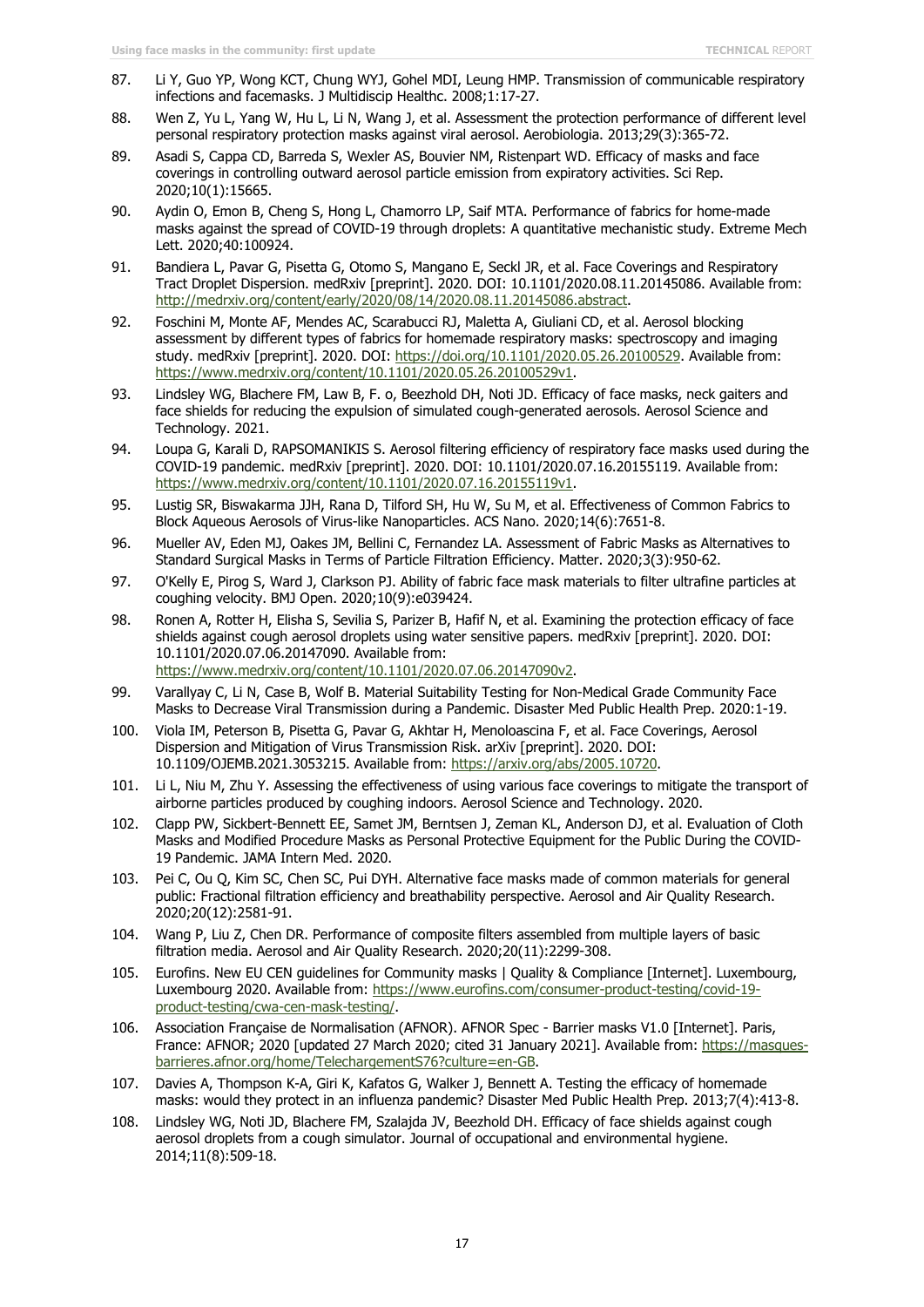- 87. Li Y, Guo YP, Wong KCT, Chung WYJ, Gohel MDI, Leung HMP. Transmission of communicable respiratory infections and facemasks. J Multidiscip Healthc. 2008;1:17-27.
- 88. Wen Z, Yu L, Yang W, Hu L, Li N, Wang J, et al. Assessment the protection performance of different level personal respiratory protection masks against viral aerosol. Aerobiologia. 2013;29(3):365-72.
- 89. Asadi S, Cappa CD, Barreda S, Wexler AS, Bouvier NM, Ristenpart WD. Efficacy of masks and face coverings in controlling outward aerosol particle emission from expiratory activities. Sci Rep. 2020;10(1):15665.
- 90. Aydin O, Emon B, Cheng S, Hong L, Chamorro LP, Saif MTA. Performance of fabrics for home-made masks against the spread of COVID-19 through droplets: A quantitative mechanistic study. Extreme Mech Lett. 2020;40:100924.
- 91. Bandiera L, Pavar G, Pisetta G, Otomo S, Mangano E, Seckl JR, et al. Face Coverings and Respiratory Tract Droplet Dispersion. medRxiv [preprint]. 2020. DOI: 10.1101/2020.08.11.20145086. Available from: [http://medrxiv.org/content/early/2020/08/14/2020.08.11.20145086.abstract.](http://medrxiv.org/content/early/2020/08/14/2020.08.11.20145086.abstract)
- 92. Foschini M, Monte AF, Mendes AC, Scarabucci RJ, Maletta A, Giuliani CD, et al. Aerosol blocking assessment by different types of fabrics for homemade respiratory masks: spectroscopy and imaging study. medRxiv [preprint]. 2020. DOI: [https://doi.org/10.1101/2020.05.26.20100529.](https://doi.org/10.1101/2020.05.26.20100529) Available from: [https://www.medrxiv.org/content/10.1101/2020.05.26.20100529v1.](https://www.medrxiv.org/content/10.1101/2020.05.26.20100529v1)
- 93. Lindsley WG, Blachere FM, Law B, F. o, Beezhold DH, Noti JD. Efficacy of face masks, neck gaiters and face shields for reducing the expulsion of simulated cough-generated aerosols. Aerosol Science and Technology. 2021.
- 94. Loupa G, Karali D, RAPSOMANIKIS S. Aerosol filtering efficiency of respiratory face masks used during the COVID-19 pandemic. medRxiv [preprint]. 2020. DOI: 10.1101/2020.07.16.20155119. Available from: [https://www.medrxiv.org/content/10.1101/2020.07.16.20155119v1.](https://www.medrxiv.org/content/10.1101/2020.07.16.20155119v1)
- 95. Lustig SR, Biswakarma JJH, Rana D, Tilford SH, Hu W, Su M, et al. Effectiveness of Common Fabrics to Block Aqueous Aerosols of Virus-like Nanoparticles. ACS Nano. 2020;14(6):7651-8.
- 96. Mueller AV, Eden MJ, Oakes JM, Bellini C, Fernandez LA. Assessment of Fabric Masks as Alternatives to Standard Surgical Masks in Terms of Particle Filtration Efficiency. Matter. 2020;3(3):950-62.
- 97. O'Kelly E, Pirog S, Ward J, Clarkson PJ. Ability of fabric face mask materials to filter ultrafine particles at coughing velocity. BMJ Open. 2020;10(9):e039424.
- 98. Ronen A, Rotter H, Elisha S, Sevilia S, Parizer B, Hafif N, et al. Examining the protection efficacy of face shields against cough aerosol droplets using water sensitive papers. medRxiv [preprint]. 2020. DOI: 10.1101/2020.07.06.20147090. Available from: [https://www.medrxiv.org/content/10.1101/2020.07.06.20147090v2.](https://www.medrxiv.org/content/10.1101/2020.07.06.20147090v2)
- 99. Varallyay C, Li N, Case B, Wolf B. Material Suitability Testing for Non-Medical Grade Community Face Masks to Decrease Viral Transmission during a Pandemic. Disaster Med Public Health Prep. 2020:1-19.
- 100. Viola IM, Peterson B, Pisetta G, Pavar G, Akhtar H, Menoloascina F, et al. Face Coverings, Aerosol Dispersion and Mitigation of Virus Transmission Risk. arXiv [preprint]. 2020. DOI: 10.1109/OJEMB.2021.3053215. Available from: [https://arxiv.org/abs/2005.10720.](https://arxiv.org/abs/2005.10720)
- 101. Li L, Niu M, Zhu Y. Assessing the effectiveness of using various face coverings to mitigate the transport of airborne particles produced by coughing indoors. Aerosol Science and Technology. 2020.
- 102. Clapp PW, Sickbert-Bennett EE, Samet JM, Berntsen J, Zeman KL, Anderson DJ, et al. Evaluation of Cloth Masks and Modified Procedure Masks as Personal Protective Equipment for the Public During the COVID-19 Pandemic. JAMA Intern Med. 2020.
- 103. Pei C, Ou Q, Kim SC, Chen SC, Pui DYH. Alternative face masks made of common materials for general public: Fractional filtration efficiency and breathability perspective. Aerosol and Air Quality Research. 2020;20(12):2581-91.
- 104. Wang P, Liu Z, Chen DR. Performance of composite filters assembled from multiple layers of basic filtration media. Aerosol and Air Quality Research. 2020;20(11):2299-308.
- 105. Eurofins. New EU CEN guidelines for Community masks | Quality & Compliance [Internet]. Luxembourg, Luxembourg 2020. Available from: [https://www.eurofins.com/consumer-product-testing/covid-19](https://www.eurofins.com/consumer-product-testing/covid-19-product-testing/cwa-cen-mask-testing/) [product-testing/cwa-cen-mask-testing/.](https://www.eurofins.com/consumer-product-testing/covid-19-product-testing/cwa-cen-mask-testing/)
- 106. Association Française de Normalisation (AFNOR). AFNOR Spec Barrier masks V1.0 [Internet]. Paris, France: AFNOR; 2020 [updated 27 March 2020; cited 31 January 2021]. Available from: [https://masques](https://masques-barrieres.afnor.org/home/TelechargementS76?culture=en-GB)[barrieres.afnor.org/home/TelechargementS76?culture=en-GB.](https://masques-barrieres.afnor.org/home/TelechargementS76?culture=en-GB)
- 107. Davies A, Thompson K-A, Giri K, Kafatos G, Walker J, Bennett A. Testing the efficacy of homemade masks: would they protect in an influenza pandemic? Disaster Med Public Health Prep. 2013;7(4):413-8.
- 108. Lindsley WG, Noti JD, Blachere FM, Szalajda JV, Beezhold DH. Efficacy of face shields against cough aerosol droplets from a cough simulator. Journal of occupational and environmental hygiene. 2014;11(8):509-18.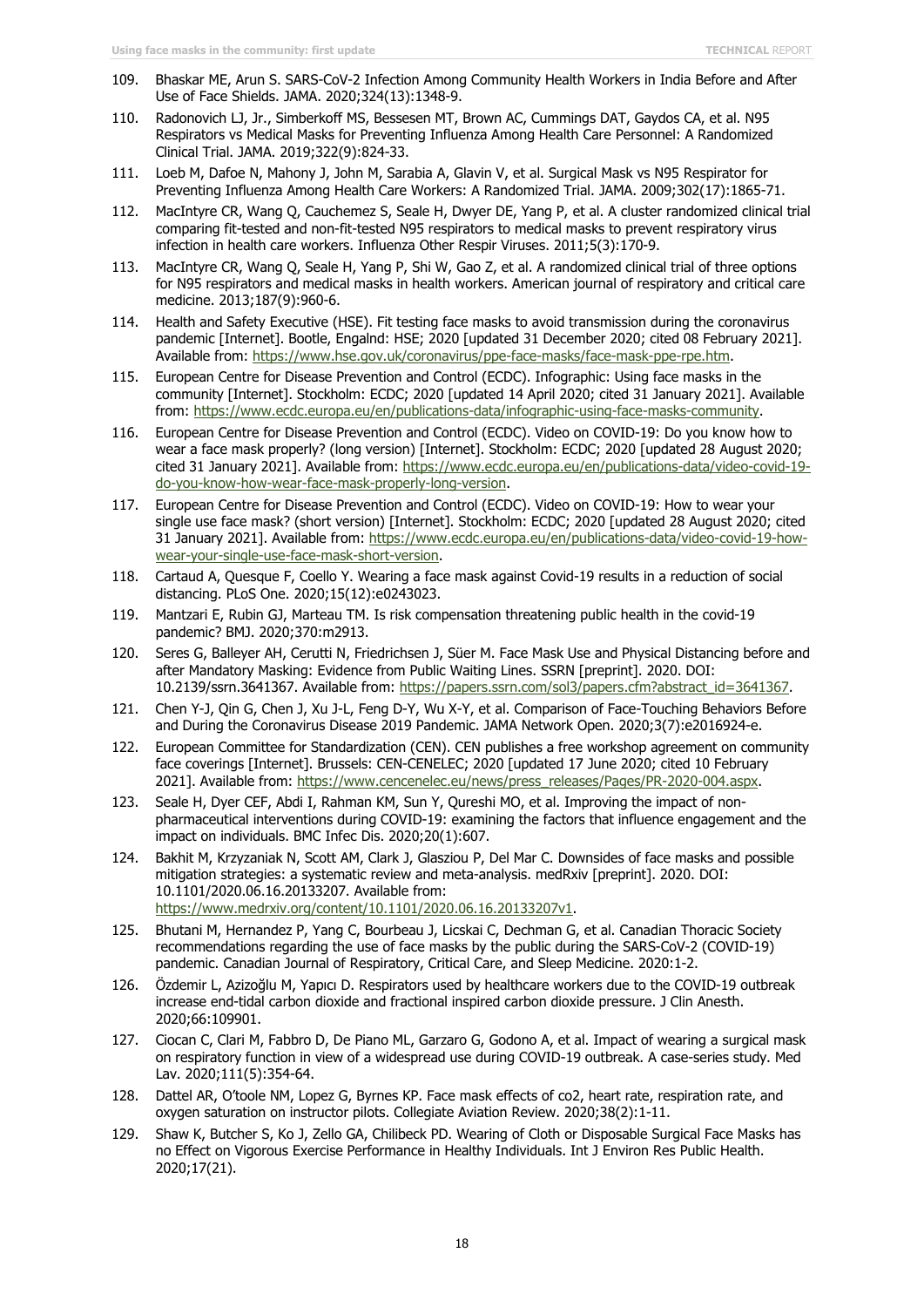- 109. Bhaskar ME, Arun S. SARS-CoV-2 Infection Among Community Health Workers in India Before and After Use of Face Shields. JAMA. 2020;324(13):1348-9.
- 110. Radonovich LJ, Jr., Simberkoff MS, Bessesen MT, Brown AC, Cummings DAT, Gaydos CA, et al. N95 Respirators vs Medical Masks for Preventing Influenza Among Health Care Personnel: A Randomized Clinical Trial. JAMA. 2019;322(9):824-33.
- 111. Loeb M, Dafoe N, Mahony J, John M, Sarabia A, Glavin V, et al. Surgical Mask vs N95 Respirator for Preventing Influenza Among Health Care Workers: A Randomized Trial. JAMA. 2009;302(17):1865-71.
- 112. MacIntyre CR, Wang Q, Cauchemez S, Seale H, Dwyer DE, Yang P, et al. A cluster randomized clinical trial comparing fit-tested and non-fit-tested N95 respirators to medical masks to prevent respiratory virus infection in health care workers. Influenza Other Respir Viruses. 2011;5(3):170-9.
- 113. MacIntyre CR, Wang Q, Seale H, Yang P, Shi W, Gao Z, et al. A randomized clinical trial of three options for N95 respirators and medical masks in health workers. American journal of respiratory and critical care medicine. 2013;187(9):960-6.
- 114. Health and Safety Executive (HSE). Fit testing face masks to avoid transmission during the coronavirus pandemic [Internet]. Bootle, Engalnd: HSE; 2020 [updated 31 December 2020; cited 08 February 2021]. Available from: [https://www.hse.gov.uk/coronavirus/ppe-face-masks/face-mask-ppe-rpe.htm.](https://www.hse.gov.uk/coronavirus/ppe-face-masks/face-mask-ppe-rpe.htm)
- 115. European Centre for Disease Prevention and Control (ECDC). Infographic: Using face masks in the community [Internet]. Stockholm: ECDC; 2020 [updated 14 April 2020; cited 31 January 2021]. Available from: [https://www.ecdc.europa.eu/en/publications-data/infographic-using-face-masks-community.](https://www.ecdc.europa.eu/en/publications-data/infographic-using-face-masks-community)
- 116. European Centre for Disease Prevention and Control (ECDC). Video on COVID-19: Do you know how to wear a face mask properly? (long version) [Internet]. Stockholm: ECDC; 2020 [updated 28 August 2020; cited 31 January 2021]. Available from: [https://www.ecdc.europa.eu/en/publications-data/video-covid-19](https://www.ecdc.europa.eu/en/publications-data/video-covid-19-do-you-know-how-wear-face-mask-properly-long-version) [do-you-know-how-wear-face-mask-properly-long-version.](https://www.ecdc.europa.eu/en/publications-data/video-covid-19-do-you-know-how-wear-face-mask-properly-long-version)
- 117. European Centre for Disease Prevention and Control (ECDC). Video on COVID-19: How to wear your single use face mask? (short version) [Internet]. Stockholm: ECDC; 2020 [updated 28 August 2020; cited 31 January 2021]. Available from: [https://www.ecdc.europa.eu/en/publications-data/video-covid-19-how](https://www.ecdc.europa.eu/en/publications-data/video-covid-19-how-wear-your-single-use-face-mask-short-version)[wear-your-single-use-face-mask-short-version.](https://www.ecdc.europa.eu/en/publications-data/video-covid-19-how-wear-your-single-use-face-mask-short-version)
- 118. Cartaud A, Quesque F, Coello Y. Wearing a face mask against Covid-19 results in a reduction of social distancing. PLoS One. 2020;15(12):e0243023.
- 119. Mantzari E, Rubin GJ, Marteau TM. Is risk compensation threatening public health in the covid-19 pandemic? BMJ. 2020;370:m2913.
- 120. Seres G, Balleyer AH, Cerutti N, Friedrichsen J, Süer M. Face Mask Use and Physical Distancing before and after Mandatory Masking: Evidence from Public Waiting Lines. SSRN [preprint]. 2020. DOI: 10.2139/ssrn.3641367. Available from: [https://papers.ssrn.com/sol3/papers.cfm?abstract\\_id=3641367.](https://papers.ssrn.com/sol3/papers.cfm?abstract_id=3641367)
- 121. Chen Y-J, Qin G, Chen J, Xu J-L, Feng D-Y, Wu X-Y, et al. Comparison of Face-Touching Behaviors Before and During the Coronavirus Disease 2019 Pandemic. JAMA Network Open. 2020;3(7):e2016924-e.
- 122. European Committee for Standardization (CEN). CEN publishes a free workshop agreement on community face coverings [Internet]. Brussels: CEN-CENELEC; 2020 [updated 17 June 2020; cited 10 February 2021]. Available from: [https://www.cencenelec.eu/news/press\\_releases/Pages/PR-2020-004.aspx.](https://www.cencenelec.eu/news/press_releases/Pages/PR-2020-004.aspx)
- 123. Seale H, Dyer CEF, Abdi I, Rahman KM, Sun Y, Qureshi MO, et al. Improving the impact of nonpharmaceutical interventions during COVID-19: examining the factors that influence engagement and the impact on individuals. BMC Infec Dis. 2020;20(1):607.
- 124. Bakhit M, Krzyzaniak N, Scott AM, Clark J, Glasziou P, Del Mar C. Downsides of face masks and possible mitigation strategies: a systematic review and meta-analysis. medRxiv [preprint]. 2020. DOI: 10.1101/2020.06.16.20133207. Available from: [https://www.medrxiv.org/content/10.1101/2020.06.16.20133207v1.](https://www.medrxiv.org/content/10.1101/2020.06.16.20133207v1)
- 125. Bhutani M, Hernandez P, Yang C, Bourbeau J, Licskai C, Dechman G, et al. Canadian Thoracic Society recommendations regarding the use of face masks by the public during the SARS-CoV-2 (COVID-19) pandemic. Canadian Journal of Respiratory, Critical Care, and Sleep Medicine. 2020:1-2.
- 126. Özdemir L, Azizoğlu M, Yapıcı D. Respirators used by healthcare workers due to the COVID-19 outbreak increase end-tidal carbon dioxide and fractional inspired carbon dioxide pressure. J Clin Anesth. 2020;66:109901.
- 127. Ciocan C, Clari M, Fabbro D, De Piano ML, Garzaro G, Godono A, et al. Impact of wearing a surgical mask on respiratory function in view of a widespread use during COVID-19 outbreak. A case-series study. Med Lav. 2020;111(5):354-64.
- 128. Dattel AR, O'toole NM, Lopez G, Byrnes KP. Face mask effects of co2, heart rate, respiration rate, and oxygen saturation on instructor pilots. Collegiate Aviation Review. 2020;38(2):1-11.
- 129. Shaw K, Butcher S, Ko J, Zello GA, Chilibeck PD. Wearing of Cloth or Disposable Surgical Face Masks has no Effect on Vigorous Exercise Performance in Healthy Individuals. Int J Environ Res Public Health. 2020;17(21).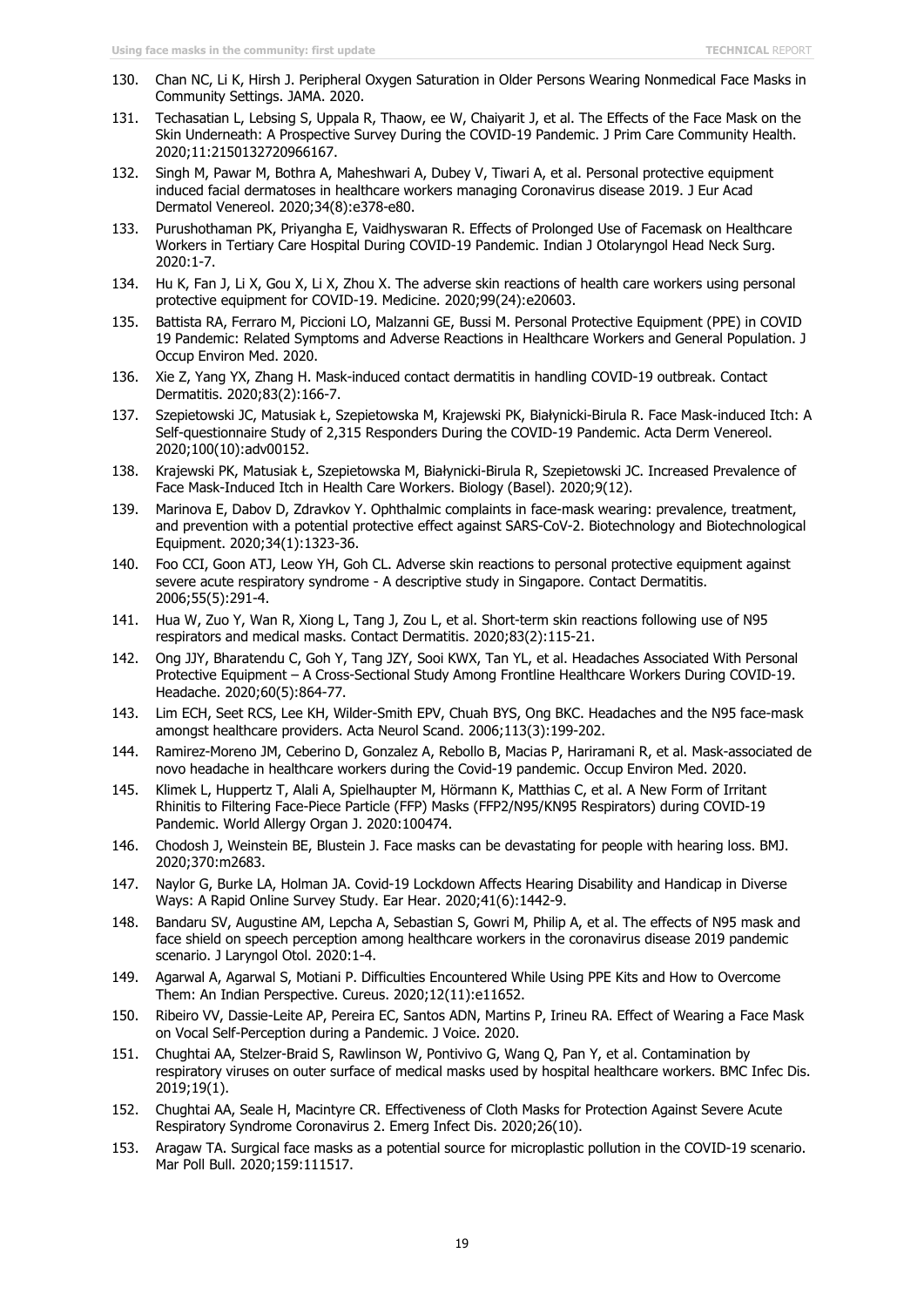- 130. Chan NC, Li K, Hirsh J. Peripheral Oxygen Saturation in Older Persons Wearing Nonmedical Face Masks in Community Settings. JAMA. 2020.
- 131. Techasatian L, Lebsing S, Uppala R, Thaow, ee W, Chaiyarit J, et al. The Effects of the Face Mask on the Skin Underneath: A Prospective Survey During the COVID-19 Pandemic. J Prim Care Community Health. 2020;11:2150132720966167.
- 132. Singh M, Pawar M, Bothra A, Maheshwari A, Dubey V, Tiwari A, et al. Personal protective equipment induced facial dermatoses in healthcare workers managing Coronavirus disease 2019. J Eur Acad Dermatol Venereol. 2020;34(8):e378-e80.
- 133. Purushothaman PK, Priyangha E, Vaidhyswaran R. Effects of Prolonged Use of Facemask on Healthcare Workers in Tertiary Care Hospital During COVID-19 Pandemic. Indian J Otolaryngol Head Neck Surg. 2020:1-7.
- 134. Hu K, Fan J, Li X, Gou X, Li X, Zhou X. The adverse skin reactions of health care workers using personal protective equipment for COVID-19. Medicine. 2020;99(24):e20603.
- 135. Battista RA, Ferraro M, Piccioni LO, Malzanni GE, Bussi M. Personal Protective Equipment (PPE) in COVID 19 Pandemic: Related Symptoms and Adverse Reactions in Healthcare Workers and General Population. J Occup Environ Med. 2020.
- 136. Xie Z, Yang YX, Zhang H. Mask-induced contact dermatitis in handling COVID-19 outbreak. Contact Dermatitis. 2020;83(2):166-7.
- 137. Szepietowski JC, Matusiak Ł, Szepietowska M, Krajewski PK, Białynicki-Birula R. Face Mask-induced Itch: A Self-questionnaire Study of 2,315 Responders During the COVID-19 Pandemic. Acta Derm Venereol. 2020;100(10):adv00152.
- 138. Krajewski PK, Matusiak Ł, Szepietowska M, Białynicki-Birula R, Szepietowski JC. Increased Prevalence of Face Mask-Induced Itch in Health Care Workers. Biology (Basel). 2020;9(12).
- 139. Marinova E, Dabov D, Zdravkov Y. Ophthalmic complaints in face-mask wearing: prevalence, treatment, and prevention with a potential protective effect against SARS-CoV-2. Biotechnology and Biotechnological Equipment. 2020;34(1):1323-36.
- 140. Foo CCI, Goon ATJ, Leow YH, Goh CL. Adverse skin reactions to personal protective equipment against severe acute respiratory syndrome - A descriptive study in Singapore. Contact Dermatitis. 2006;55(5):291-4.
- 141. Hua W, Zuo Y, Wan R, Xiong L, Tang J, Zou L, et al. Short-term skin reactions following use of N95 respirators and medical masks. Contact Dermatitis. 2020;83(2):115-21.
- 142. Ong JJY, Bharatendu C, Goh Y, Tang JZY, Sooi KWX, Tan YL, et al. Headaches Associated With Personal Protective Equipment – A Cross-Sectional Study Among Frontline Healthcare Workers During COVID-19. Headache. 2020;60(5):864-77.
- 143. Lim ECH, Seet RCS, Lee KH, Wilder-Smith EPV, Chuah BYS, Ong BKC. Headaches and the N95 face-mask amongst healthcare providers. Acta Neurol Scand. 2006;113(3):199-202.
- 144. Ramirez-Moreno JM, Ceberino D, Gonzalez A, Rebollo B, Macias P, Hariramani R, et al. Mask-associated de novo headache in healthcare workers during the Covid-19 pandemic. Occup Environ Med. 2020.
- 145. Klimek L, Huppertz T, Alali A, Spielhaupter M, Hörmann K, Matthias C, et al. A New Form of Irritant Rhinitis to Filtering Face-Piece Particle (FFP) Masks (FFP2/N95/KN95 Respirators) during COVID-19 Pandemic. World Allergy Organ J. 2020:100474.
- 146. Chodosh J, Weinstein BE, Blustein J. Face masks can be devastating for people with hearing loss. BMJ. 2020;370:m2683.
- 147. Naylor G, Burke LA, Holman JA. Covid-19 Lockdown Affects Hearing Disability and Handicap in Diverse Ways: A Rapid Online Survey Study. Ear Hear. 2020;41(6):1442-9.
- 148. Bandaru SV, Augustine AM, Lepcha A, Sebastian S, Gowri M, Philip A, et al. The effects of N95 mask and face shield on speech perception among healthcare workers in the coronavirus disease 2019 pandemic scenario. J Laryngol Otol. 2020:1-4.
- 149. Agarwal A, Agarwal S, Motiani P. Difficulties Encountered While Using PPE Kits and How to Overcome Them: An Indian Perspective. Cureus. 2020;12(11):e11652.
- 150. Ribeiro VV, Dassie-Leite AP, Pereira EC, Santos ADN, Martins P, Irineu RA. Effect of Wearing a Face Mask on Vocal Self-Perception during a Pandemic. J Voice. 2020.
- 151. Chughtai AA, Stelzer-Braid S, Rawlinson W, Pontivivo G, Wang Q, Pan Y, et al. Contamination by respiratory viruses on outer surface of medical masks used by hospital healthcare workers. BMC Infec Dis. 2019;19(1).
- 152. Chughtai AA, Seale H, Macintyre CR. Effectiveness of Cloth Masks for Protection Against Severe Acute Respiratory Syndrome Coronavirus 2. Emerg Infect Dis. 2020;26(10).
- 153. Aragaw TA. Surgical face masks as a potential source for microplastic pollution in the COVID-19 scenario. Mar Poll Bull. 2020;159:111517.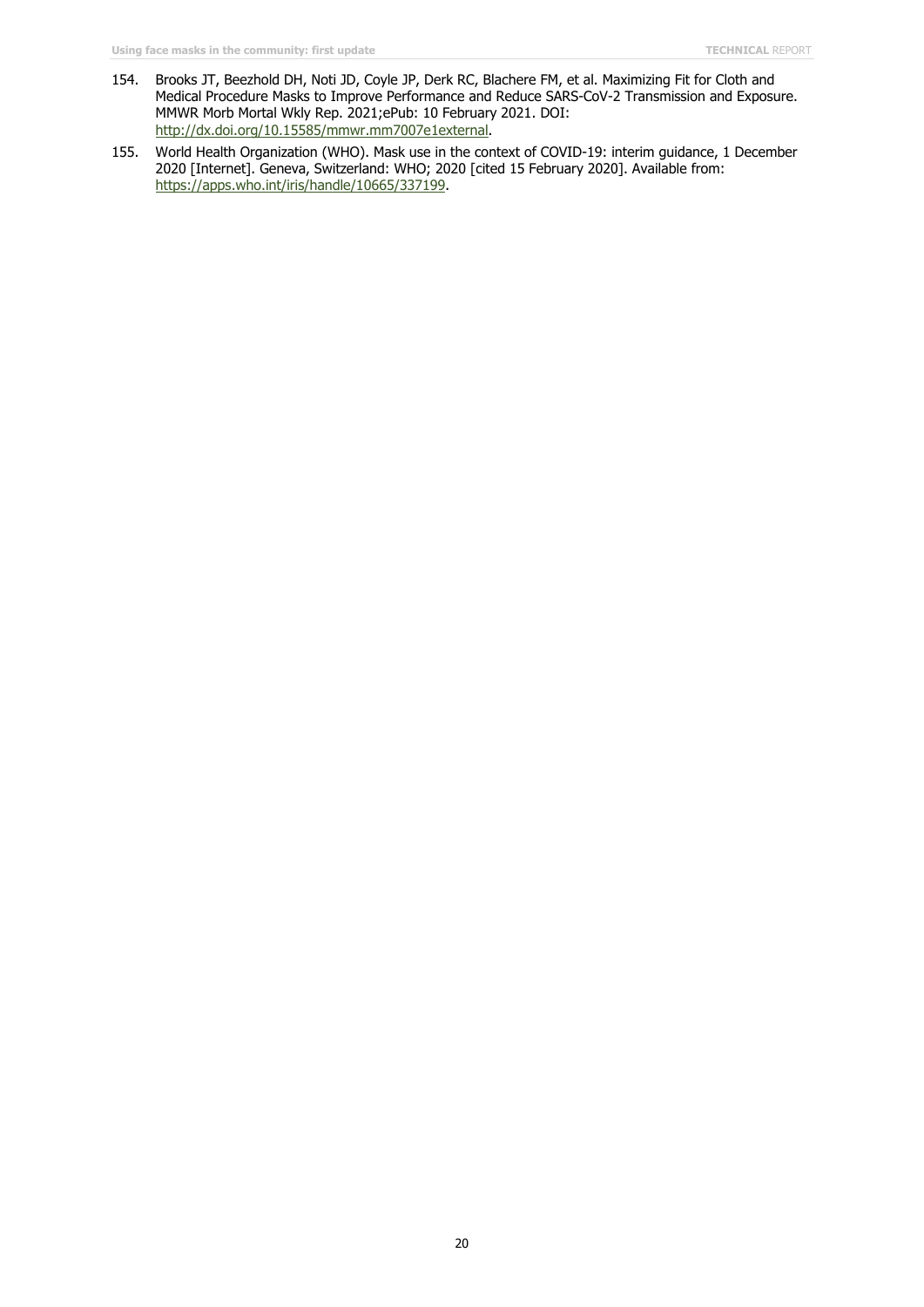- 154. Brooks JT, Beezhold DH, Noti JD, Coyle JP, Derk RC, Blachere FM, et al. Maximizing Fit for Cloth and Medical Procedure Masks to Improve Performance and Reduce SARS-CoV-2 Transmission and Exposure. MMWR Morb Mortal Wkly Rep. 2021;ePub: 10 February 2021. DOI: [http://dx.doi.org/10.15585/mmwr.mm7007e1external.](http://dx.doi.org/10.15585/mmwr.mm7007e1external)
- 155. World Health Organization (WHO). Mask use in the context of COVID-19: interim guidance, 1 December 2020 [Internet]. Geneva, Switzerland: WHO; 2020 [cited 15 February 2020]. Available from: [https://apps.who.int/iris/handle/10665/337199.](https://apps.who.int/iris/handle/10665/337199)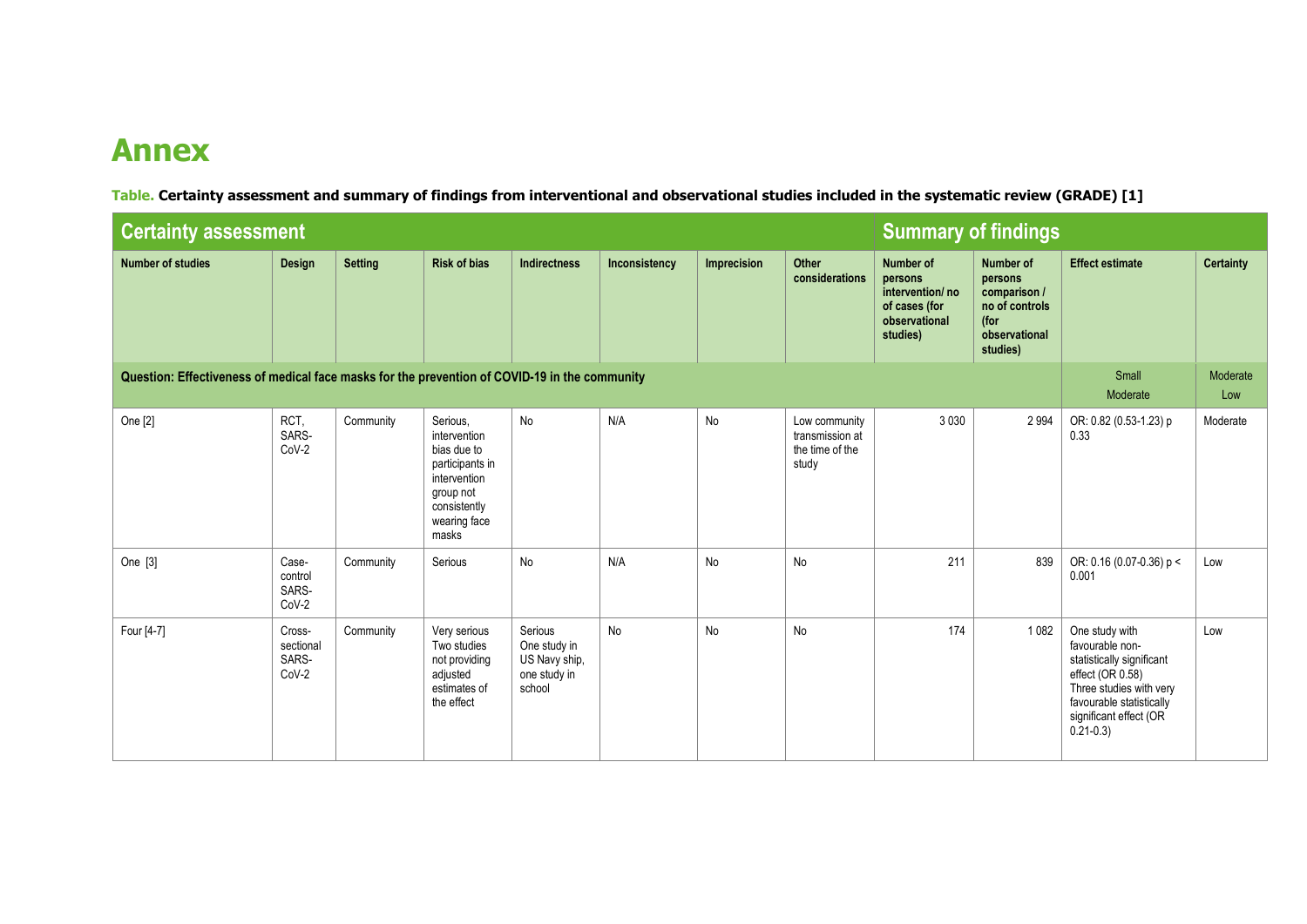## **Annex**

**Table. Certainty assessment and summary of findings from interventional and observational studies included in the systematic review (GRADE) [1]**

| <b>Certainty assessment</b>                                                                   |                                       |                | <b>Summary of findings</b>                                                                                                       |                                                                    |               |             |                                                              |                                                                                              |                                                                                             |                                                                                                                                                                                     |                  |
|-----------------------------------------------------------------------------------------------|---------------------------------------|----------------|----------------------------------------------------------------------------------------------------------------------------------|--------------------------------------------------------------------|---------------|-------------|--------------------------------------------------------------|----------------------------------------------------------------------------------------------|---------------------------------------------------------------------------------------------|-------------------------------------------------------------------------------------------------------------------------------------------------------------------------------------|------------------|
| <b>Number of studies</b>                                                                      | Design                                | <b>Setting</b> | <b>Risk of bias</b>                                                                                                              | <b>Indirectness</b>                                                | Inconsistency | Imprecision | Other<br>considerations                                      | <b>Number of</b><br>persons<br>intervention/no<br>of cases (for<br>observational<br>studies) | Number of<br>persons<br>comparison /<br>no of controls<br>(for<br>observational<br>studies) | <b>Effect estimate</b>                                                                                                                                                              | <b>Certainty</b> |
| Question: Effectiveness of medical face masks for the prevention of COVID-19 in the community |                                       |                |                                                                                                                                  |                                                                    |               |             |                                                              |                                                                                              |                                                                                             |                                                                                                                                                                                     | Moderate<br>Low  |
| One [2]                                                                                       | RCT,<br>SARS-<br>CoV-2                | Community      | Serious.<br>intervention<br>bias due to<br>participants in<br>intervention<br>group not<br>consistently<br>wearing face<br>masks | No                                                                 | N/A           | No          | Low community<br>transmission at<br>the time of the<br>study | 3 0 3 0                                                                                      | 2 9 9 4                                                                                     | OR: 0.82 (0.53-1.23) p<br>0.33                                                                                                                                                      | Moderate         |
| One [3]                                                                                       | Case-<br>control<br>SARS-<br>CoV-2    | Community      | Serious                                                                                                                          | No                                                                 | N/A           | No          | No                                                           | 211                                                                                          | 839                                                                                         | OR: 0.16 (0.07-0.36) p <<br>0.001                                                                                                                                                   | Low              |
| Four [4-7]                                                                                    | Cross-<br>sectional<br>SARS-<br>CoV-2 | Community      | Very serious<br>Two studies<br>not providing<br>adjusted<br>estimates of<br>the effect                                           | Serious<br>One study in<br>US Navy ship,<br>one study in<br>school | No            | No          | No                                                           | 174                                                                                          | 1 0 8 2                                                                                     | One study with<br>favourable non-<br>statistically significant<br>effect (OR 0.58)<br>Three studies with very<br>favourable statistically<br>significant effect (OR<br>$0.21 - 0.3$ | Low              |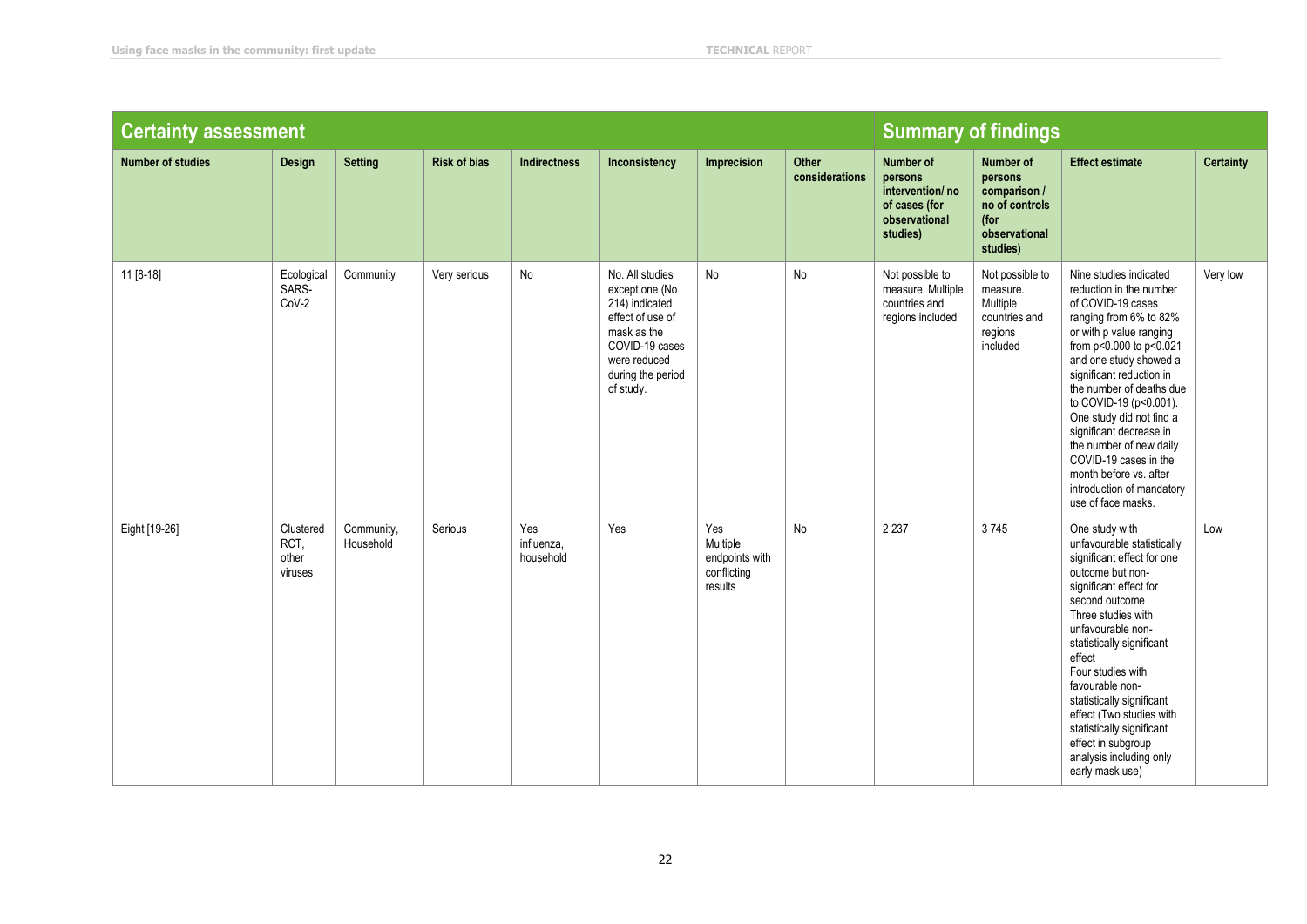| <b>Certainty assessment</b> |                                       |                         |                     |                                |                                                                                                                                                            |                                                             |                         | <b>Summary of findings</b>                                                                   |                                                                                             |                                                                                                                                                                                                                                                                                                                                                                                                                                                            |                  |
|-----------------------------|---------------------------------------|-------------------------|---------------------|--------------------------------|------------------------------------------------------------------------------------------------------------------------------------------------------------|-------------------------------------------------------------|-------------------------|----------------------------------------------------------------------------------------------|---------------------------------------------------------------------------------------------|------------------------------------------------------------------------------------------------------------------------------------------------------------------------------------------------------------------------------------------------------------------------------------------------------------------------------------------------------------------------------------------------------------------------------------------------------------|------------------|
| <b>Number of studies</b>    | Design                                | <b>Setting</b>          | <b>Risk of bias</b> | <b>Indirectness</b>            | Inconsistency                                                                                                                                              | Imprecision                                                 | Other<br>considerations | <b>Number of</b><br>persons<br>intervention/no<br>of cases (for<br>observational<br>studies) | Number of<br>persons<br>comparison /<br>no of controls<br>(for<br>observational<br>studies) | <b>Effect estimate</b>                                                                                                                                                                                                                                                                                                                                                                                                                                     | <b>Certainty</b> |
| 11 [8-18]                   | Ecological<br>SARS-<br>CoV-2          | Community               | Very serious        | No                             | No. All studies<br>except one (No<br>214) indicated<br>effect of use of<br>mask as the<br>COVID-19 cases<br>were reduced<br>during the period<br>of study. | No                                                          | No                      | Not possible to<br>measure. Multiple<br>countries and<br>regions included                    | Not possible to<br>measure.<br>Multiple<br>countries and<br>regions<br>included             | Nine studies indicated<br>reduction in the number<br>of COVID-19 cases<br>ranging from 6% to 82%<br>or with p value ranging<br>from p<0.000 to p<0.021<br>and one study showed a<br>significant reduction in<br>the number of deaths due<br>to COVID-19 (p<0.001).<br>One study did not find a<br>significant decrease in<br>the number of new daily<br>COVID-19 cases in the<br>month before vs. after<br>introduction of mandatory<br>use of face masks. | Very low         |
| Eight [19-26]               | Clustered<br>RCT,<br>other<br>viruses | Community,<br>Household | Serious             | Yes<br>influenza,<br>household | Yes                                                                                                                                                        | Yes<br>Multiple<br>endpoints with<br>conflicting<br>results | <b>No</b>               | 2 2 3 7                                                                                      | 3745                                                                                        | One study with<br>unfavourable statistically<br>significant effect for one<br>outcome but non-<br>significant effect for<br>second outcome<br>Three studies with<br>unfavourable non-<br>statistically significant<br>effect<br>Four studies with<br>favourable non-<br>statistically significant<br>effect (Two studies with<br>statistically significant<br>effect in subgroup<br>analysis including only<br>early mask use)                             | Low              |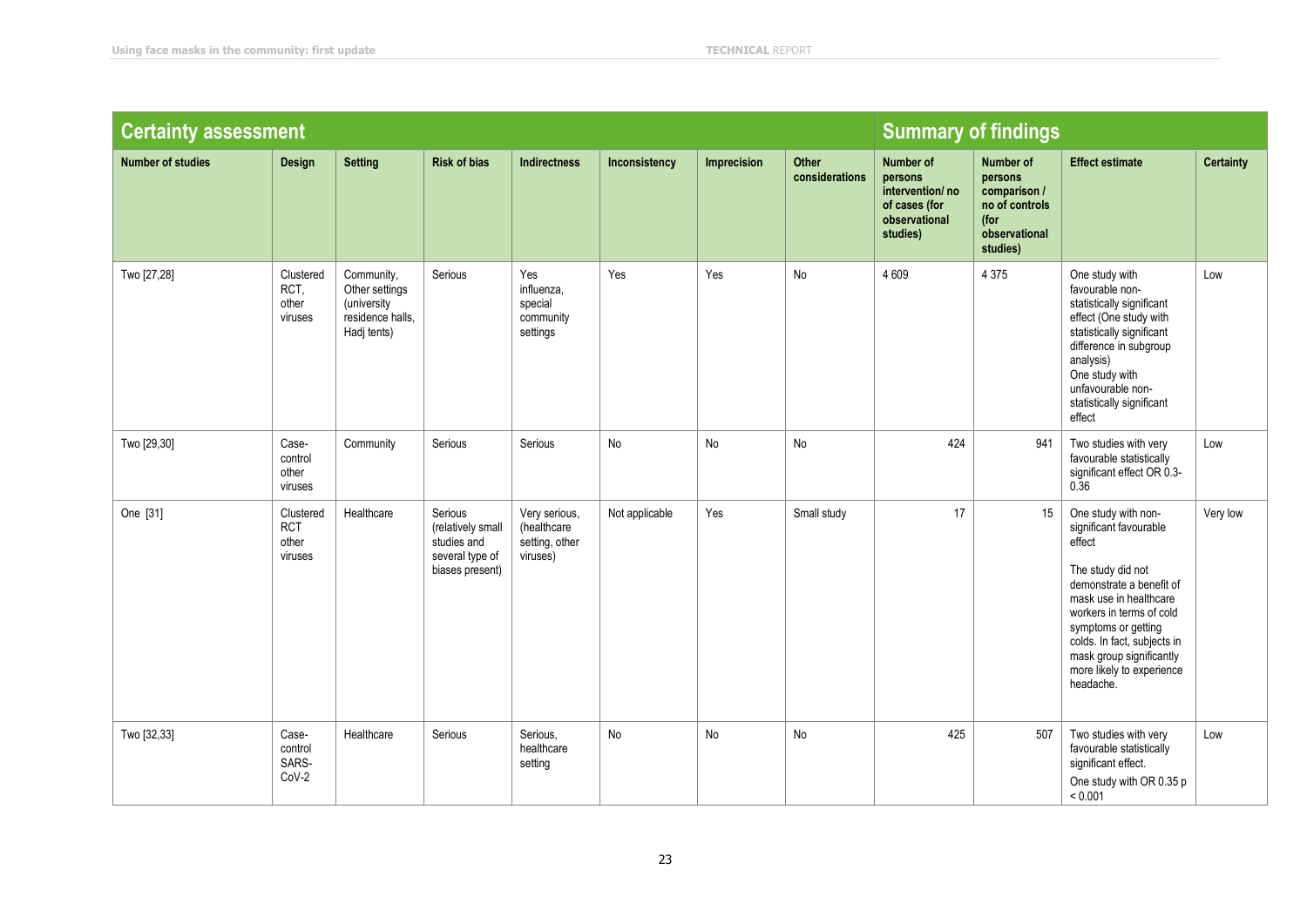| <b>Certainty assessment</b> |                                             |                                                                                | <b>Summary of findings</b>                                                        |                                                            |                |             |                         |                                                                                       |                                                                                             |                                                                                                                                                                                                                                                                                            |                  |
|-----------------------------|---------------------------------------------|--------------------------------------------------------------------------------|-----------------------------------------------------------------------------------|------------------------------------------------------------|----------------|-------------|-------------------------|---------------------------------------------------------------------------------------|---------------------------------------------------------------------------------------------|--------------------------------------------------------------------------------------------------------------------------------------------------------------------------------------------------------------------------------------------------------------------------------------------|------------------|
| <b>Number of studies</b>    | Design                                      | <b>Setting</b>                                                                 | <b>Risk of bias</b>                                                               | <b>Indirectness</b>                                        | Inconsistency  | Imprecision | Other<br>considerations | Number of<br>persons<br>intervention/no<br>of cases (for<br>observational<br>studies) | Number of<br>persons<br>comparison /<br>no of controls<br>(for<br>observational<br>studies) | <b>Effect estimate</b>                                                                                                                                                                                                                                                                     | <b>Certainty</b> |
| Two [27,28]                 | Clustered<br>RCT.<br>other<br>viruses       | Community,<br>Other settings<br>(university<br>residence halls.<br>Hadj tents) | Serious                                                                           | Yes<br>influenza,<br>special<br>community<br>settings      | Yes            | Yes         | No                      | 4 6 0 9                                                                               | 4 3 7 5                                                                                     | One study with<br>favourable non-<br>statistically significant<br>effect (One study with<br>statistically significant<br>difference in subgroup<br>analysis)<br>One study with<br>unfavourable non-<br>statistically significant<br>effect                                                 | Low              |
| Two [29,30]                 | Case-<br>control<br>other<br>viruses        | Community                                                                      | Serious                                                                           | Serious                                                    | No             | No          | No                      | 424                                                                                   | 941                                                                                         | Two studies with very<br>favourable statistically<br>significant effect OR 0.3-<br>$0.\overline{36}$                                                                                                                                                                                       | Low              |
| One [31]                    | Clustered<br><b>RCT</b><br>other<br>viruses | Healthcare                                                                     | Serious<br>(relatively small<br>studies and<br>several type of<br>biases present) | Very serious,<br>(healthcare<br>setting, other<br>viruses) | Not applicable | Yes         | Small study             | 17                                                                                    | 15                                                                                          | One study with non-<br>significant favourable<br>effect<br>The study did not<br>demonstrate a benefit of<br>mask use in healthcare<br>workers in terms of cold<br>symptoms or getting<br>colds. In fact, subjects in<br>mask group significantly<br>more likely to experience<br>headache. | Very low         |
| Two [32,33]                 | Case-<br>control<br>SARS-<br>$CoV-2$        | Healthcare                                                                     | Serious                                                                           | Serious.<br>healthcare<br>setting                          | No             | No          | No                      | 425                                                                                   | 507                                                                                         | Two studies with very<br>favourable statistically<br>significant effect.<br>One study with OR 0.35 p<br>< 0.001                                                                                                                                                                            | Low              |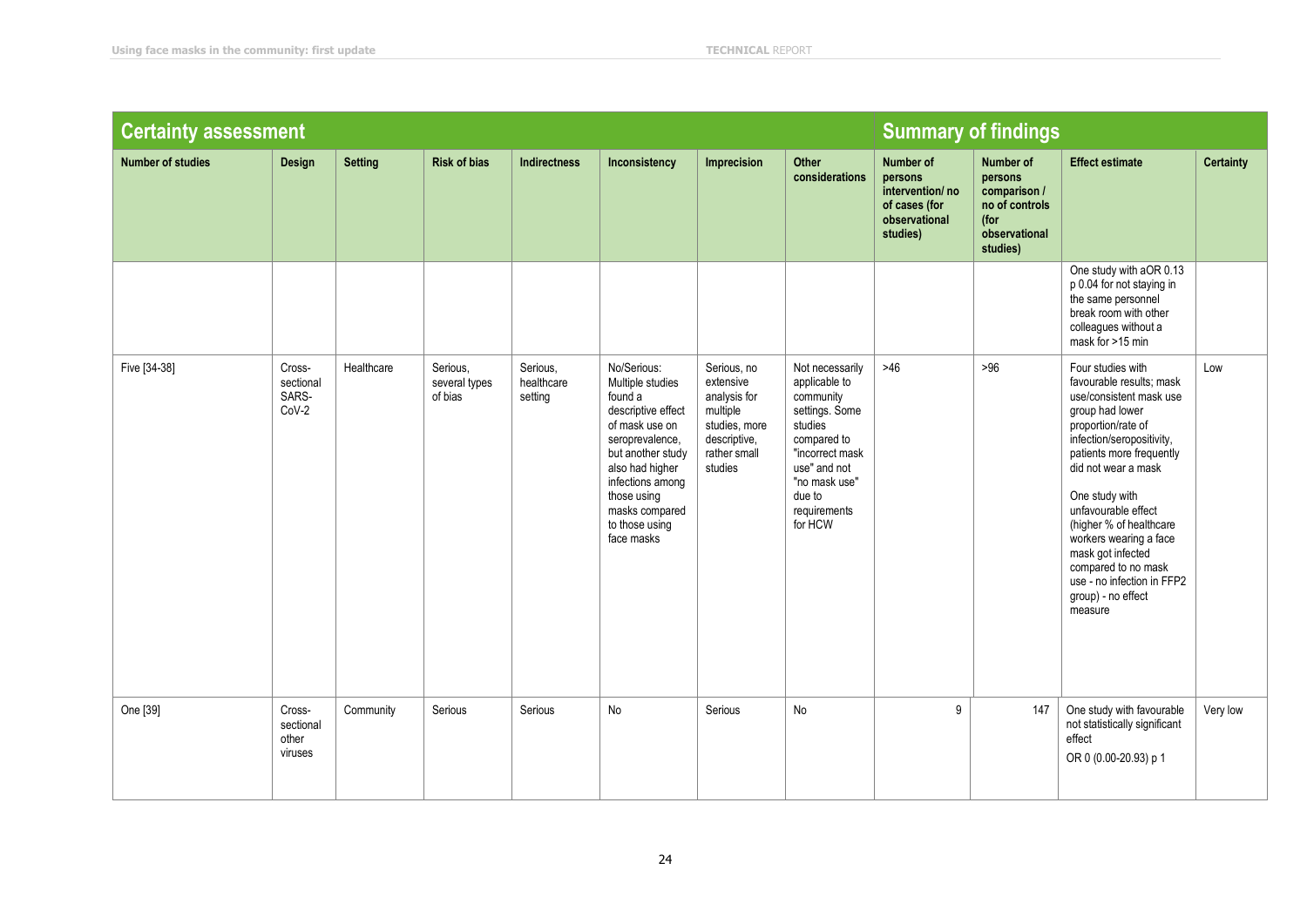| <b>Certainty assessment</b> |                                         |                | <b>Summary of findings</b>           |                                   |                                                                                                                                                                                                                                    |                                                                                                                  |                                                                                                                                                                                    |                                                                                       |                                                                                             |                                                                                                                                                                                                                                                                                                                                                                                                             |                  |
|-----------------------------|-----------------------------------------|----------------|--------------------------------------|-----------------------------------|------------------------------------------------------------------------------------------------------------------------------------------------------------------------------------------------------------------------------------|------------------------------------------------------------------------------------------------------------------|------------------------------------------------------------------------------------------------------------------------------------------------------------------------------------|---------------------------------------------------------------------------------------|---------------------------------------------------------------------------------------------|-------------------------------------------------------------------------------------------------------------------------------------------------------------------------------------------------------------------------------------------------------------------------------------------------------------------------------------------------------------------------------------------------------------|------------------|
| <b>Number of studies</b>    | <b>Design</b>                           | <b>Setting</b> | <b>Risk of bias</b>                  | <b>Indirectness</b>               | Inconsistency                                                                                                                                                                                                                      | Imprecision                                                                                                      | Other<br>considerations                                                                                                                                                            | Number of<br>persons<br>intervention/no<br>of cases (for<br>observational<br>studies) | Number of<br>persons<br>comparison /<br>no of controls<br>(for<br>observational<br>studies) | <b>Effect estimate</b>                                                                                                                                                                                                                                                                                                                                                                                      | <b>Certainty</b> |
|                             |                                         |                |                                      |                                   |                                                                                                                                                                                                                                    |                                                                                                                  |                                                                                                                                                                                    |                                                                                       |                                                                                             | One study with aOR 0.13<br>p 0.04 for not staying in<br>the same personnel<br>break room with other<br>colleagues without a<br>mask for >15 min                                                                                                                                                                                                                                                             |                  |
| Five [34-38]                | Cross-<br>sectional<br>SARS-<br>$CoV-2$ | Healthcare     | Serious,<br>several types<br>of bias | Serious,<br>healthcare<br>setting | No/Serious:<br>Multiple studies<br>found a<br>descriptive effect<br>of mask use on<br>seroprevalence,<br>but another study<br>also had higher<br>infections among<br>those using<br>masks compared<br>to those using<br>face masks | Serious, no<br>extensive<br>analysis for<br>multiple<br>studies, more<br>descriptive,<br>rather small<br>studies | Not necessarily<br>applicable to<br>community<br>settings. Some<br>studies<br>compared to<br>"incorrect mask<br>use" and not<br>"no mask use"<br>due to<br>requirements<br>for HCW | $>46$                                                                                 | $>96$                                                                                       | Four studies with<br>favourable results: mask<br>use/consistent mask use<br>group had lower<br>proportion/rate of<br>infection/seropositivity,<br>patients more frequently<br>did not wear a mask<br>One study with<br>unfavourable effect<br>(higher % of healthcare)<br>workers wearing a face<br>mask got infected<br>compared to no mask<br>use - no infection in FFP2<br>group) - no effect<br>measure | Low              |
| One [39]                    | Cross-<br>sectional<br>other<br>viruses | Community      | Serious                              | Serious                           | No                                                                                                                                                                                                                                 | Serious                                                                                                          | No                                                                                                                                                                                 | 9                                                                                     | 147                                                                                         | One study with favourable<br>not statistically significant<br>effect<br>OR 0 (0.00-20.93) p 1                                                                                                                                                                                                                                                                                                               | Very low         |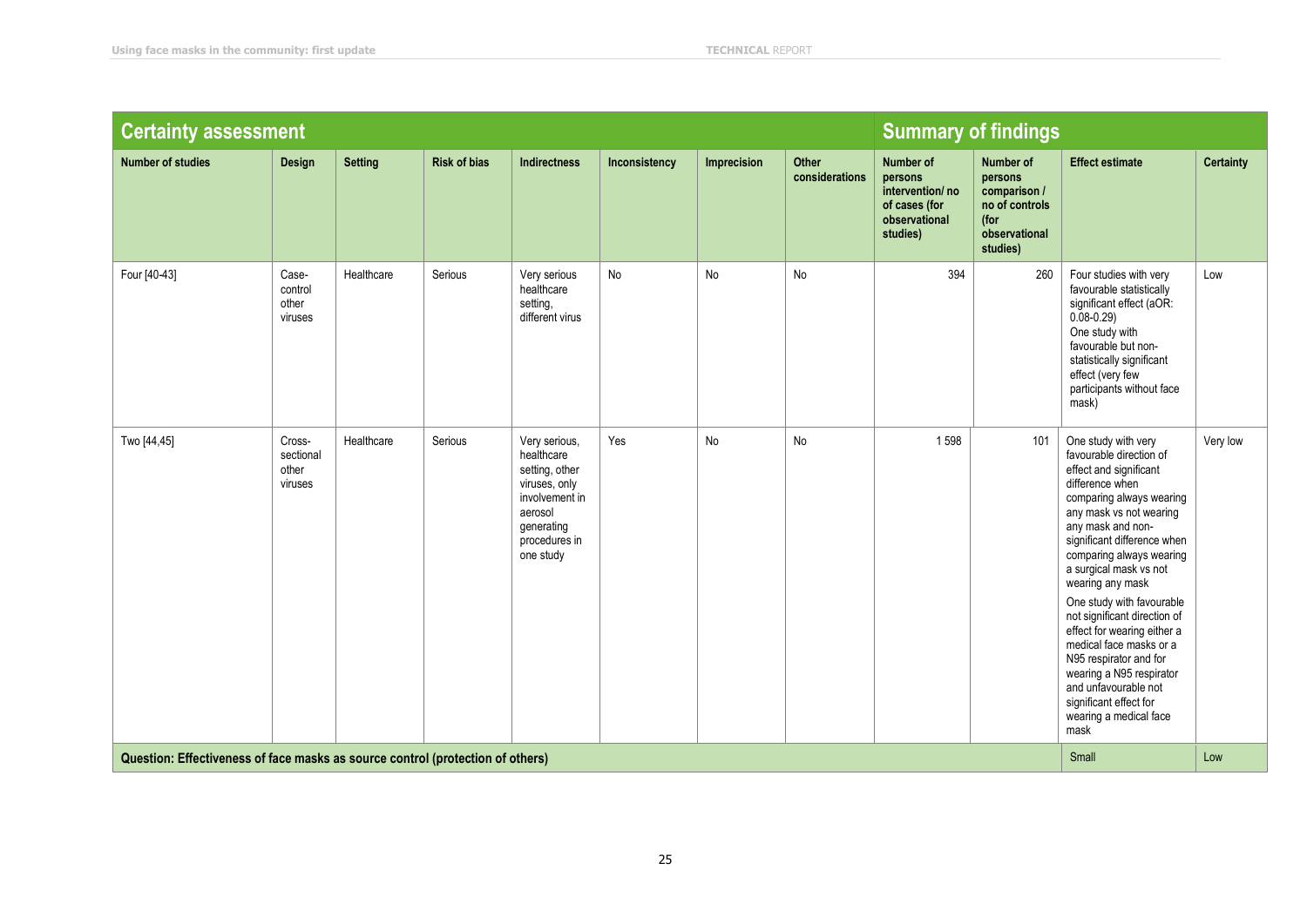| <b>Certainty assessment</b>                                                    |                                         |                |                     |                                                                                                                                         |               |             |                         | <b>Summary of findings</b>                                                                   |                                                                                             |                                                                                                                                                                                                                                                                                                                                                                                                                                                                                                                                                   |                  |
|--------------------------------------------------------------------------------|-----------------------------------------|----------------|---------------------|-----------------------------------------------------------------------------------------------------------------------------------------|---------------|-------------|-------------------------|----------------------------------------------------------------------------------------------|---------------------------------------------------------------------------------------------|---------------------------------------------------------------------------------------------------------------------------------------------------------------------------------------------------------------------------------------------------------------------------------------------------------------------------------------------------------------------------------------------------------------------------------------------------------------------------------------------------------------------------------------------------|------------------|
| <b>Number of studies</b>                                                       | Design                                  | <b>Setting</b> | <b>Risk of bias</b> | <b>Indirectness</b>                                                                                                                     | Inconsistency | Imprecision | Other<br>considerations | <b>Number of</b><br>persons<br>intervention/no<br>of cases (for<br>observational<br>studies) | Number of<br>persons<br>comparison /<br>no of controls<br>(for<br>observational<br>studies) | <b>Effect estimate</b>                                                                                                                                                                                                                                                                                                                                                                                                                                                                                                                            | <b>Certainty</b> |
| Four [40-43]                                                                   | Case-<br>control<br>other<br>viruses    | Healthcare     | Serious             | Very serious<br>healthcare<br>setting,<br>different virus                                                                               | No            | No          | No                      | 394                                                                                          | 260                                                                                         | Four studies with very<br>favourable statistically<br>significant effect (aOR:<br>$0.08 - 0.29$<br>One study with<br>favourable but non-<br>statistically significant<br>effect (very few<br>participants without face<br>mask)                                                                                                                                                                                                                                                                                                                   | Low              |
| Two [44,45]                                                                    | Cross-<br>sectional<br>other<br>viruses | Healthcare     | Serious             | Very serious,<br>healthcare<br>setting, other<br>viruses, only<br>involvement in<br>aerosol<br>generating<br>procedures in<br>one study | Yes           | No          | No                      | 1598                                                                                         | 101                                                                                         | One study with very<br>favourable direction of<br>effect and significant<br>difference when<br>comparing always wearing<br>any mask vs not wearing<br>any mask and non-<br>significant difference when<br>comparing always wearing<br>a surgical mask vs not<br>wearing any mask<br>One study with favourable<br>not significant direction of<br>effect for wearing either a<br>medical face masks or a<br>N95 respirator and for<br>wearing a N95 respirator<br>and unfavourable not<br>significant effect for<br>wearing a medical face<br>mask | Very low         |
| Question: Effectiveness of face masks as source control (protection of others) |                                         |                |                     |                                                                                                                                         |               |             |                         |                                                                                              |                                                                                             | Small                                                                                                                                                                                                                                                                                                                                                                                                                                                                                                                                             | Low              |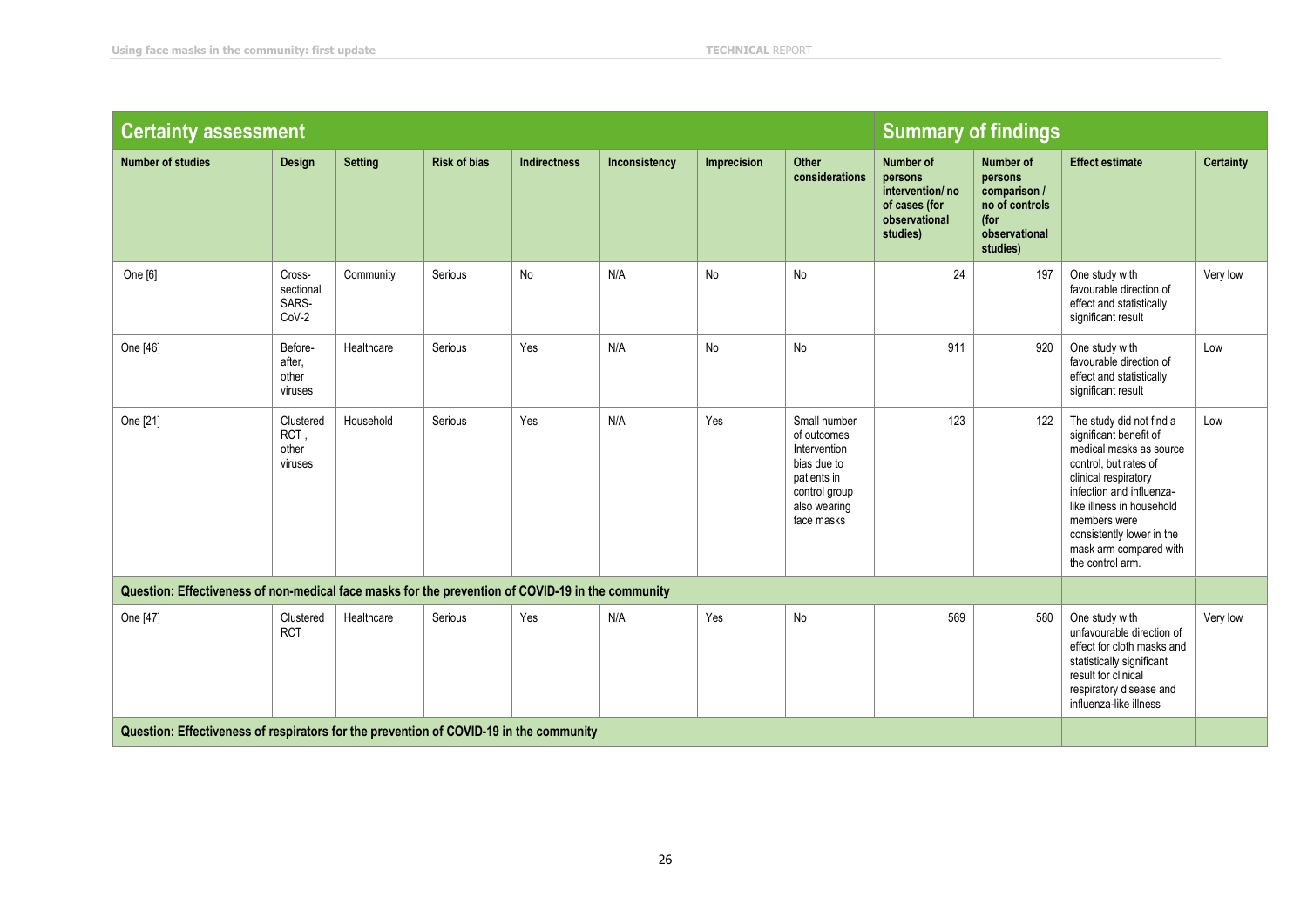| <b>Certainty assessment</b>                                                                       |                                       |                |                     |                     |               |             |                                                                                                                          | <b>Summary of findings</b>                                                                   |                                                                                             |                                                                                                                                                                                                                                                                                    |                  |
|---------------------------------------------------------------------------------------------------|---------------------------------------|----------------|---------------------|---------------------|---------------|-------------|--------------------------------------------------------------------------------------------------------------------------|----------------------------------------------------------------------------------------------|---------------------------------------------------------------------------------------------|------------------------------------------------------------------------------------------------------------------------------------------------------------------------------------------------------------------------------------------------------------------------------------|------------------|
| <b>Number of studies</b>                                                                          | Design                                | <b>Setting</b> | <b>Risk of bias</b> | <b>Indirectness</b> | Inconsistency | Imprecision | Other<br>considerations                                                                                                  | <b>Number of</b><br>persons<br>intervention/no<br>of cases (for<br>observational<br>studies) | Number of<br>persons<br>comparison /<br>no of controls<br>(for<br>observational<br>studies) | <b>Effect estimate</b>                                                                                                                                                                                                                                                             | <b>Certainty</b> |
| One [6]                                                                                           | Cross-<br>sectional<br>SARS-<br>CoV-2 | Community      | Serious             | No                  | N/A           | No          | No                                                                                                                       | 24                                                                                           | 197                                                                                         | One study with<br>favourable direction of<br>effect and statistically<br>significant result                                                                                                                                                                                        | Very low         |
| One [46]                                                                                          | Before-<br>after,<br>other<br>viruses | Healthcare     | Serious             | Yes                 | N/A           | No          | No                                                                                                                       | 911                                                                                          | 920                                                                                         | One study with<br>favourable direction of<br>effect and statistically<br>significant result                                                                                                                                                                                        | Low              |
| One [21]                                                                                          | Clustered<br>RCT,<br>other<br>viruses | Household      | Serious             | Yes                 | N/A           | Yes         | Small number<br>of outcomes<br>Intervention<br>bias due to<br>patients in<br>control group<br>also wearing<br>face masks | 123                                                                                          | 122                                                                                         | The study did not find a<br>significant benefit of<br>medical masks as source<br>control, but rates of<br>clinical respiratory<br>infection and influenza-<br>like illness in household<br>members were<br>consistently lower in the<br>mask arm compared with<br>the control arm. | Low              |
| Question: Effectiveness of non-medical face masks for the prevention of COVID-19 in the community |                                       |                |                     |                     |               |             |                                                                                                                          |                                                                                              |                                                                                             |                                                                                                                                                                                                                                                                                    |                  |
| One [47]                                                                                          | Clustered<br><b>RCT</b>               | Healthcare     | Serious             | Yes                 | N/A           | Yes         | <b>No</b>                                                                                                                | 569                                                                                          | 580                                                                                         | One study with<br>unfavourable direction of<br>effect for cloth masks and<br>statistically significant<br>result for clinical<br>respiratory disease and<br>influenza-like illness                                                                                                 | Very low         |
| Question: Effectiveness of respirators for the prevention of COVID-19 in the community            |                                       |                |                     |                     |               |             |                                                                                                                          |                                                                                              |                                                                                             |                                                                                                                                                                                                                                                                                    |                  |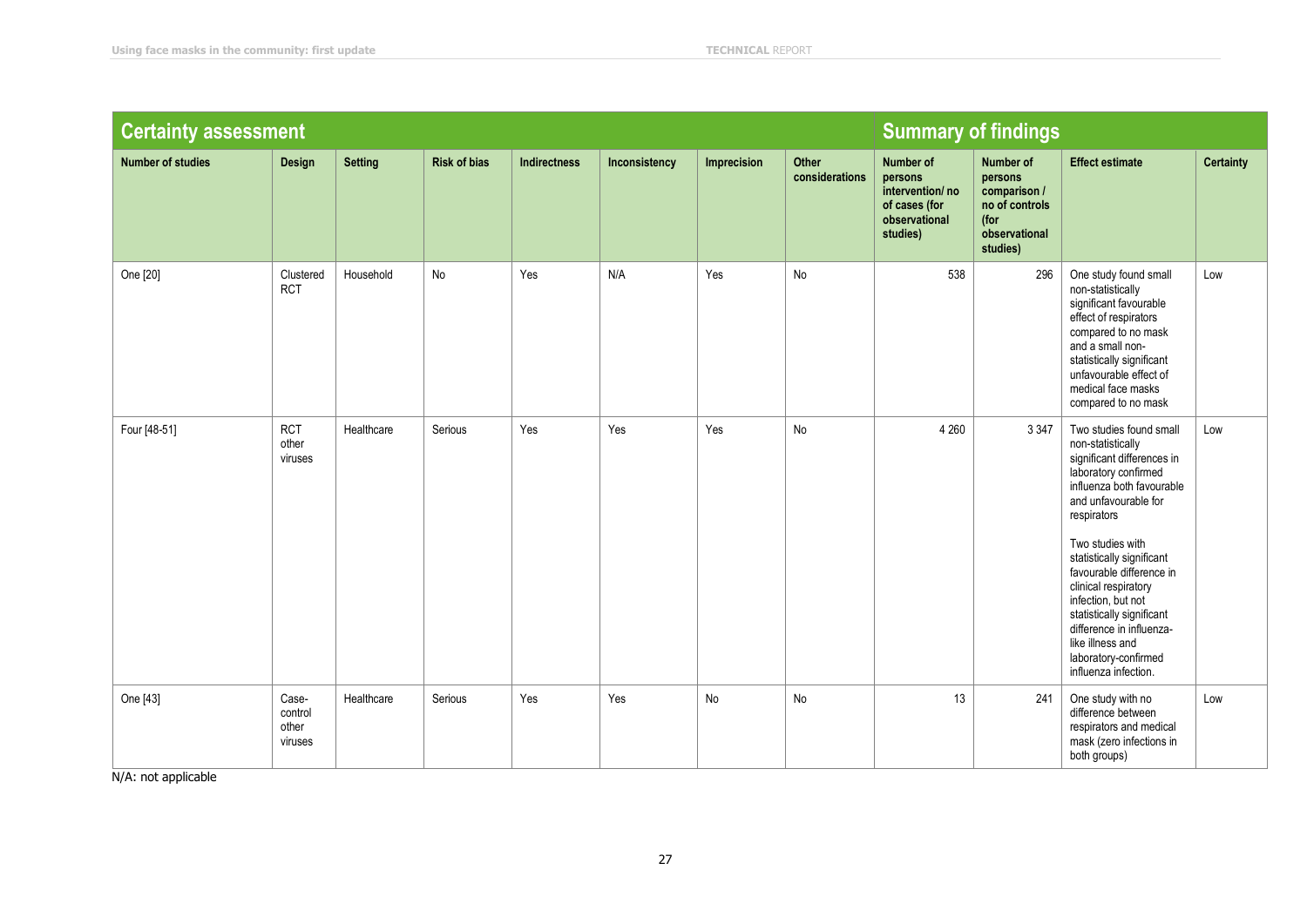| <b>Certainty assessment</b> |                                      |                |                     |                     |               |             |                         | <b>Summary of findings</b>                                                            |                                                                                             |                                                                                                                                                                                                                                                                                                                                                                                                                                |                  |
|-----------------------------|--------------------------------------|----------------|---------------------|---------------------|---------------|-------------|-------------------------|---------------------------------------------------------------------------------------|---------------------------------------------------------------------------------------------|--------------------------------------------------------------------------------------------------------------------------------------------------------------------------------------------------------------------------------------------------------------------------------------------------------------------------------------------------------------------------------------------------------------------------------|------------------|
| <b>Number of studies</b>    | Design                               | <b>Setting</b> | <b>Risk of bias</b> | <b>Indirectness</b> | Inconsistency | Imprecision | Other<br>considerations | Number of<br>persons<br>intervention/no<br>of cases (for<br>observational<br>studies) | Number of<br>persons<br>comparison /<br>no of controls<br>(for<br>observational<br>studies) | <b>Effect estimate</b>                                                                                                                                                                                                                                                                                                                                                                                                         | <b>Certainty</b> |
| One [20]                    | Clustered<br><b>RCT</b>              | Household      | No                  | Yes                 | N/A           | Yes         | No                      | 538                                                                                   | 296                                                                                         | One study found small<br>non-statistically<br>significant favourable<br>effect of respirators<br>compared to no mask<br>and a small non-<br>statistically significant<br>unfavourable effect of<br>medical face masks<br>compared to no mask                                                                                                                                                                                   | Low              |
| Four [48-51]                | <b>RCT</b><br>other<br>viruses       | Healthcare     | Serious             | Yes                 | Yes           | Yes         | No                      | 4 2 6 0                                                                               | 3 3 4 7                                                                                     | Two studies found small<br>non-statistically<br>significant differences in<br>laboratory confirmed<br>influenza both favourable<br>and unfavourable for<br>respirators<br>Two studies with<br>statistically significant<br>favourable difference in<br>clinical respiratory<br>infection, but not<br>statistically significant<br>difference in influenza-<br>like illness and<br>laboratory-confirmed<br>influenza infection. | Low              |
| One [43]                    | Case-<br>control<br>other<br>viruses | Healthcare     | Serious             | Yes                 | Yes           | No          | No                      | 13                                                                                    | 241                                                                                         | One study with no<br>difference between<br>respirators and medical<br>mask (zero infections in<br>both groups)                                                                                                                                                                                                                                                                                                                 | Low              |

N/A: not applicable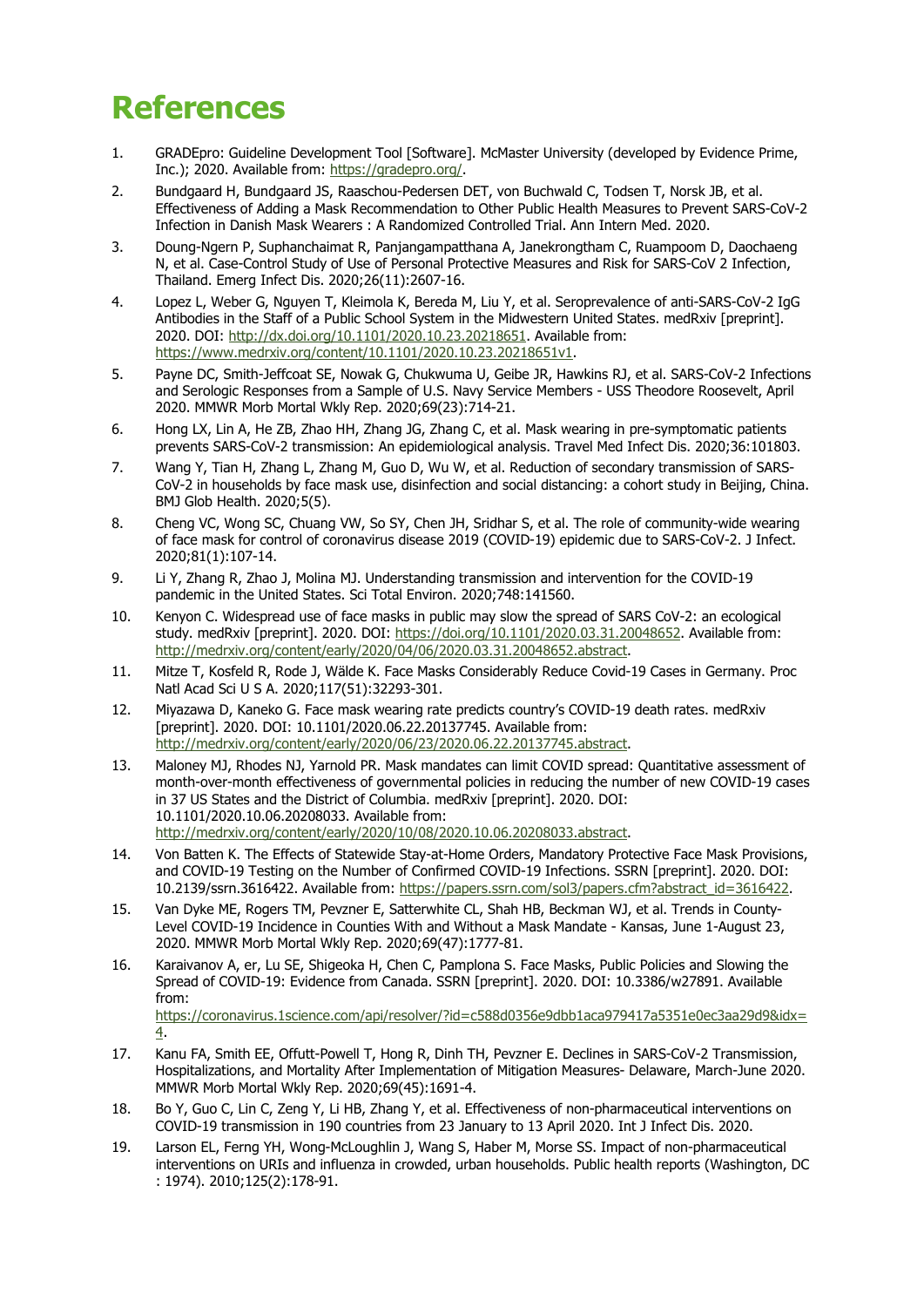# **References**

- 1. GRADEpro: Guideline Development Tool [Software]. McMaster University (developed by Evidence Prime, Inc.); 2020. Available from: [https://gradepro.org/.](https://gradepro.org/)
- 2. Bundgaard H, Bundgaard JS, Raaschou-Pedersen DET, von Buchwald C, Todsen T, Norsk JB, et al. Effectiveness of Adding a Mask Recommendation to Other Public Health Measures to Prevent SARS-CoV-2 Infection in Danish Mask Wearers : A Randomized Controlled Trial. Ann Intern Med. 2020.
- 3. Doung-Ngern P, Suphanchaimat R, Panjangampatthana A, Janekrongtham C, Ruampoom D, Daochaeng N, et al. Case-Control Study of Use of Personal Protective Measures and Risk for SARS-CoV 2 Infection, Thailand. Emerg Infect Dis. 2020;26(11):2607-16.
- 4. Lopez L, Weber G, Nguyen T, Kleimola K, Bereda M, Liu Y, et al. Seroprevalence of anti-SARS-CoV-2 IgG Antibodies in the Staff of a Public School System in the Midwestern United States. medRxiv [preprint]. 2020. DOI: [http://dx.doi.org/10.1101/2020.10.23.20218651.](http://dx.doi.org/10.1101/2020.10.23.20218651) Available from: [https://www.medrxiv.org/content/10.1101/2020.10.23.20218651v1.](https://www.medrxiv.org/content/10.1101/2020.10.23.20218651v1)
- 5. Payne DC, Smith-Jeffcoat SE, Nowak G, Chukwuma U, Geibe JR, Hawkins RJ, et al. SARS-CoV-2 Infections and Serologic Responses from a Sample of U.S. Navy Service Members - USS Theodore Roosevelt, April 2020. MMWR Morb Mortal Wkly Rep. 2020;69(23):714-21.
- 6. Hong LX, Lin A, He ZB, Zhao HH, Zhang JG, Zhang C, et al. Mask wearing in pre-symptomatic patients prevents SARS-CoV-2 transmission: An epidemiological analysis. Travel Med Infect Dis. 2020;36:101803.
- 7. Wang Y, Tian H, Zhang L, Zhang M, Guo D, Wu W, et al. Reduction of secondary transmission of SARS-CoV-2 in households by face mask use, disinfection and social distancing: a cohort study in Beijing, China. BMJ Glob Health. 2020;5(5).
- 8. Cheng VC, Wong SC, Chuang VW, So SY, Chen JH, Sridhar S, et al. The role of community-wide wearing of face mask for control of coronavirus disease 2019 (COVID-19) epidemic due to SARS-CoV-2. J Infect. 2020;81(1):107-14.
- 9. Li Y, Zhang R, Zhao J, Molina MJ. Understanding transmission and intervention for the COVID-19 pandemic in the United States. Sci Total Environ. 2020;748:141560.
- 10. Kenyon C. Widespread use of face masks in public may slow the spread of SARS CoV-2: an ecological study. medRxiv [preprint]. 2020. DOI: [https://doi.org/10.1101/2020.03.31.20048652.](https://doi.org/10.1101/2020.03.31.20048652) Available from: [http://medrxiv.org/content/early/2020/04/06/2020.03.31.20048652.abstract.](http://medrxiv.org/content/early/2020/04/06/2020.03.31.20048652.abstract)
- 11. Mitze T, Kosfeld R, Rode J, Wälde K. Face Masks Considerably Reduce Covid-19 Cases in Germany. Proc Natl Acad Sci U S A. 2020;117(51):32293-301.
- 12. Miyazawa D, Kaneko G. Face mask wearing rate predicts country's COVID-19 death rates. medRxiv [preprint]. 2020. DOI: 10.1101/2020.06.22.20137745. Available from: [http://medrxiv.org/content/early/2020/06/23/2020.06.22.20137745.abstract.](http://medrxiv.org/content/early/2020/06/23/2020.06.22.20137745.abstract)
- 13. Maloney MJ, Rhodes NJ, Yarnold PR. Mask mandates can limit COVID spread: Quantitative assessment of month-over-month effectiveness of governmental policies in reducing the number of new COVID-19 cases in 37 US States and the District of Columbia. medRxiv [preprint]. 2020. DOI: 10.1101/2020.10.06.20208033. Available from: [http://medrxiv.org/content/early/2020/10/08/2020.10.06.20208033.abstract.](http://medrxiv.org/content/early/2020/10/08/2020.10.06.20208033.abstract)
- 14. Von Batten K. The Effects of Statewide Stay-at-Home Orders, Mandatory Protective Face Mask Provisions, and COVID-19 Testing on the Number of Confirmed COVID-19 Infections. SSRN [preprint]. 2020. DOI: 10.2139/ssrn.3616422. Available from: [https://papers.ssrn.com/sol3/papers.cfm?abstract\\_id=3616422.](https://papers.ssrn.com/sol3/papers.cfm?abstract_id=3616422)
- 15. Van Dyke ME, Rogers TM, Pevzner E, Satterwhite CL, Shah HB, Beckman WJ, et al. Trends in County-Level COVID-19 Incidence in Counties With and Without a Mask Mandate - Kansas, June 1-August 23, 2020. MMWR Morb Mortal Wkly Rep. 2020;69(47):1777-81.
- 16. Karaivanov A, er, Lu SE, Shigeoka H, Chen C, Pamplona S. Face Masks, Public Policies and Slowing the Spread of COVID-19: Evidence from Canada. SSRN [preprint]. 2020. DOI: 10.3386/w27891. Available from: [https://coronavirus.1science.com/api/resolver/?id=c588d0356e9dbb1aca979417a5351e0ec3aa29d9&idx=](https://coronavirus.1science.com/api/resolver/?id=c588d0356e9dbb1aca979417a5351e0ec3aa29d9&idx=4) [4.](https://coronavirus.1science.com/api/resolver/?id=c588d0356e9dbb1aca979417a5351e0ec3aa29d9&idx=4)
- 17. Kanu FA, Smith EE, Offutt-Powell T, Hong R, Dinh TH, Pevzner E. Declines in SARS-CoV-2 Transmission, Hospitalizations, and Mortality After Implementation of Mitigation Measures- Delaware, March-June 2020. MMWR Morb Mortal Wkly Rep. 2020;69(45):1691-4.
- 18. Bo Y, Guo C, Lin C, Zeng Y, Li HB, Zhang Y, et al. Effectiveness of non-pharmaceutical interventions on COVID-19 transmission in 190 countries from 23 January to 13 April 2020. Int J Infect Dis. 2020.
- 19. Larson EL, Ferng YH, Wong-McLoughlin J, Wang S, Haber M, Morse SS. Impact of non-pharmaceutical interventions on URIs and influenza in crowded, urban households. Public health reports (Washington, DC : 1974). 2010;125(2):178-91.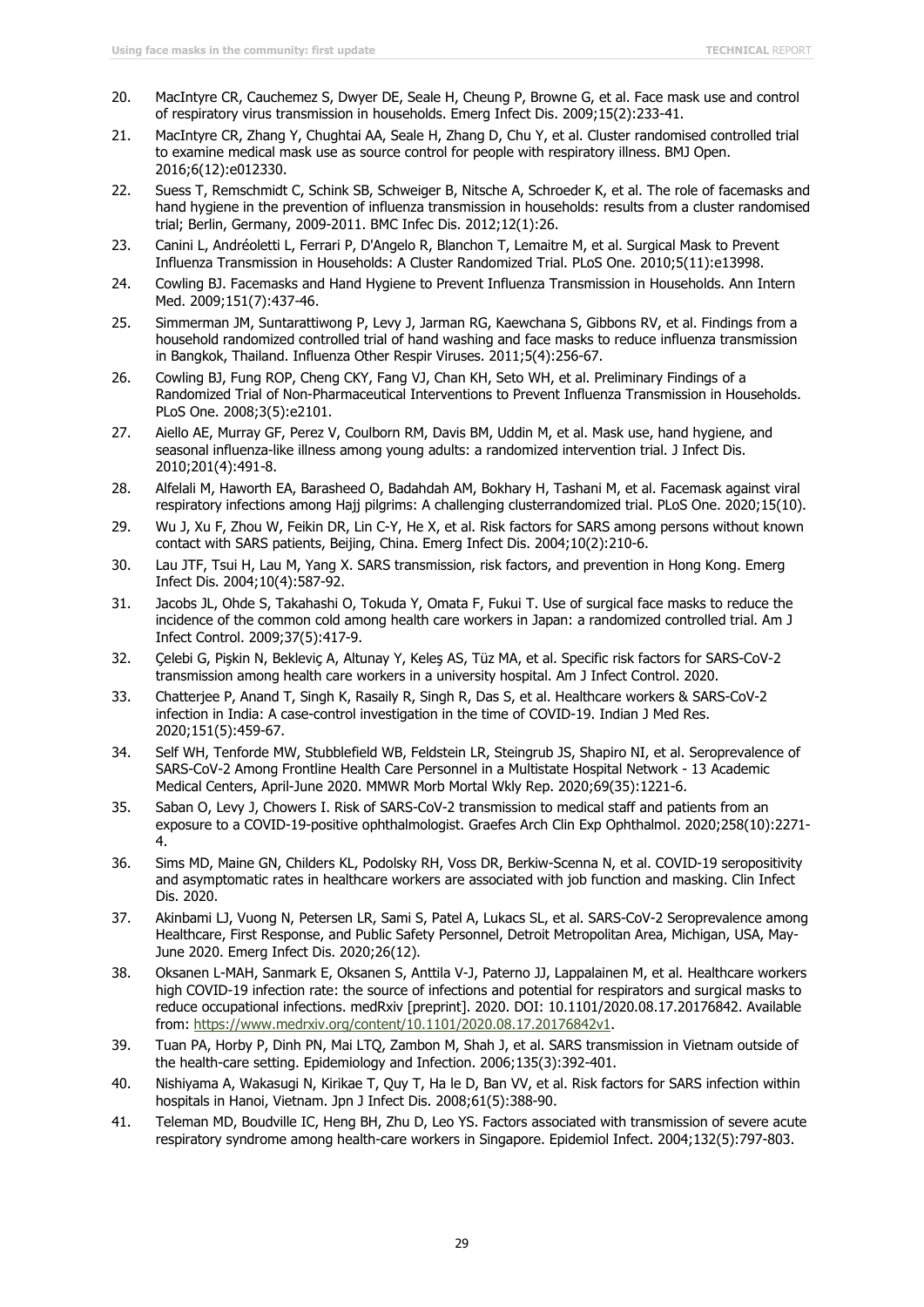- 20. MacIntyre CR, Cauchemez S, Dwyer DE, Seale H, Cheung P, Browne G, et al. Face mask use and control of respiratory virus transmission in households. Emerg Infect Dis. 2009;15(2):233-41.
- 21. MacIntyre CR, Zhang Y, Chughtai AA, Seale H, Zhang D, Chu Y, et al. Cluster randomised controlled trial to examine medical mask use as source control for people with respiratory illness. BMJ Open. 2016;6(12):e012330.
- 22. Suess T, Remschmidt C, Schink SB, Schweiger B, Nitsche A, Schroeder K, et al. The role of facemasks and hand hygiene in the prevention of influenza transmission in households: results from a cluster randomised trial; Berlin, Germany, 2009-2011. BMC Infec Dis. 2012;12(1):26.
- 23. Canini L, Andréoletti L, Ferrari P, D'Angelo R, Blanchon T, Lemaitre M, et al. Surgical Mask to Prevent Influenza Transmission in Households: A Cluster Randomized Trial. PLoS One. 2010;5(11):e13998.
- 24. Cowling BJ. Facemasks and Hand Hygiene to Prevent Influenza Transmission in Households. Ann Intern Med. 2009;151(7):437-46.
- 25. Simmerman JM, Suntarattiwong P, Levy J, Jarman RG, Kaewchana S, Gibbons RV, et al. Findings from a household randomized controlled trial of hand washing and face masks to reduce influenza transmission in Bangkok, Thailand. Influenza Other Respir Viruses. 2011;5(4):256-67.
- 26. Cowling BJ, Fung ROP, Cheng CKY, Fang VJ, Chan KH, Seto WH, et al. Preliminary Findings of a Randomized Trial of Non-Pharmaceutical Interventions to Prevent Influenza Transmission in Households. PLoS One. 2008;3(5):e2101.
- 27. Aiello AE, Murray GF, Perez V, Coulborn RM, Davis BM, Uddin M, et al. Mask use, hand hygiene, and seasonal influenza-like illness among young adults: a randomized intervention trial. J Infect Dis. 2010;201(4):491-8.
- 28. Alfelali M, Haworth EA, Barasheed O, Badahdah AM, Bokhary H, Tashani M, et al. Facemask against viral respiratory infections among Hajj pilgrims: A challenging clusterrandomized trial. PLoS One. 2020;15(10).
- 29. Wu J, Xu F, Zhou W, Feikin DR, Lin C-Y, He X, et al. Risk factors for SARS among persons without known contact with SARS patients, Beijing, China. Emerg Infect Dis. 2004;10(2):210-6.
- 30. Lau JTF, Tsui H, Lau M, Yang X. SARS transmission, risk factors, and prevention in Hong Kong. Emerg Infect Dis. 2004;10(4):587-92.
- 31. Jacobs JL, Ohde S, Takahashi O, Tokuda Y, Omata F, Fukui T. Use of surgical face masks to reduce the incidence of the common cold among health care workers in Japan: a randomized controlled trial. Am J Infect Control. 2009;37(5):417-9.
- 32. Çelebi G, Pişkin N, Bekleviç A, Altunay Y, Keleş AS, Tüz MA, et al. Specific risk factors for SARS-CoV-2 transmission among health care workers in a university hospital. Am J Infect Control. 2020.
- 33. Chatterjee P, Anand T, Singh K, Rasaily R, Singh R, Das S, et al. Healthcare workers & SARS-CoV-2 infection in India: A case-control investigation in the time of COVID-19. Indian J Med Res. 2020;151(5):459-67.
- 34. Self WH, Tenforde MW, Stubblefield WB, Feldstein LR, Steingrub JS, Shapiro NI, et al. Seroprevalence of SARS-CoV-2 Among Frontline Health Care Personnel in a Multistate Hospital Network - 13 Academic Medical Centers, April-June 2020. MMWR Morb Mortal Wkly Rep. 2020;69(35):1221-6.
- 35. Saban O, Levy J, Chowers I. Risk of SARS-CoV-2 transmission to medical staff and patients from an exposure to a COVID-19-positive ophthalmologist. Graefes Arch Clin Exp Ophthalmol. 2020;258(10):2271- 4.
- 36. Sims MD, Maine GN, Childers KL, Podolsky RH, Voss DR, Berkiw-Scenna N, et al. COVID-19 seropositivity and asymptomatic rates in healthcare workers are associated with job function and masking. Clin Infect Dis. 2020.
- 37. Akinbami LJ, Vuong N, Petersen LR, Sami S, Patel A, Lukacs SL, et al. SARS-CoV-2 Seroprevalence among Healthcare, First Response, and Public Safety Personnel, Detroit Metropolitan Area, Michigan, USA, May-June 2020. Emerg Infect Dis. 2020;26(12).
- 38. Oksanen L-MAH, Sanmark E, Oksanen S, Anttila V-J, Paterno JJ, Lappalainen M, et al. Healthcare workers high COVID-19 infection rate: the source of infections and potential for respirators and surgical masks to reduce occupational infections. medRxiv [preprint]. 2020. DOI: 10.1101/2020.08.17.20176842. Available from: [https://www.medrxiv.org/content/10.1101/2020.08.17.20176842v1.](https://www.medrxiv.org/content/10.1101/2020.08.17.20176842v1)
- 39. Tuan PA, Horby P, Dinh PN, Mai LTQ, Zambon M, Shah J, et al. SARS transmission in Vietnam outside of the health-care setting. Epidemiology and Infection. 2006;135(3):392-401.
- 40. Nishiyama A, Wakasugi N, Kirikae T, Quy T, Ha le D, Ban VV, et al. Risk factors for SARS infection within hospitals in Hanoi, Vietnam. Jpn J Infect Dis. 2008;61(5):388-90.
- 41. Teleman MD, Boudville IC, Heng BH, Zhu D, Leo YS. Factors associated with transmission of severe acute respiratory syndrome among health-care workers in Singapore. Epidemiol Infect. 2004;132(5):797-803.